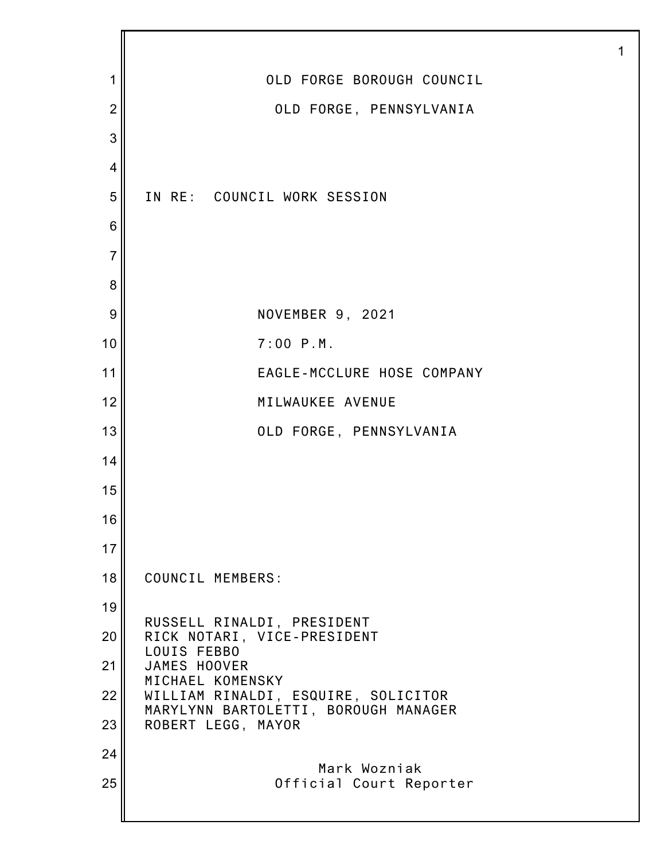| 1              | OLD FORGE BOROUGH COUNCIL                                                   |
|----------------|-----------------------------------------------------------------------------|
| $\overline{2}$ | OLD FORGE, PENNSYLVANIA                                                     |
| 3              |                                                                             |
| 4              |                                                                             |
| 5              | IN RE: COUNCIL WORK SESSION                                                 |
| 6              |                                                                             |
| $\overline{7}$ |                                                                             |
| 8              |                                                                             |
| 9              | NOVEMBER 9, 2021                                                            |
| 10             | $7:00$ P.M.                                                                 |
| 11             | EAGLE-MCCLURE HOSE COMPANY                                                  |
| 12             | MILWAUKEE AVENUE                                                            |
| 13             | OLD FORGE, PENNSYLVANIA                                                     |
| 14             |                                                                             |
| 15             |                                                                             |
| 16             |                                                                             |
| 17             |                                                                             |
| 18             | COUNCIL MEMBERS:                                                            |
| 19             | RUSSELL RINALDI, PRESIDENT                                                  |
| 20             | RICK NOTARI, VICE-PRESIDENT<br>LOUIS FEBBO                                  |
| 21             | JAMES HOOVER<br>MICHAEL KOMENSKY                                            |
| 22             | WILLIAM RINALDI, ESQUIRE, SOLICITOR<br>MARYLYNN BARTOLETTI, BOROUGH MANAGER |
| 23             | ROBERT LEGG, MAYOR                                                          |
| 24             | Mark Wozniak                                                                |
| 25             | Official Court Reporter                                                     |
|                |                                                                             |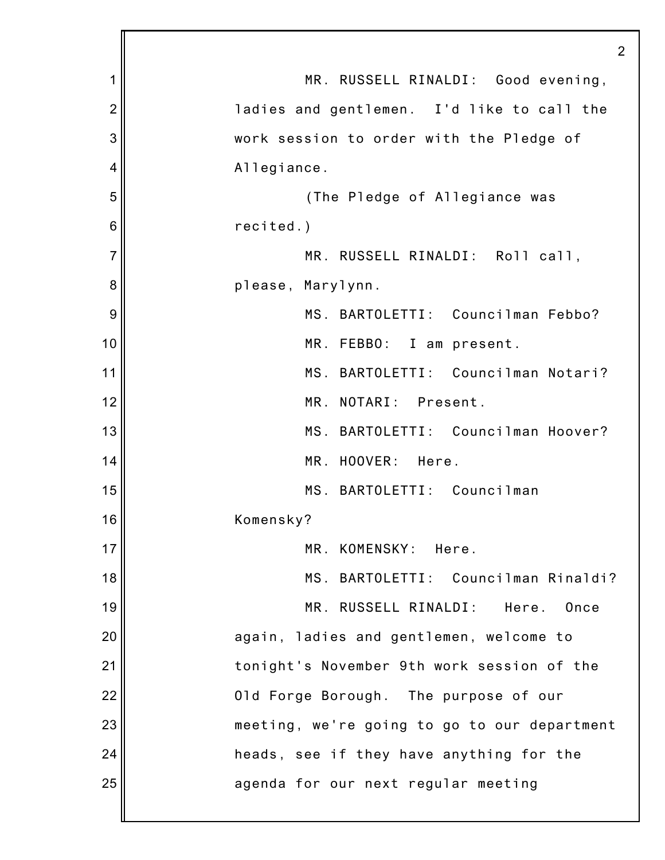|                | 2                                            |
|----------------|----------------------------------------------|
| 1              | MR. RUSSELL RINALDI:<br>Good evening,        |
| $\overline{c}$ | ladies and gentlemen. I'd like to call the   |
| 3              | work session to order with the Pledge of     |
| 4              | Allegiance.                                  |
| 5              | (The Pledge of Allegiance was                |
| 6              | recited.)                                    |
| 7              | MR. RUSSELL RINALDI: Roll call,              |
| 8              | please, Marylynn.                            |
| 9              | MS. BARTOLETTI: Councilman Febbo?            |
| 10             | MR. FEBBO:<br>I am present.                  |
| 11             | MS. BARTOLETTI: Councilman Notari?           |
| 12             | MR. NOTARI: Present.                         |
| 13             | MS. BARTOLETTI: Councilman Hoover?           |
| 14             | MR. HOOVER:<br>Here.                         |
| 15             | MS. BARTOLETTI:<br>Councilman                |
| 16             | Komensky?                                    |
| 17             | MR. KOMENSKY: Here.                          |
| 18             | MS. BARTOLETTI: Councilman Rinaldi?          |
| 19             | MR. RUSSELL RINALDI:<br>Here.<br>Once        |
| 20             | again, ladies and gentlemen, welcome to      |
| 21             | tonight's November 9th work session of the   |
| 22             | Old Forge Borough. The purpose of our        |
| 23             | meeting, we're going to go to our department |
| 24             | heads, see if they have anything for the     |
| 25             | agenda for our next regular meeting          |
|                |                                              |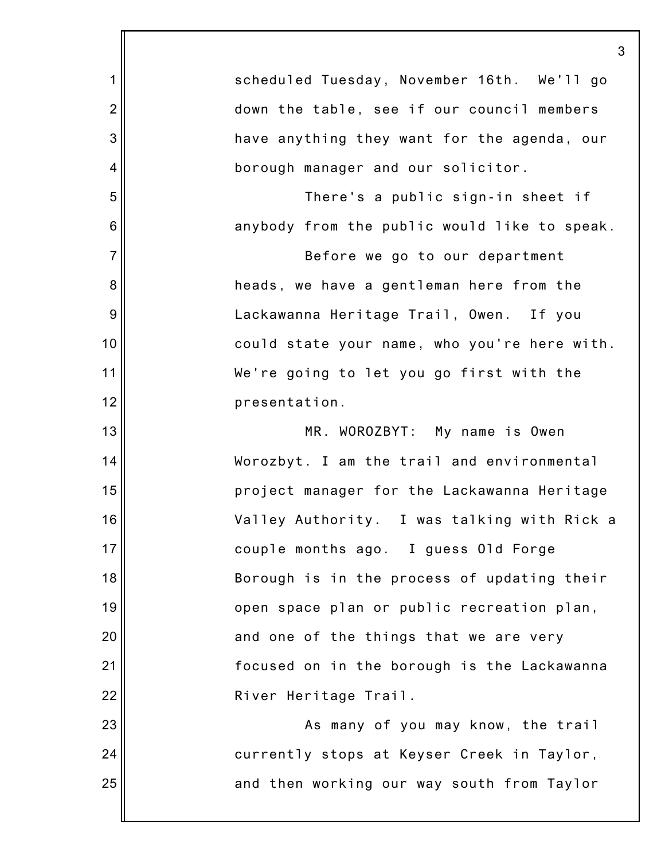|                | 3                                            |
|----------------|----------------------------------------------|
| 1              | scheduled Tuesday, November 16th. We'll go   |
| $\overline{2}$ | down the table, see if our council members   |
| 3              | have anything they want for the agenda, our  |
| 4              | borough manager and our solicitor.           |
| 5              | There's a public sign-in sheet if            |
| 6              | anybody from the public would like to speak. |
| $\overline{7}$ | Before we go to our department               |
| 8              | heads, we have a gentleman here from the     |
| 9              | Lackawanna Heritage Trail, Owen. If you      |
| 10             | could state your name, who you're here with. |
| 11             | We're going to let you go first with the     |
| 12             | presentation.                                |
| 13             | MR. WOROZBYT: My name is Owen                |
| 14             | Worozbyt. I am the trail and environmental   |
| 15             | project manager for the Lackawanna Heritage  |
| 16             | Valley Authority. I was talking with Rick a  |
| 17             | couple months ago. I guess Old Forge         |
| 18             | Borough is in the process of updating their  |
| 19             | open space plan or public recreation plan,   |
| 20             | and one of the things that we are very       |
| 21             | focused on in the borough is the Lackawanna  |
| 22             | River Heritage Trail.                        |
| 23             | As many of you may know, the trail           |
| 24             | currently stops at Keyser Creek in Taylor,   |
| 25             | and then working our way south from Taylor   |
|                |                                              |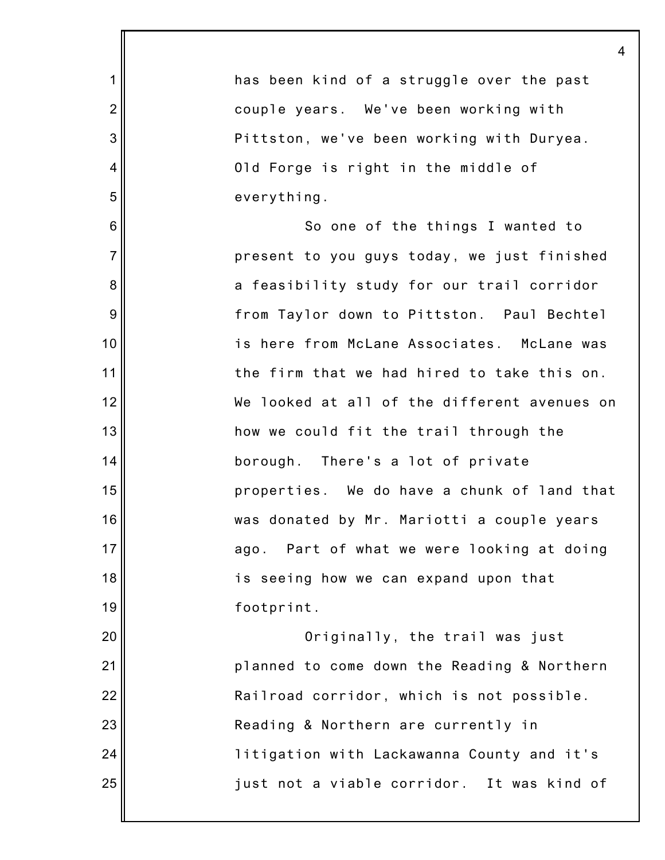|                | 4                                            |
|----------------|----------------------------------------------|
| $\mathbf 1$    | has been kind of a struggle over the past    |
| $\overline{2}$ | couple years. We've been working with        |
| 3              | Pittston, we've been working with Duryea.    |
| 4              | Old Forge is right in the middle of          |
| 5              | everything.                                  |
| 6              | So one of the things I wanted to             |
| $\overline{7}$ | present to you guys today, we just finished  |
| 8              | a feasibility study for our trail corridor   |
| 9              | from Taylor down to Pittston. Paul Bechtel   |
| 10             | is here from McLane Associates. McLane was   |
| 11             | the firm that we had hired to take this on.  |
| 12             | We looked at all of the different avenues on |
| 13             | how we could fit the trail through the       |
| 14             | borough. There's a lot of private            |
| 15             | properties. We do have a chunk of land that  |
| 16             | was donated by Mr. Mariotti a couple years   |
| 17             | ago. Part of what we were looking at doing   |
| 18             | is seeing how we can expand upon that        |
| 19             | footprint.                                   |
| 20             | Originally, the trail was just               |
| 21             | planned to come down the Reading & Northern  |
| 22             | Railroad corridor, which is not possible.    |
| 23             | Reading & Northern are currently in          |
| 24             | litigation with Lackawanna County and it's   |
| 25             | just not a viable corridor. It was kind of   |
|                |                                              |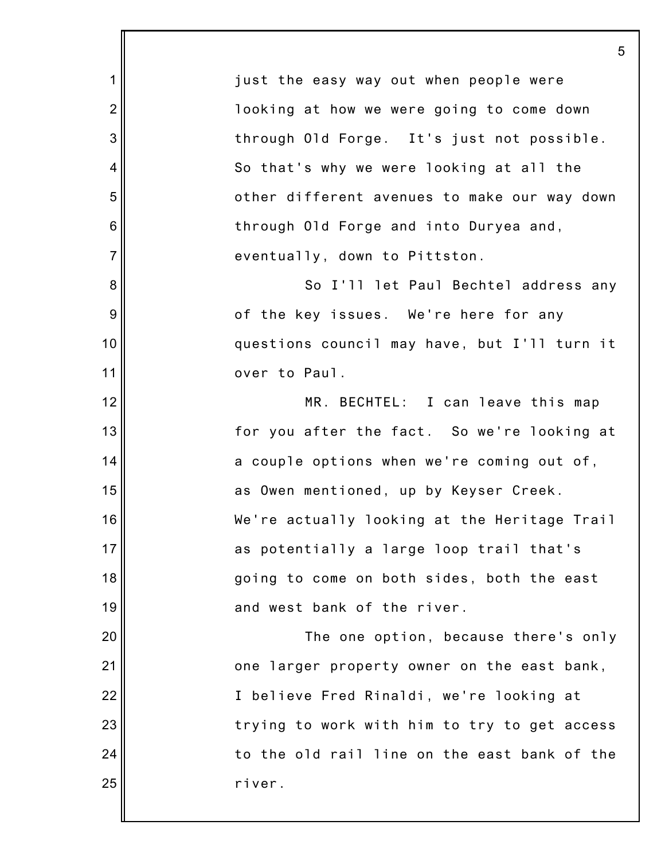1 2 3 4 5 6 7 8 9 10 11 12 13 14 15 16 17 18 19 20 21 22 23 24 25 5 just the easy way out when people were looking at how we were going to come down through Old Forge. It's just not possible. So that's why we were looking at all the other different avenues to make our way down through Old Forge and into Duryea and, eventually, down to Pittston. So I'll let Paul Bechtel address any of the key issues. We're here for any questions council may have, but I'll turn it over to Paul. MR. BECHTEL: I can leave this map for you after the fact. So we're looking at a couple options when we're coming out of, as Owen mentioned, up by Keyser Creek. We're actually looking at the Heritage Trail as potentially a large loop trail that's going to come on both sides, both the east and west bank of the river. The one option, because there's only one larger property owner on the east bank, I believe Fred Rinaldi, we're looking at trying to work with him to try to get access to the old rail line on the east bank of the river.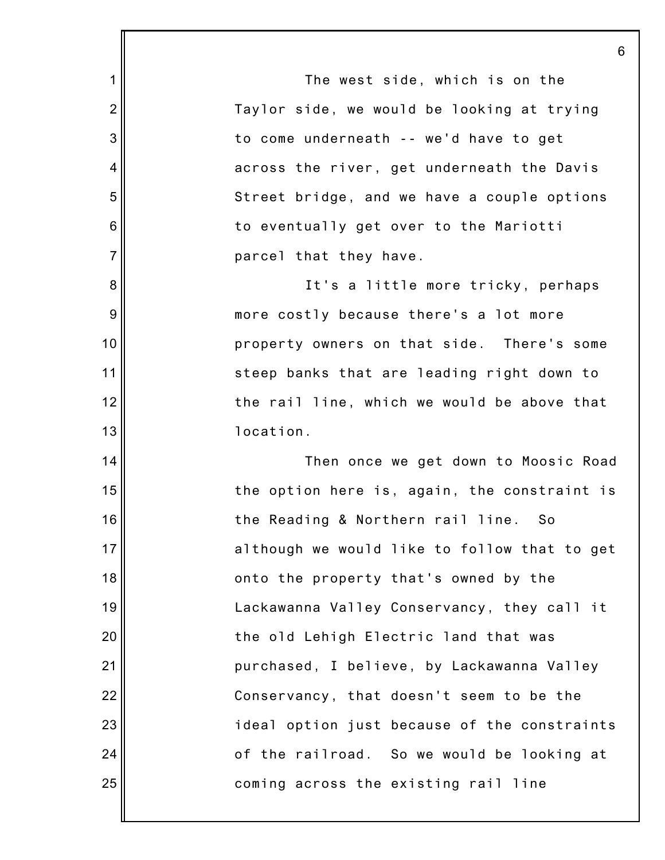1 2 3 4 5 6 7 8 9 10 11 12 13 14 15 16 17 18 19 20 21 22 23 24 25 The west side, which is on the Taylor side, we would be looking at trying to come underneath -- we'd have to get across the river, get underneath the Davis Street bridge, and we have a couple options to eventually get over to the Mariotti parcel that they have. It's a little more tricky, perhaps more costly because there's a lot more property owners on that side. There's some steep banks that are leading right down to the rail line, which we would be above that location. Then once we get down to Moosic Road the option here is, again, the constraint is the Reading & Northern rail line. So although we would like to follow that to get onto the property that's owned by the Lackawanna Valley Conservancy, they call it the old Lehigh Electric land that was purchased, I believe, by Lackawanna Valley Conservancy, that doesn't seem to be the ideal option just because of the constraints of the railroad. So we would be looking at coming across the existing rail line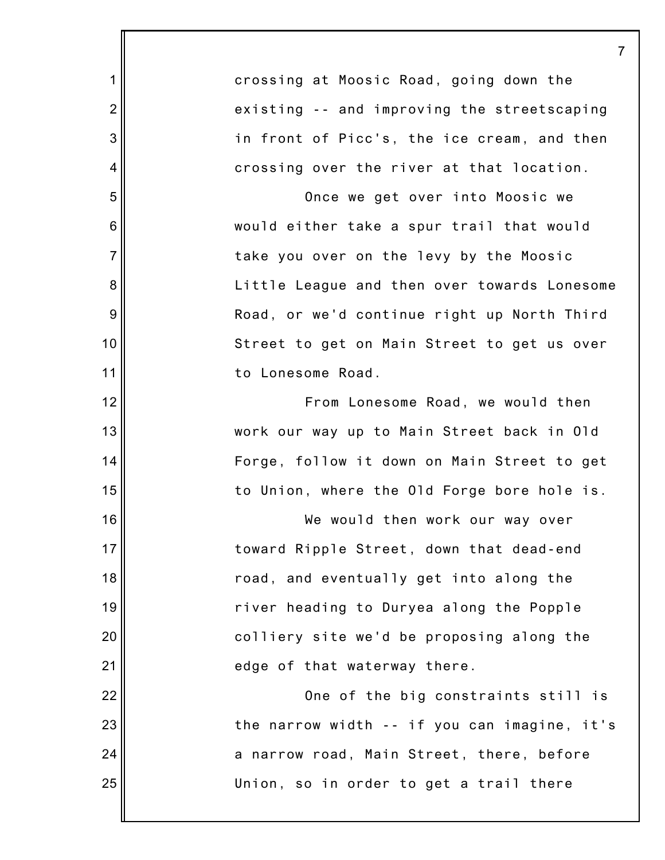crossing at Moosic Road, going down the existing -- and improving the streetscaping in front of Picc's, the ice cream, and then crossing over the river at that location.

1

2

3

4

5

6

7

8

9

10

11

12

13

14

15

16

17

18

19

20

21

22

23

24

25

Once we get over into Moosic we would either take a spur trail that would take you over on the levy by the Moosic Little League and then over towards Lonesome Road, or we'd continue right up North Third Street to get on Main Street to get us over to Lonesome Road.

From Lonesome Road, we would then work our way up to Main Street back in Old Forge, follow it down on Main Street to get to Union, where the Old Forge bore hole is.

We would then work our way over toward Ripple Street, down that dead-end road, and eventually get into along the river heading to Duryea along the Popple colliery site we'd be proposing along the edge of that waterway there.

One of the big constraints still is the narrow width -- if you can imagine, it's a narrow road, Main Street, there, before Union, so in order to get a trail there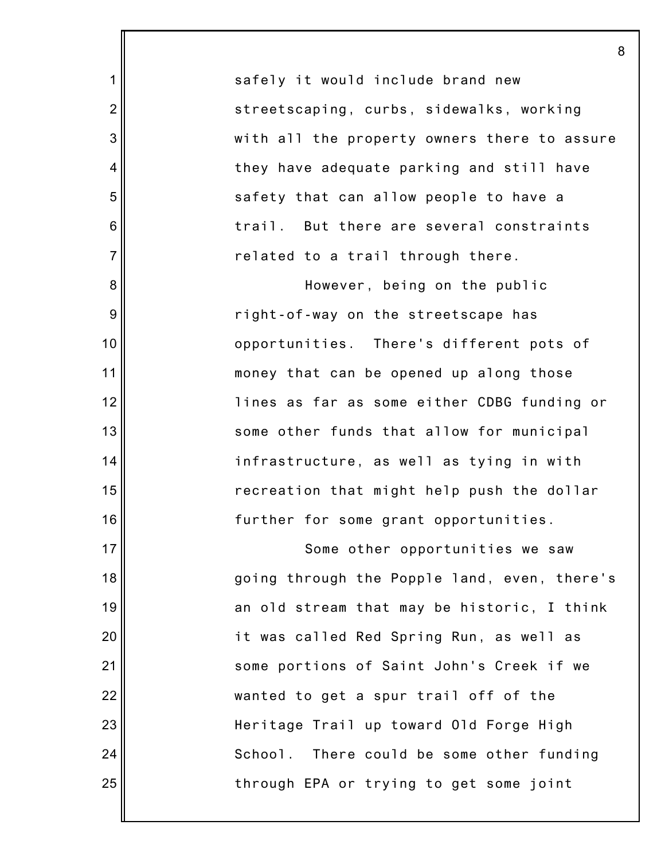safely it would include brand new streetscaping, curbs, sidewalks, working with all the property owners there to assure they have adequate parking and still have safety that can allow people to have a trail. But there are several constraints related to a trail through there.

8

1

2

3

4

5

6

7

8

9

10

11

12

13

14

15

16

17

18

19

20

21

22

23

24

25

However, being on the public right-of-way on the streetscape has opportunities. There's different pots of money that can be opened up along those lines as far as some either CDBG funding or some other funds that allow for municipal infrastructure, as well as tying in with recreation that might help push the dollar further for some grant opportunities.

Some other opportunities we saw going through the Popple land, even, there's an old stream that may be historic, I think it was called Red Spring Run, as well as some portions of Saint John's Creek if we wanted to get a spur trail off of the Heritage Trail up toward Old Forge High School. There could be some other funding through EPA or trying to get some joint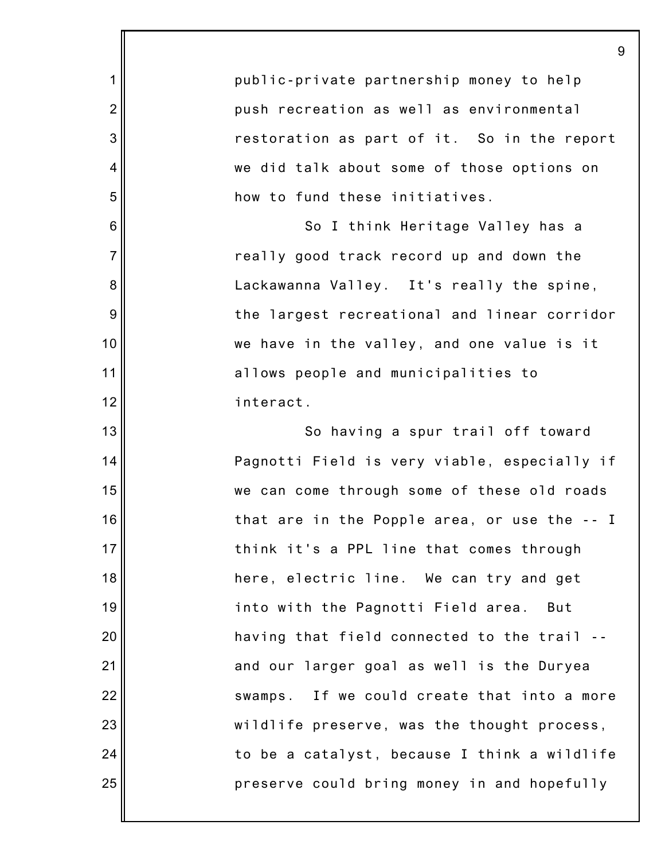|                | 9                                            |
|----------------|----------------------------------------------|
| 1              | public-private partnership money to help     |
| $\overline{2}$ | push recreation as well as environmental     |
| 3              | restoration as part of it. So in the report  |
| 4              | we did talk about some of those options on   |
| 5              | how to fund these initiatives.               |
| 6              | So I think Heritage Valley has a             |
| $\overline{7}$ | really good track record up and down the     |
| 8              | Lackawanna Valley. It's really the spine,    |
| 9              | the largest recreational and linear corridor |
| 10             | we have in the valley, and one value is it   |
| 11             | allows people and municipalities to          |
| 12             | interact.                                    |
| 13             | So having a spur trail off toward            |
| 14             | Pagnotti Field is very viable, especially if |
| 15             | we can come through some of these old roads  |
| 16             | that are in the Popple area, or use the -- I |
| 17             | think it's a PPL line that comes through     |
| 18             | here, electric line. We can try and get      |
| 19             | into with the Pagnotti Field area.<br>But    |
| 20             | having that field connected to the trail --  |
| 21             | and our larger goal as well is the Duryea    |
| 22             | swamps. If we could create that into a more  |
| 23             | wildlife preserve, was the thought process,  |
| 24             | to be a catalyst, because I think a wildlife |
| 25             | preserve could bring money in and hopefully  |
|                |                                              |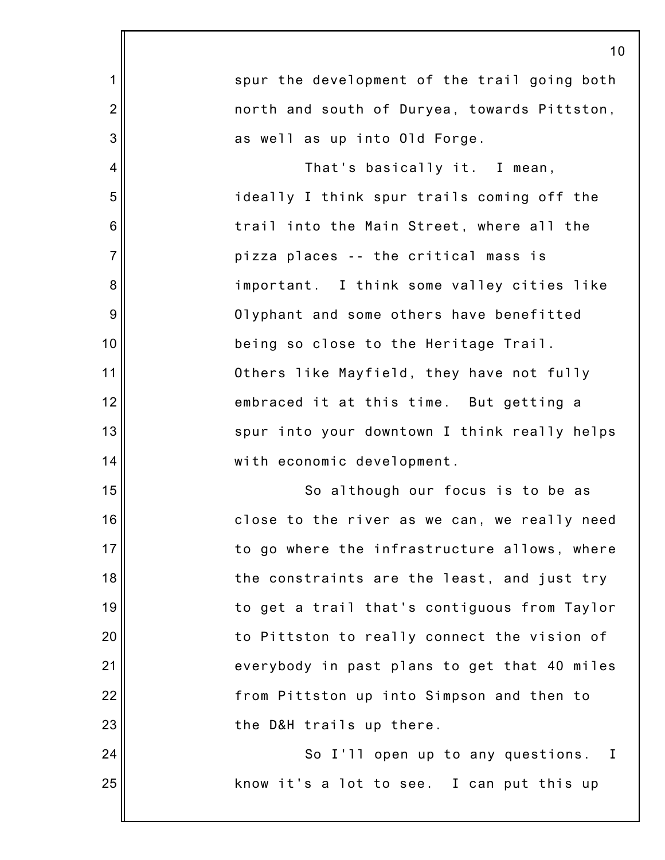|                | 10                                                |
|----------------|---------------------------------------------------|
| 1              | spur the development of the trail going both      |
| $\overline{2}$ | north and south of Duryea, towards Pittston,      |
| 3              | as well as up into Old Forge.                     |
| 4              | That's basically it. I mean,                      |
| 5              | ideally I think spur trails coming off the        |
| 6              | trail into the Main Street, where all the         |
| $\overline{7}$ | pizza places -- the critical mass is              |
| 8              | important. I think some valley cities like        |
| 9              | Olyphant and some others have benefitted          |
| 10             | being so close to the Heritage Trail.             |
| 11             | Others like Mayfield, they have not fully         |
| 12             | embraced it at this time. But getting a           |
| 13             | spur into your downtown I think really helps      |
| 14             | with economic development.                        |
| 15             | So although our focus is to be as                 |
| 16             | close to the river as we can, we really need      |
| 17             | to go where the infrastructure allows, where      |
| 18             | the constraints are the least, and just try       |
| 19             | to get a trail that's contiguous from Taylor      |
| 20             | to Pittston to really connect the vision of       |
| 21             | everybody in past plans to get that 40 miles      |
| 22             | from Pittston up into Simpson and then to         |
| 23             | the D&H trails up there.                          |
| 24             | So I'll open up to any questions.<br>$\mathbf{I}$ |
| 25             | know it's a lot to see. I can put this up         |
|                |                                                   |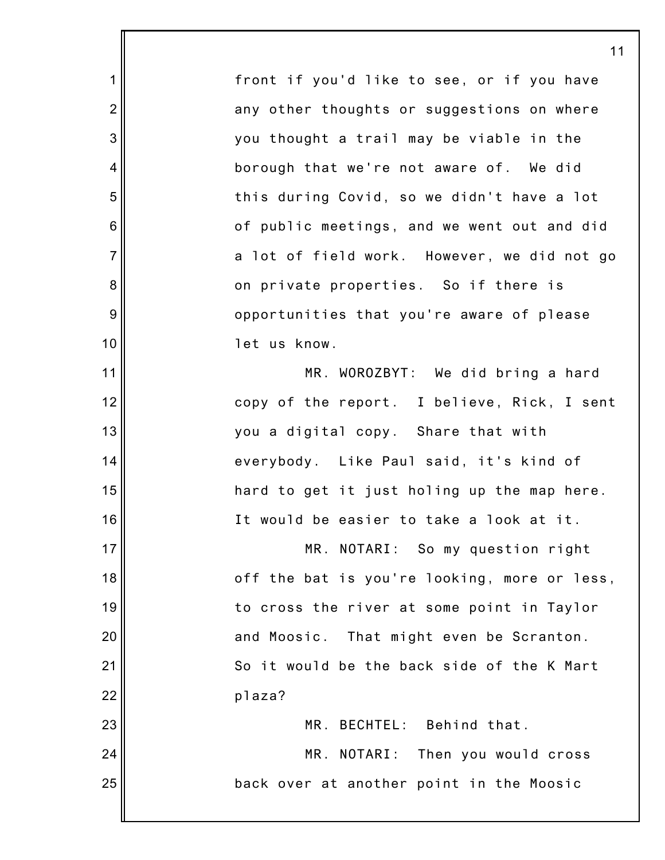front if you'd like to see, or if you have any other thoughts or suggestions on where you thought a trail may be viable in the borough that we're not aware of. We did this during Covid, so we didn't have a lot of public meetings, and we went out and did a lot of field work. However, we did not go on private properties. So if there is opportunities that you're aware of please let us know. MR. WOROZBYT: We did bring a hard copy of the report. I believe, Rick, I sent you a digital copy. Share that with everybody. Like Paul said, it's kind of hard to get it just holing up the map here. It would be easier to take a look at it. MR. NOTARI: So my question right off the bat is you're looking, more or less, to cross the river at some point in Taylor and Moosic. That might even be Scranton. So it would be the back side of the K Mart plaza? MR. BECHTEL: Behind that. MR. NOTARI: Then you would cross back over at another point in the Moosic

1

2

3

4

5

6

7

8

9

10

11

12

13

14

15

16

17

18

19

20

21

22

23

24

25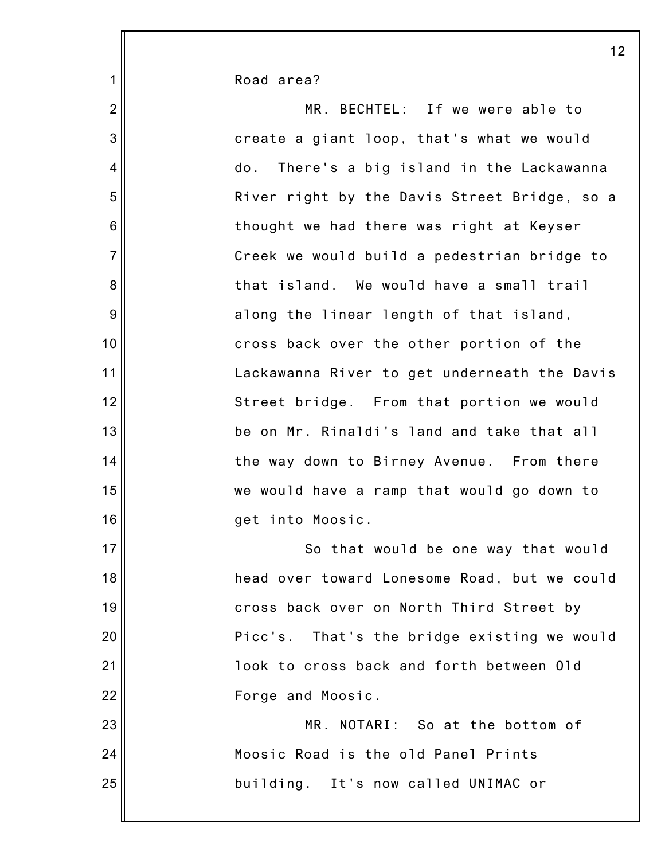Road area?

1

2 3 4 5 6 7 8 9 10 11 12 13 14 15 16 17 18 19 20 21 22 23 24 25 MR. BECHTEL: If we were able to create a giant loop, that's what we would do. There's a big island in the Lackawanna River right by the Davis Street Bridge, so a thought we had there was right at Keyser Creek we would build a pedestrian bridge to that island. We would have a small trail along the linear length of that island, cross back over the other portion of the Lackawanna River to get underneath the Davis Street bridge. From that portion we would be on Mr. Rinaldi's land and take that all the way down to Birney Avenue. From there we would have a ramp that would go down to get into Moosic. So that would be one way that would head over toward Lonesome Road, but we could cross back over on North Third Street by Picc's. That's the bridge existing we would look to cross back and forth between Old Forge and Moosic. MR. NOTARI: So at the bottom of Moosic Road is the old Panel Prints building. It's now called UNIMAC or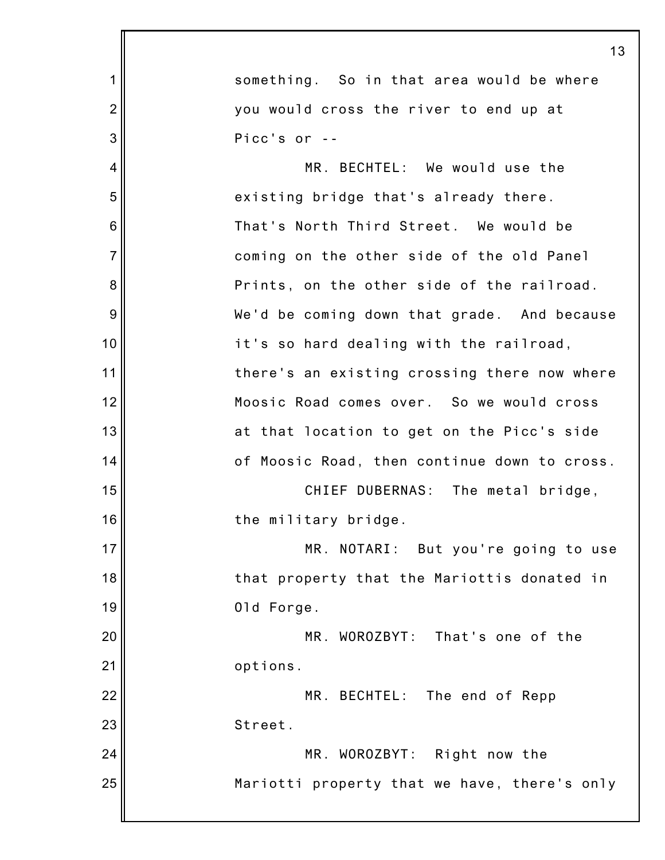|                 | 13                                           |
|-----------------|----------------------------------------------|
| 1               | something. So in that area would be where    |
| $\overline{2}$  | you would cross the river to end up at       |
| 3               | Picc's or --                                 |
| 4               | MR. BECHTEL: We would use the                |
| 5               | existing bridge that's already there.        |
| $6\phantom{1}6$ | That's North Third Street. We would be       |
| $\overline{7}$  | coming on the other side of the old Panel    |
| 8               | Prints, on the other side of the railroad.   |
| 9               | We'd be coming down that grade. And because  |
| 10              | it's so hard dealing with the railroad,      |
| 11              | there's an existing crossing there now where |
| 12              | Moosic Road comes over. So we would cross    |
| 13              | at that location to get on the Picc's side   |
| 14              | of Moosic Road, then continue down to cross. |
| 15              | CHIEF DUBERNAS: The metal bridge,            |
| 16              | the military bridge.                         |
| 17              | MR. NOTARI: But you're going to use          |
| 18              | that property that the Mariottis donated in  |
| 19              | 01d Forge.                                   |
| 20              | MR. WOROZBYT: That's one of the              |
| 21              | options.                                     |
| 22              | MR. BECHTEL: The end of Repp                 |
| 23              | Street.                                      |
| 24              | MR. WOROZBYT: Right now the                  |
| 25              | Mariotti property that we have, there's only |
|                 |                                              |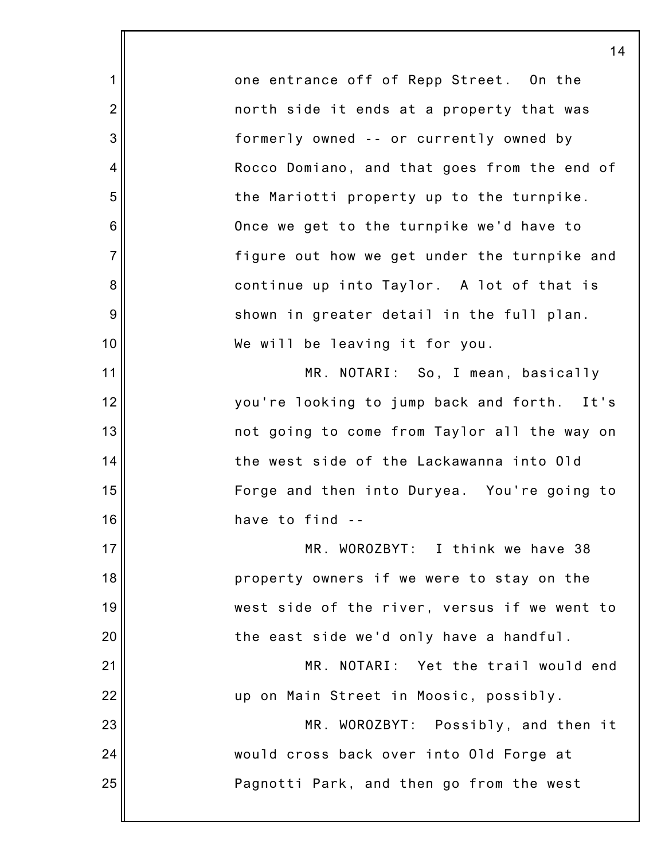one entrance off of Repp Street. On the north side it ends at a property that was formerly owned -- or currently owned by Rocco Domiano, and that goes from the end of the Mariotti property up to the turnpike. Once we get to the turnpike we'd have to figure out how we get under the turnpike and continue up into Taylor. A lot of that is shown in greater detail in the full plan. We will be leaving it for you.

1

2

3

4

5

6

7

8

9

10

11

12

13

14

15

16

23

24

25

MR. NOTARI: So, I mean, basically you're looking to jump back and forth. It's not going to come from Taylor all the way on the west side of the Lackawanna into Old Forge and then into Duryea. You're going to have to find --

17 18 19 20 21 22 MR. WOROZBYT: I think we have 38 property owners if we were to stay on the west side of the river, versus if we went to the east side we'd only have a handful. MR. NOTARI: Yet the trail would end up on Main Street in Moosic, possibly.

MR. WOROZBYT: Possibly, and then it would cross back over into Old Forge at Pagnotti Park, and then go from the west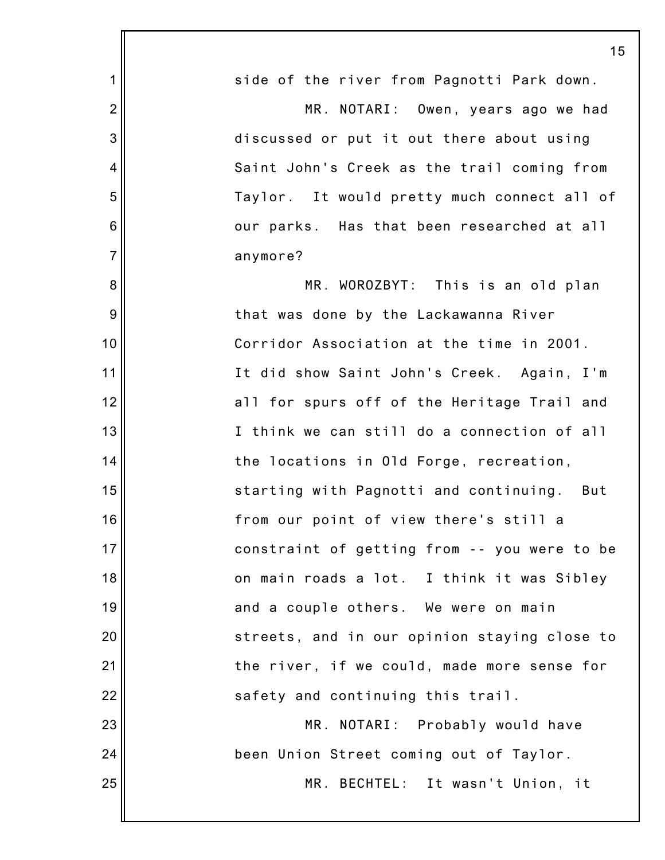|                 | 15                                           |
|-----------------|----------------------------------------------|
| $\mathbf 1$     | side of the river from Pagnotti Park down.   |
| $\overline{2}$  | MR. NOTARI: Owen, years ago we had           |
| 3               | discussed or put it out there about using    |
| $\overline{4}$  | Saint John's Creek as the trail coming from  |
| 5               | Taylor. It would pretty much connect all of  |
| $6\phantom{1}6$ | our parks. Has that been researched at all   |
| $\overline{7}$  | anymore?                                     |
| 8               | MR. WOROZBYT: This is an old plan            |
| 9               | that was done by the Lackawanna River        |
| 10              | Corridor Association at the time in 2001.    |
| 11              | It did show Saint John's Creek. Again, I'm   |
| 12              | all for spurs off of the Heritage Trail and  |
| 13              | I think we can still do a connection of all  |
| 14              | the locations in Old Forge, recreation,      |
| 15              | starting with Pagnotti and continuing. But   |
| 16              | from our point of view there's still a       |
| 17              | constraint of getting from -- you were to be |
| 18              | on main roads a lot. I think it was Sibley   |
| 19              | and a couple others. We were on main         |
| 20              | streets, and in our opinion staying close to |
| 21              | the river, if we could, made more sense for  |
| 22              | safety and continuing this trail.            |
| 23              | MR. NOTARI: Probably would have              |
| 24              | been Union Street coming out of Taylor.      |
| 25              | MR. BECHTEL: It wasn't Union, it             |
|                 |                                              |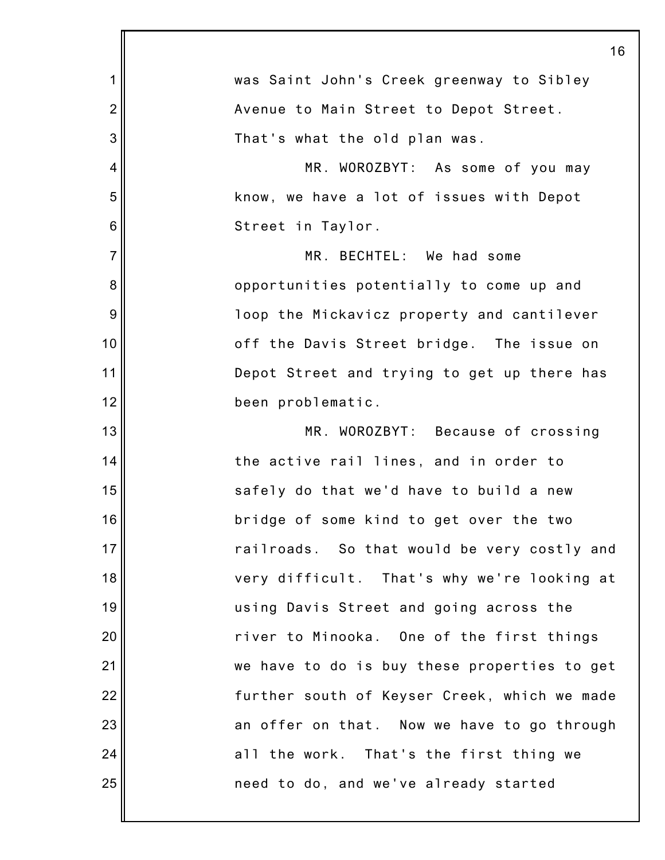|                | 16                                           |
|----------------|----------------------------------------------|
| $\mathbf 1$    | was Saint John's Creek greenway to Sibley    |
| $\overline{2}$ | Avenue to Main Street to Depot Street.       |
| 3              | That's what the old plan was.                |
| $\overline{4}$ | MR. WOROZBYT: As some of you may             |
| 5              | know, we have a lot of issues with Depot     |
| 6              | Street in Taylor.                            |
| $\overline{7}$ | MR. BECHTEL: We had some                     |
| 8              | opportunities potentially to come up and     |
| 9              | loop the Mickavicz property and cantilever   |
| 10             | off the Davis Street bridge. The issue on    |
| 11             | Depot Street and trying to get up there has  |
| 12             | been problematic.                            |
| 13             | MR. WOROZBYT: Because of crossing            |
| 14             | the active rail lines, and in order to       |
| 15             | safely do that we'd have to build a new      |
| 16             | bridge of some kind to get over the two      |
| 17             | railroads. So that would be very costly and  |
| 18             | very difficult. That's why we're looking at  |
| 19             | using Davis Street and going across the      |
| 20             | river to Minooka. One of the first things    |
| 21             | we have to do is buy these properties to get |
| 22             | further south of Keyser Creek, which we made |
| 23             | an offer on that. Now we have to go through  |
| 24             | all the work. That's the first thing we      |
| 25             | need to do, and we've already started        |
|                |                                              |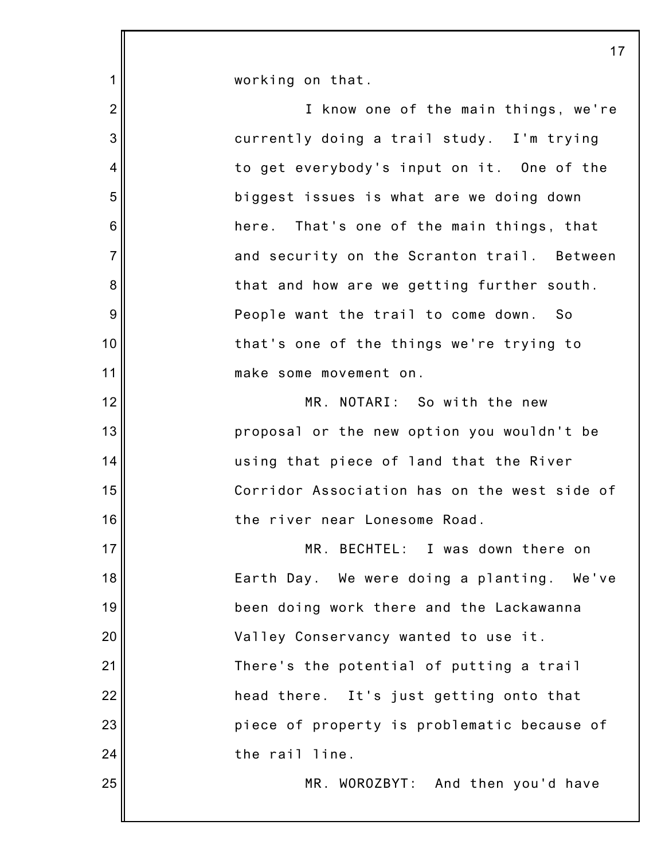1 2 3 4 5 6 7 8 9 10 11 12 13 14 15 16 17 18 19 20 21 22 23 24 25 working on that. I know one of the main things, we're currently doing a trail study. I'm trying to get everybody's input on it. One of the biggest issues is what are we doing down here. That's one of the main things, that and security on the Scranton trail. Between that and how are we getting further south. People want the trail to come down. So that's one of the things we're trying to make some movement on. MR. NOTARI: So with the new proposal or the new option you wouldn't be using that piece of land that the River Corridor Association has on the west side of the river near Lonesome Road. MR. BECHTEL: I was down there on Earth Day. We were doing a planting. We've been doing work there and the Lackawanna Valley Conservancy wanted to use it. There's the potential of putting a trail head there. It's just getting onto that piece of property is problematic because of the rail line. MR. WOROZBYT: And then you'd have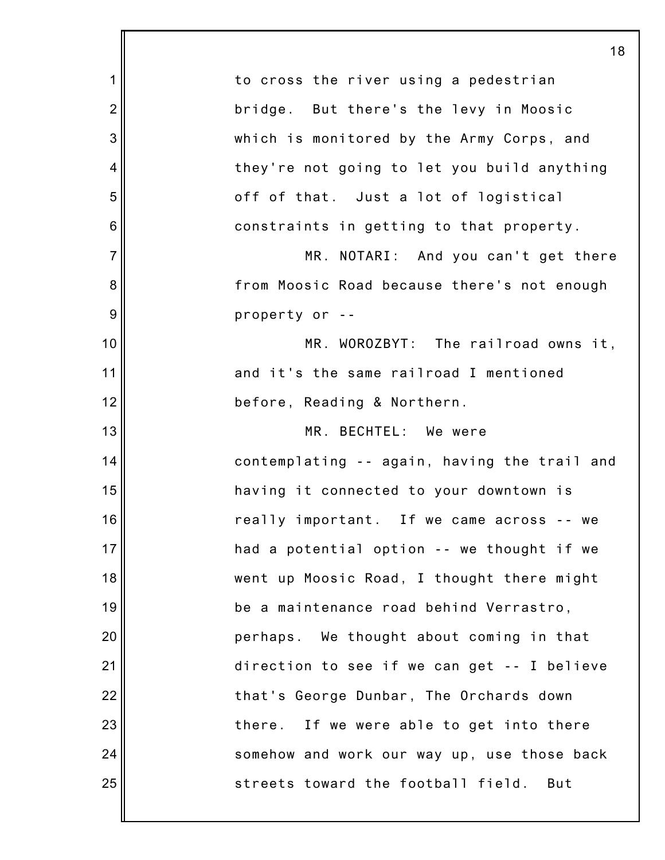|                | 18                                           |
|----------------|----------------------------------------------|
| 1              | to cross the river using a pedestrian        |
| $\overline{2}$ | bridge. But there's the levy in Moosic       |
| 3              | which is monitored by the Army Corps, and    |
| 4              | they're not going to let you build anything  |
| 5              | off of that. Just a lot of logistical        |
| 6              | constraints in getting to that property.     |
| $\overline{7}$ | MR. NOTARI: And you can't get there          |
| 8              | from Moosic Road because there's not enough  |
| 9              | property or --                               |
| 10             | MR. WOROZBYT: The railroad owns it,          |
| 11             | and it's the same railroad I mentioned       |
| 12             | before, Reading & Northern.                  |
| 13             | MR. BECHTEL: We were                         |
| 14             | contemplating -- again, having the trail and |
| 15             | having it connected to your downtown is      |
| 16             | really important. If we came across -- we    |
| 17             | had a potential option -- we thought if we   |
| 18             | went up Moosic Road, I thought there might   |
| 19             | be a maintenance road behind Verrastro,      |
| 20             | perhaps. We thought about coming in that     |
| 21             | direction to see if we can get -- I believe  |
| 22             | that's George Dunbar, The Orchards down      |
| 23             | there. If we were able to get into there     |
| 24             | somehow and work our way up, use those back  |
| 25             | streets toward the football field.<br>But    |
|                |                                              |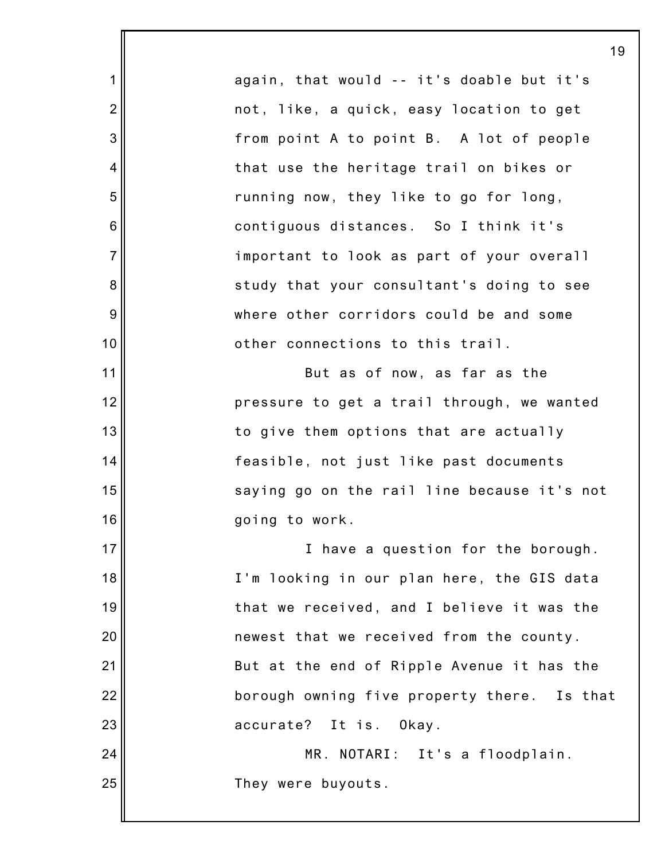1 2 3 4 5 6 7 8 9 10 11 12 13 14 15 16 17 18 19 20 21 22 23 24 25 19 again, that would -- it's doable but it's not, like, a quick, easy location to get from point A to point B. A lot of people that use the heritage trail on bikes or running now, they like to go for long, contiguous distances. So I think it's important to look as part of your overall study that your consultant's doing to see where other corridors could be and some other connections to this trail. But as of now, as far as the pressure to get a trail through, we wanted to give them options that are actually feasible, not just like past documents saying go on the rail line because it's not going to work. I have a question for the borough. I'm looking in our plan here, the GIS data that we received, and I believe it was the newest that we received from the county. But at the end of Ripple Avenue it has the borough owning five property there. Is that accurate? It is. Okay. MR. NOTARI: It's a floodplain. They were buyouts.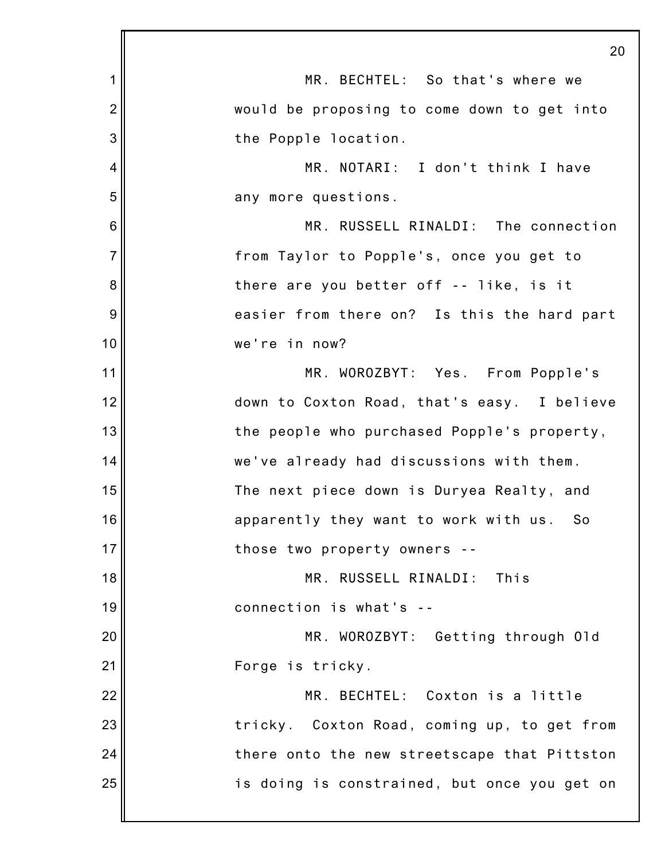|                 | 20                                           |
|-----------------|----------------------------------------------|
| 1               | MR. BECHTEL: So that's where we              |
| $\overline{2}$  | would be proposing to come down to get into  |
| 3               | the Popple location.                         |
| 4               | MR. NOTARI: I don't think I have             |
| 5               | any more questions.                          |
| $6\phantom{1}6$ | MR. RUSSELL RINALDI: The connection          |
| $\overline{7}$  | from Taylor to Popple's, once you get to     |
| 8               | there are you better off -- like, is it      |
| 9               | easier from there on? Is this the hard part  |
| 10              | we're in now?                                |
| 11              | MR. WOROZBYT: Yes. From Popple's             |
| 12              | down to Coxton Road, that's easy. I believe  |
| 13              | the people who purchased Popple's property,  |
| 14              | we've already had discussions with them.     |
| 15              | The next piece down is Duryea Realty, and    |
| 16              | apparently they want to work with us.<br>So  |
| 17              | those two property owners --                 |
| 18              | MR. RUSSELL RINALDI:<br>This                 |
| 19              | connection is what's --                      |
| 20              | MR. WOROZBYT: Getting through Old            |
| 21              | Forge is tricky.                             |
| 22              | MR. BECHTEL: Coxton is a little              |
| 23              | tricky. Coxton Road, coming up, to get from  |
| 24              | there onto the new streetscape that Pittston |
| 25              | is doing is constrained, but once you get on |
|                 |                                              |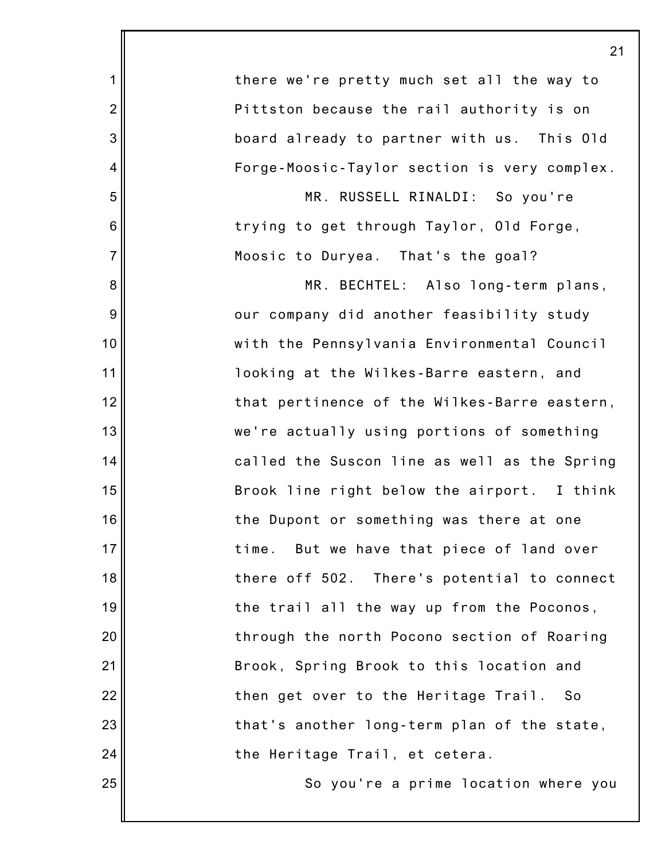|                | 21                                           |
|----------------|----------------------------------------------|
| 1              | there we're pretty much set all the way to   |
| $\overline{2}$ | Pittston because the rail authority is on    |
| 3              | board already to partner with us. This Old   |
| 4              | Forge-Moosic-Taylor section is very complex. |
| 5              | MR. RUSSELL RINALDI: So you're               |
| 6              | trying to get through Taylor, Old Forge,     |
| $\overline{7}$ | Moosic to Duryea. That's the goal?           |
| 8              | MR. BECHTEL: Also long-term plans,           |
| 9              | our company did another feasibility study    |
| 10             | with the Pennsylvania Environmental Council  |
| 11             | looking at the Wilkes-Barre eastern, and     |
| 12             | that pertinence of the Wilkes-Barre eastern, |
| 13             | we're actually using portions of something   |
| 14             | called the Suscon line as well as the Spring |
| 15             | Brook line right below the airport. I think  |
| 16             | the Dupont or something was there at one     |
| 17             | But we have that piece of land over<br>time. |
| 18             | there off 502. There's potential to connect  |
| 19             | the trail all the way up from the Poconos,   |
| 20             | through the north Pocono section of Roaring  |
| 21             | Brook, Spring Brook to this location and     |
| 22             | then get over to the Heritage Trail. So      |
| 23             | that's another long-term plan of the state,  |
| 24             | the Heritage Trail, et cetera.               |
| 25             | So you're a prime location where you         |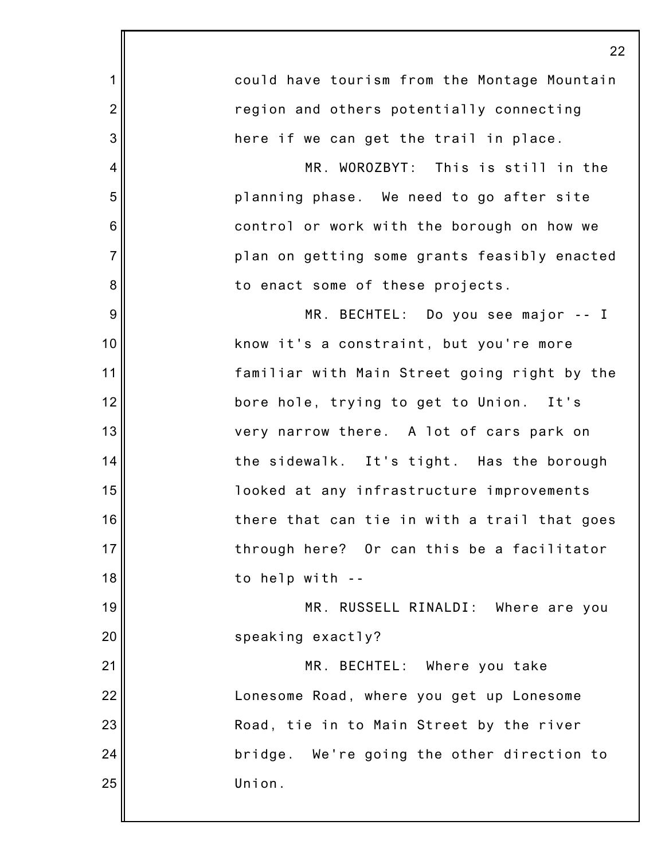|                | 22                                           |
|----------------|----------------------------------------------|
| 1              | could have tourism from the Montage Mountain |
| $\overline{2}$ | region and others potentially connecting     |
| 3              | here if we can get the trail in place.       |
| 4              | MR. WOROZBYT: This is still in the           |
| 5              | planning phase. We need to go after site     |
| 6              | control or work with the borough on how we   |
| $\overline{7}$ | plan on getting some grants feasibly enacted |
| 8              | to enact some of these projects.             |
| $9\,$          | MR. BECHTEL: Do you see major -- I           |
| 10             | know it's a constraint, but you're more      |
| 11             | familiar with Main Street going right by the |
| 12             | bore hole, trying to get to Union. It's      |
| 13             | very narrow there. A lot of cars park on     |
| 14             | the sidewalk. It's tight. Has the borough    |
| 15             | looked at any infrastructure improvements    |
| 16             | there that can tie in with a trail that goes |
| 17             | through here? Or can this be a facilitator   |
| 18             | to help with --                              |
| 19             | MR. RUSSELL RINALDI: Where are you           |
| 20             | speaking exactly?                            |
| 21             | MR. BECHTEL: Where you take                  |
| 22             | Lonesome Road, where you get up Lonesome     |
| 23             | Road, tie in to Main Street by the river     |
| 24             | bridge. We're going the other direction to   |
| 25             | Union.                                       |
|                |                                              |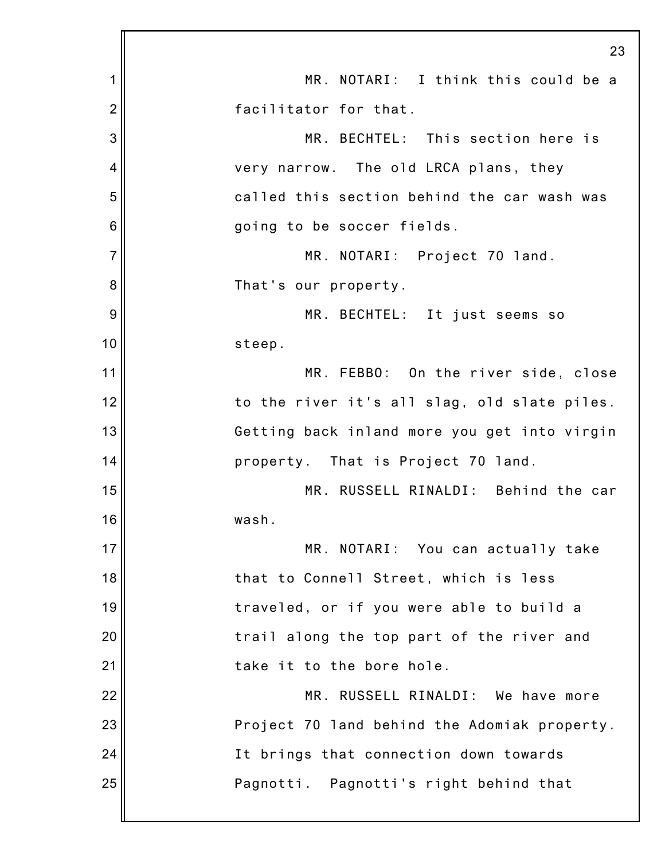|                | 23                                           |
|----------------|----------------------------------------------|
| 1              | MR. NOTARI: I think this could be a          |
| $\overline{2}$ | facilitator for that.                        |
| 3              | MR. BECHTEL: This section here is            |
| 4              | very narrow. The old LRCA plans, they        |
| 5              | called this section behind the car wash was  |
| 6              | going to be soccer fields.                   |
| $\overline{7}$ | MR. NOTARI: Project 70 land.                 |
| 8              | That's our property.                         |
| 9              | MR. BECHTEL: It just seems so                |
| 10             | steep.                                       |
| 11             | MR. FEBBO: On the river side, close          |
| 12             | to the river it's all slag, old slate piles. |
| 13             | Getting back inland more you get into virgin |
| 14             | property. That is Project 70 land.           |
| 15             | MR. RUSSELL RINALDI: Behind the car          |
| 16             | wash.                                        |
| 17             | MR. NOTARI: You can actually take            |
| 18             | that to Connell Street, which is less        |
| 19             | traveled, or if you were able to build a     |
| 20             | trail along the top part of the river and    |
| 21             | take it to the bore hole.                    |
| 22             | MR. RUSSELL RINALDI: We have more            |
| 23             | Project 70 land behind the Adomiak property. |
| 24             | It brings that connection down towards       |
| 25             | Pagnotti. Pagnotti's right behind that       |
|                |                                              |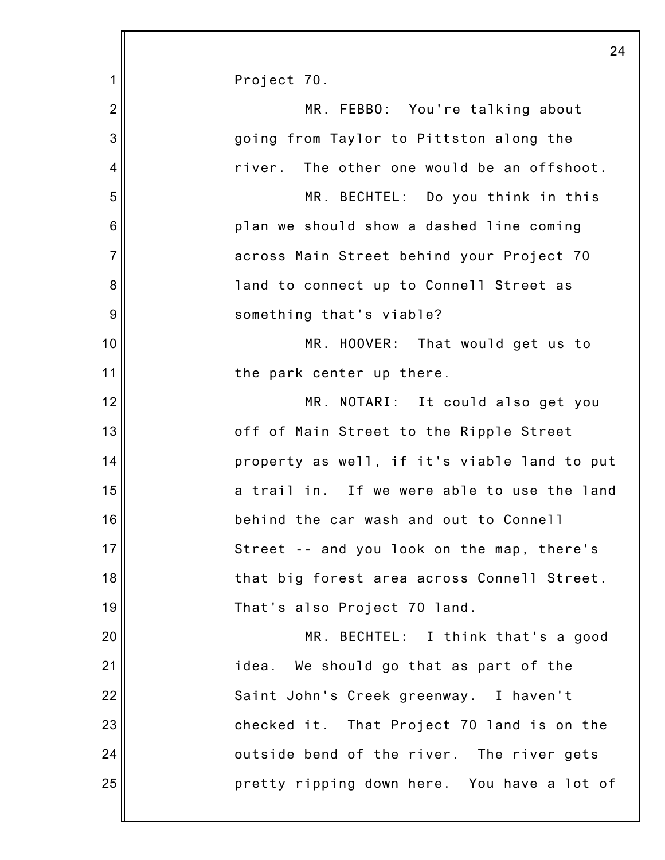|                | 24                                           |
|----------------|----------------------------------------------|
| 1              | Project 70.                                  |
| $\overline{2}$ | MR. FEBBO: You're talking about              |
| 3              | going from Taylor to Pittston along the      |
| 4              | river. The other one would be an offshoot.   |
| 5              | MR. BECHTEL: Do you think in this            |
| 6              | plan we should show a dashed line coming     |
| $\overline{7}$ | across Main Street behind your Project 70    |
| 8              | land to connect up to Connell Street as      |
| 9              | something that's viable?                     |
| 10             | MR. HOOVER: That would get us to             |
| 11             | the park center up there.                    |
| 12             | MR. NOTARI: It could also get you            |
| 13             | off of Main Street to the Ripple Street      |
| 14             | property as well, if it's viable land to put |
| 15             | a trail in. If we were able to use the land  |
| 16             | behind the car wash and out to Connell       |
| 17             | Street -- and you look on the map, there's   |
| 18             | that big forest area across Connell Street.  |
| 19             | That's also Project 70 land.                 |
| 20             | MR. BECHTEL: I think that's a good           |
| 21             | idea. We should go that as part of the       |
| 22             | Saint John's Creek greenway. I haven't       |
| 23             | checked it. That Project 70 land is on the   |
| 24             | outside bend of the river. The river gets    |
| 25             | pretty ripping down here. You have a lot of  |
|                |                                              |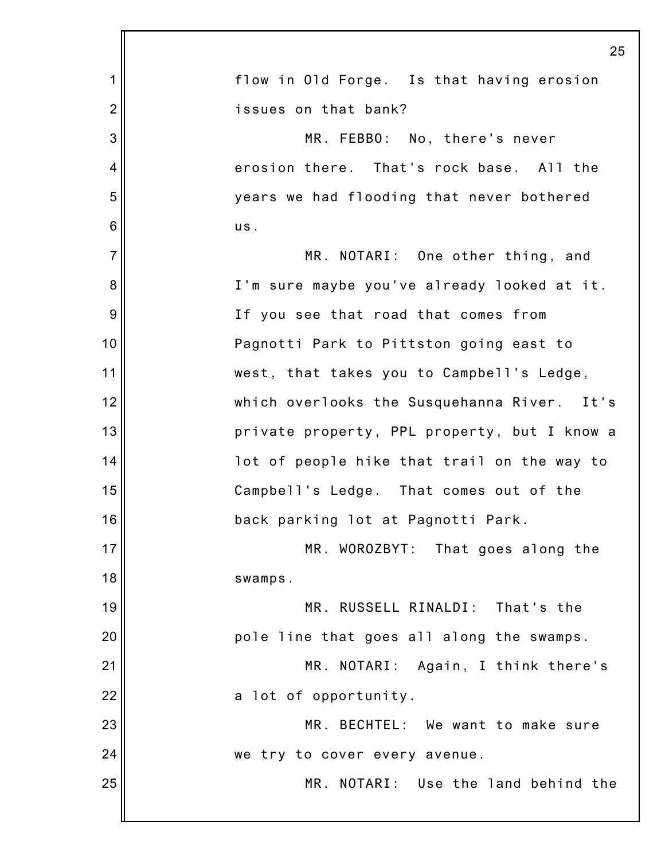|                | 25                                           |
|----------------|----------------------------------------------|
| 1              | flow in Old Forge. Is that having erosion    |
| $\overline{2}$ | issues on that bank?                         |
| 3              | MR. FEBBO: No, there's never                 |
| $\overline{4}$ | erosion there. That's rock base. All the     |
| 5              | years we had flooding that never bothered    |
| 6              | us.                                          |
| $\overline{7}$ | MR. NOTARI: One other thing, and             |
| 8              | I'm sure maybe you've already looked at it.  |
| 9              | If you see that road that comes from         |
| 10             | Pagnotti Park to Pittston going east to      |
| 11             | west, that takes you to Campbell's Ledge,    |
| 12             | which overlooks the Susquehanna River. It's  |
| 13             | private property, PPL property, but I know a |
| 14             | lot of people hike that trail on the way to  |
| 15             | Campbell's Ledge. That comes out of the      |
| 16             | back parking lot at Pagnotti Park.           |
| 17             | MR. WOROZBYT: That goes along the            |
| 18             | swamps.                                      |
| 19             | MR. RUSSELL RINALDI:<br>That's the           |
| 20             | pole line that goes all along the swamps.    |
| 21             | MR. NOTARI: Again, I think there's           |
| 22             | a lot of opportunity.                        |
| 23             | MR. BECHTEL: We want to make sure            |
| 24             | we try to cover every avenue.                |
| 25             | MR. NOTARI: Use the land behind the          |
|                |                                              |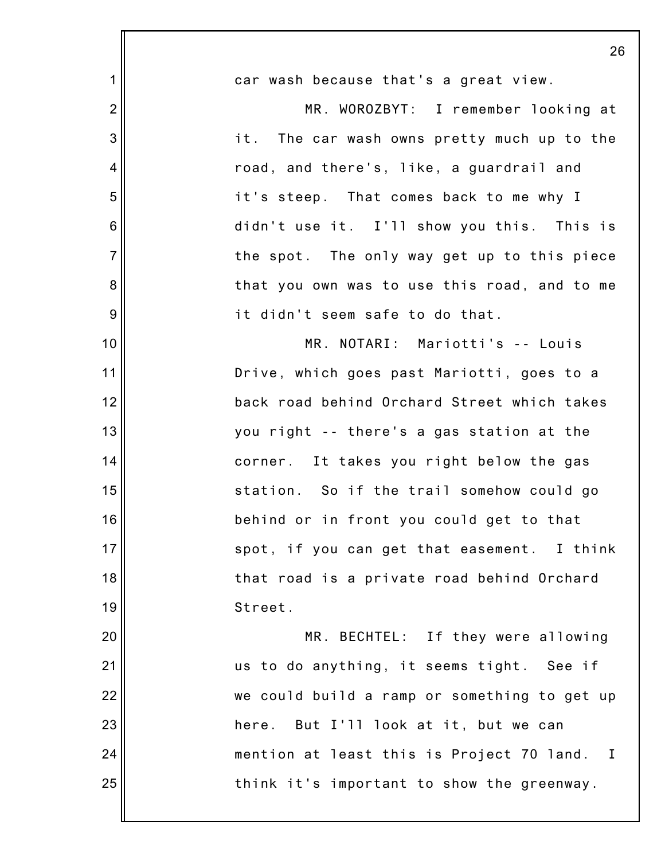|                | 26                                           |
|----------------|----------------------------------------------|
| $\mathbf 1$    | car wash because that's a great view.        |
| $\overline{2}$ | MR. WOROZBYT: I remember looking at          |
| 3              | it. The car wash owns pretty much up to the  |
| 4              | road, and there's, like, a guardrail and     |
| 5              | it's steep. That comes back to me why I      |
| $6\phantom{1}$ | didn't use it. I'll show you this. This is   |
| $\overline{7}$ | the spot. The only way get up to this piece  |
| 8              | that you own was to use this road, and to me |
| 9              | it didn't seem safe to do that.              |
| 10             | MR. NOTARI: Mariotti's -- Louis              |
| 11             | Drive, which goes past Mariotti, goes to a   |
| 12             | back road behind Orchard Street which takes  |
| 13             | you right -- there's a gas station at the    |
| 14             | corner. It takes you right below the gas     |
| 15             | station. So if the trail somehow could go    |
| 16             | behind or in front you could get to that     |
| 17             | spot, if you can get that easement. I think  |
| 18             | that road is a private road behind Orchard   |
| 19             | Street.                                      |
| 20             | MR. BECHTEL: If they were allowing           |
| 21             | us to do anything, it seems tight. See if    |
| 22             | we could build a ramp or something to get up |
| 23             | here. But I'll look at it, but we can        |
| 24             | mention at least this is Project 70 land. I  |
| 25             | think it's important to show the greenway.   |
|                |                                              |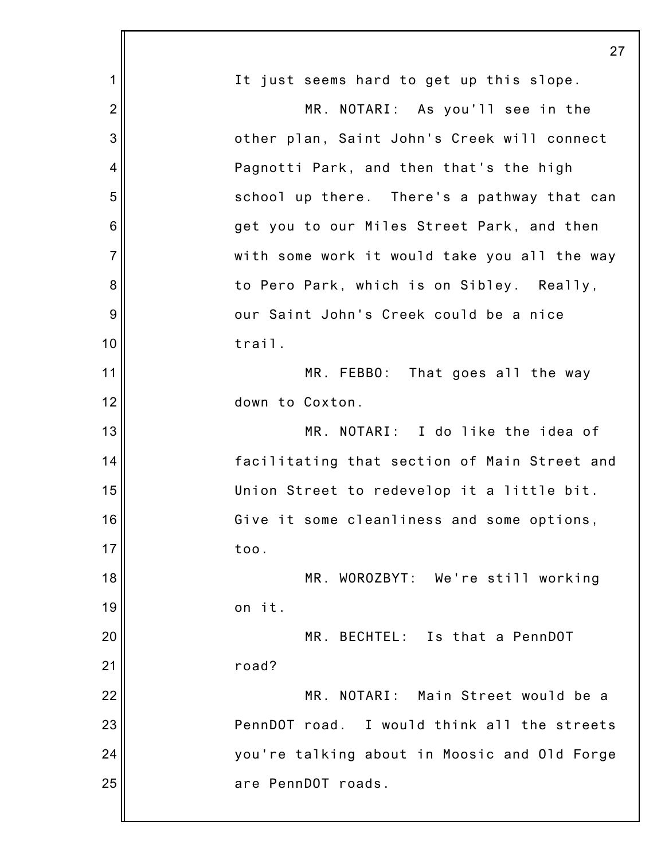|                | 27                                           |
|----------------|----------------------------------------------|
| 1              | It just seems hard to get up this slope.     |
| $\overline{2}$ | MR. NOTARI: As you'll see in the             |
| 3              | other plan, Saint John's Creek will connect  |
| 4              | Pagnotti Park, and then that's the high      |
| 5              | school up there. There's a pathway that can  |
| 6              | get you to our Miles Street Park, and then   |
| $\overline{7}$ | with some work it would take you all the way |
| 8              | to Pero Park, which is on Sibley. Really,    |
| 9              | our Saint John's Creek could be a nice       |
| 10             | trail.                                       |
| 11             | MR. FEBBO: That goes all the way             |
| 12             | down to Coxton.                              |
| 13             | MR. NOTARI: I do like the idea of            |
| 14             | facilitating that section of Main Street and |
| 15             | Union Street to redevelop it a little bit.   |
| 16             | Give it some cleanliness and some options,   |
| 17             | too.                                         |
| 18             | MR. WOROZBYT: We're still working            |
| 19             | on it.                                       |
| 20             | MR. BECHTEL: Is that a PennDOT               |
| 21             | road?                                        |
| 22             | MR. NOTARI: Main Street would be a           |
| 23             | PennDOT road. I would think all the streets  |
| 24             | you're talking about in Moosic and Old Forge |
| 25             | are PennDOT roads.                           |
|                |                                              |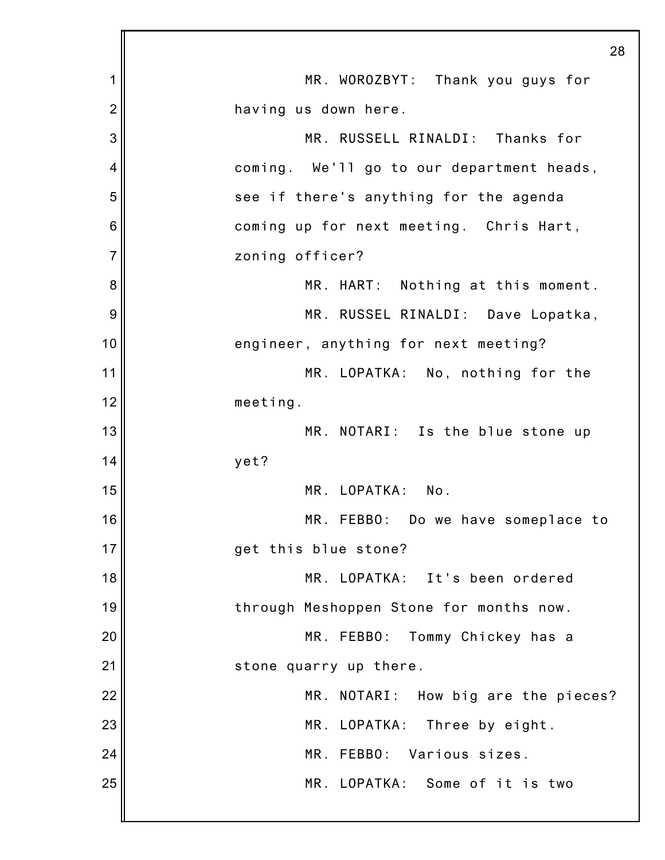|                | 28                                        |
|----------------|-------------------------------------------|
| 1              | MR. WOROZBYT: Thank you guys for          |
| $\overline{2}$ | having us down here.                      |
| 3              | MR. RUSSELL RINALDI: Thanks for           |
| 4              | coming. We'll go to our department heads, |
| 5              | see if there's anything for the agenda    |
| 6              | coming up for next meeting. Chris Hart,   |
| $\overline{7}$ | zoning officer?                           |
| 8              | MR. HART: Nothing at this moment.         |
| 9              | MR. RUSSEL RINALDI: Dave Lopatka,         |
| 10             | engineer, anything for next meeting?      |
| 11             | MR. LOPATKA: No, nothing for the          |
| 12             | meeting.                                  |
| 13             | MR. NOTARI: Is the blue stone up          |
| 14             | yet?                                      |
| 15             | MR. LOPATKA:<br>No.                       |
| 16             | MR. FEBBO: Do we have someplace to        |
| 17             | get this blue stone?                      |
| 18             | MR. LOPATKA: It's been ordered            |
| 19             | through Meshoppen Stone for months now.   |
| 20             | MR. FEBBO: Tommy Chickey has a            |
| 21             | stone quarry up there.                    |
| 22             | MR. NOTARI: How big are the pieces?       |
| 23             | MR. LOPATKA:<br>Three by eight.           |
| 24             | MR. FEBBO: Various sizes.                 |
| 25             | MR. LOPATKA: Some of it is two            |
|                |                                           |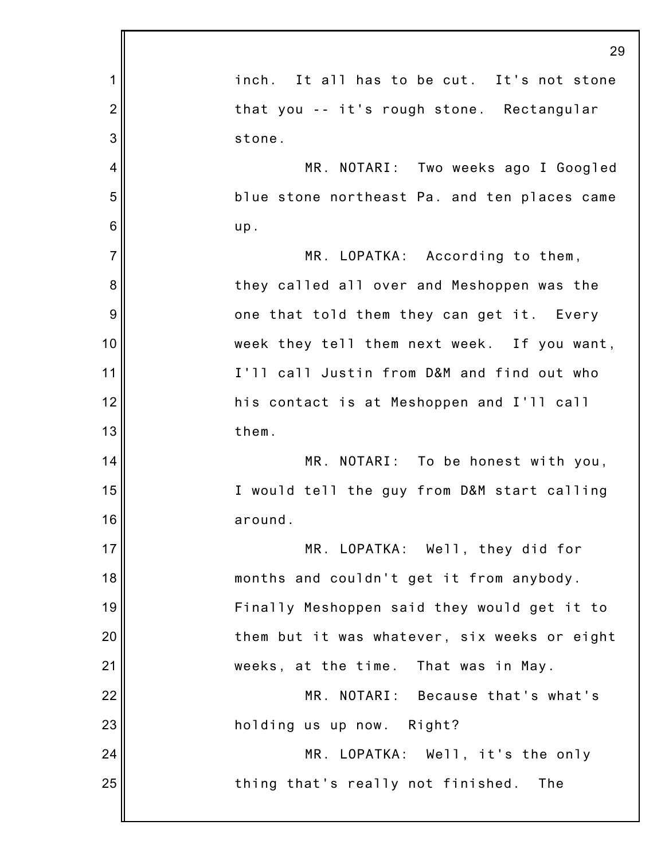|                | 29                                           |
|----------------|----------------------------------------------|
| 1              | inch. It all has to be cut. It's not stone   |
| $\overline{2}$ | that you -- it's rough stone. Rectangular    |
| 3              | stone.                                       |
| $\overline{4}$ | MR. NOTARI: Two weeks ago I Googled          |
| 5              | blue stone northeast Pa. and ten places came |
| 6              | up.                                          |
| $\overline{7}$ | MR. LOPATKA: According to them,              |
| 8              | they called all over and Meshoppen was the   |
| 9              | one that told them they can get it. Every    |
| 10             | week they tell them next week. If you want,  |
| 11             | I'll call Justin from D&M and find out who   |
| 12             | his contact is at Meshoppen and I'll call    |
| 13             | them.                                        |
| 14             | MR. NOTARI: To be honest with you,           |
| 15             | I would tell the guy from D&M start calling  |
| 16             | around.                                      |
| 17             | MR. LOPATKA: Well, they did for              |
| 18             | months and couldn't get it from anybody.     |
| 19             | Finally Meshoppen said they would get it to  |
| 20             | them but it was whatever, six weeks or eight |
| 21             | weeks, at the time. That was in May.         |
| 22             | MR. NOTARI: Because that's what's            |
| 23             | holding us up now. Right?                    |
| 24             | MR. LOPATKA: Well, it's the only             |
| 25             | thing that's really not finished.<br>The     |
|                |                                              |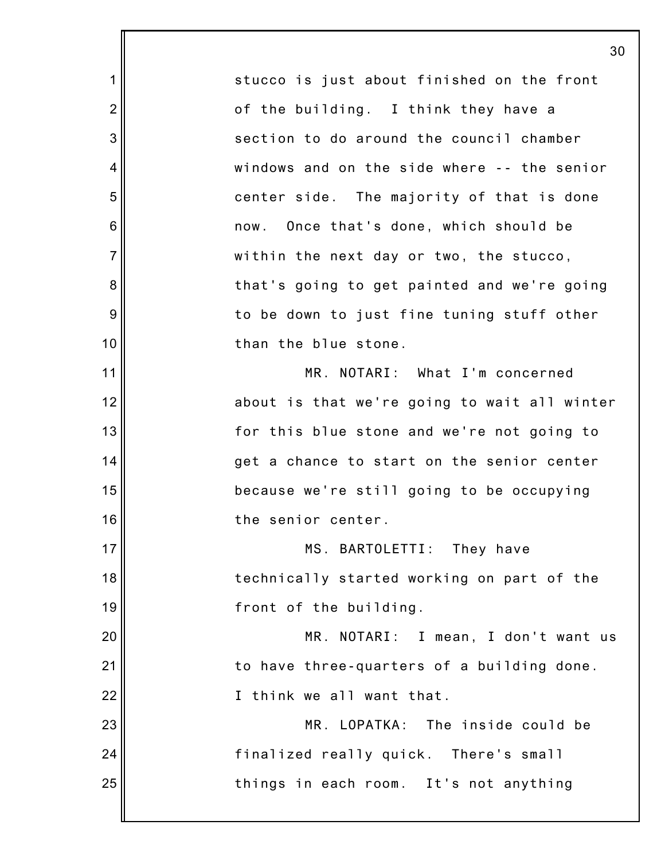7 stucco is just about finished on the front of the building. I think they have a section to do around the council chamber windows and on the side where -- the senior center side. The majority of that is done now. Once that's done, which should be within the next day or two, the stucco, that's going to get painted and we're going to be down to just fine tuning stuff other than the blue stone. MR. NOTARI: What I'm concerned about is that we're going to wait all winter for this blue stone and we're not going to get a chance to start on the senior center because we're still going to be occupying the senior center. MS. BARTOLETTI: They have technically started working on part of the front of the building. MR. NOTARI: I mean, I don't want us to have three-quarters of a building done. I think we all want that. MR. LOPATKA: The inside could be finalized really quick. There's small things in each room. It's not anything

1

2

3

4

5

6

8

9

10

11

12

13

14

15

16

17

18

19

20

21

22

23

24

25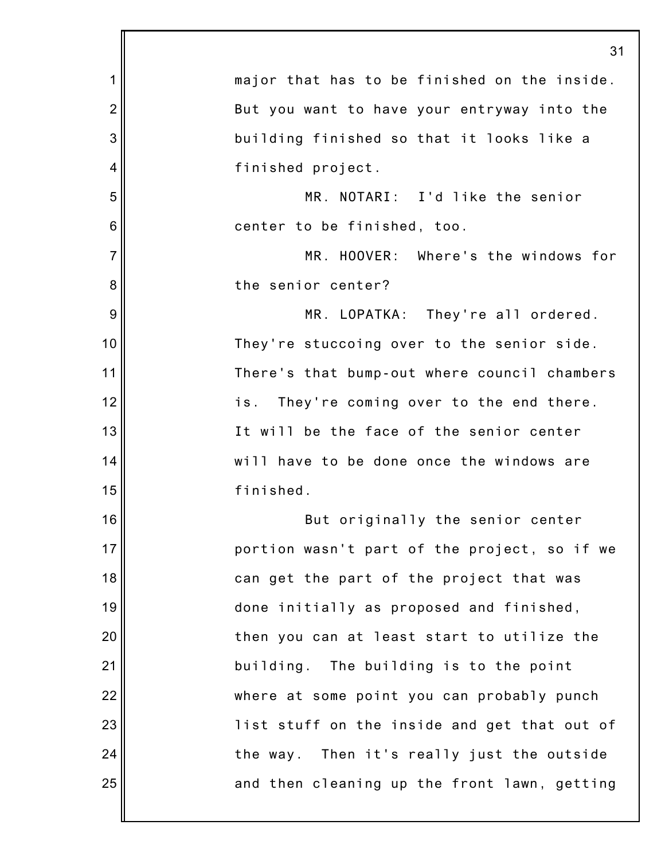|                | 31                                            |
|----------------|-----------------------------------------------|
| 1              | major that has to be finished on the inside.  |
| $\overline{2}$ | But you want to have your entryway into the   |
| 3              | building finished so that it looks like a     |
| 4              | finished project.                             |
| 5              | MR. NOTARI: I'd like the senior               |
| 6              | center to be finished, too.                   |
| $\overline{7}$ | MR. HOOVER: Where's the windows for           |
| 8              | the senior center?                            |
| 9              | MR. LOPATKA: They're all ordered.             |
| 10             | They're stuccoing over to the senior side.    |
| 11             | There's that bump-out where council chambers  |
| 12             | They're coming over to the end there.<br>is.  |
| 13             | It will be the face of the senior center      |
| 14             | will have to be done once the windows are     |
| 15             | finished.                                     |
| 16             | But originally the senior center              |
| 17             | portion wasn't part of the project, so if we  |
| 18             | can get the part of the project that was      |
| 19             | done initially as proposed and finished,      |
| 20             | then you can at least start to utilize the    |
| 21             | building. The building is to the point        |
| 22             | where at some point you can probably punch    |
| 23             | list stuff on the inside and get that out of  |
| 24             | Then it's really just the outside<br>the way. |
| 25             | and then cleaning up the front lawn, getting  |
|                |                                               |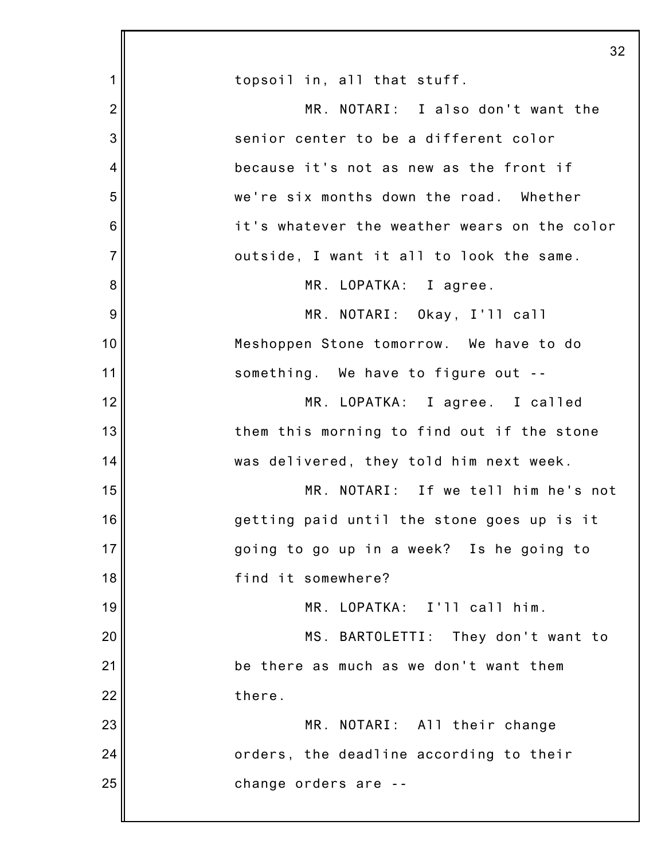|                | 32                                           |
|----------------|----------------------------------------------|
| 1              | topsoil in, all that stuff.                  |
| $\overline{2}$ | MR. NOTARI: I also don't want the            |
| 3              | senior center to be a different color        |
| 4              | because it's not as new as the front if      |
| 5              | we're six months down the road. Whether      |
| 6              | it's whatever the weather wears on the color |
| $\overline{7}$ | outside, I want it all to look the same.     |
| 8              | MR. LOPATKA: I agree.                        |
| 9              | MR. NOTARI: Okay, I'll call                  |
| 10             | Meshoppen Stone tomorrow. We have to do      |
| 11             | something. We have to figure out --          |
| 12             | MR. LOPATKA: I agree. I called               |
| 13             | them this morning to find out if the stone   |
| 14             | was delivered, they told him next week.      |
| 15             | MR. NOTARI: If we tell him he's not          |
| 16             | getting paid until the stone goes up is it   |
| 17             | going to go up in a week? Is he going to     |
| 18             | find it somewhere?                           |
| 19             | MR. LOPATKA: I'll call him.                  |
| 20             | MS. BARTOLETTI: They don't want to           |
| 21             | be there as much as we don't want them       |
| 22             | there.                                       |
| 23             | MR. NOTARI: All their change                 |
| 24             | orders, the deadline according to their      |
| 25             | change orders are --                         |
|                |                                              |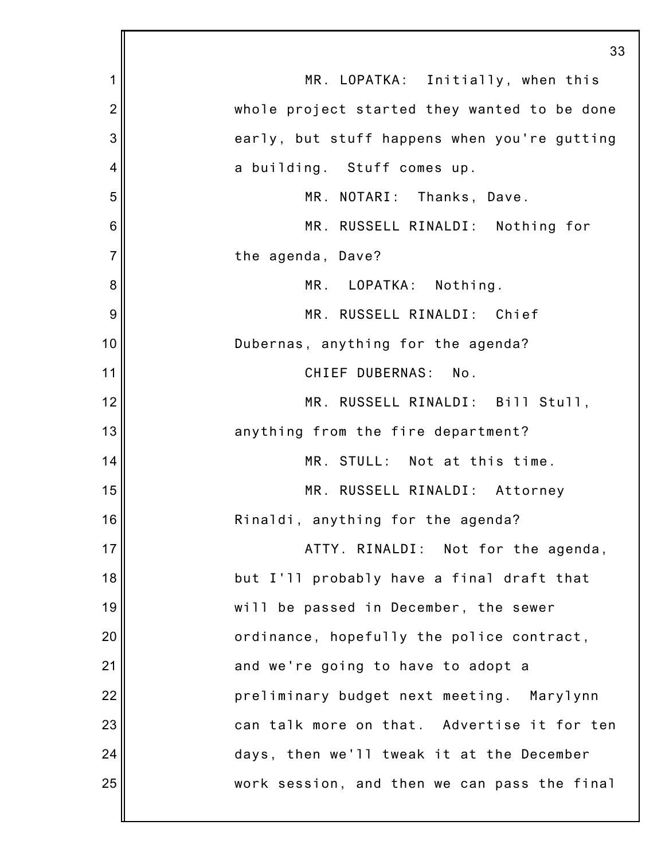|                | 33                                           |
|----------------|----------------------------------------------|
| 1              | MR. LOPATKA: Initially, when this            |
| $\overline{2}$ | whole project started they wanted to be done |
| 3              | early, but stuff happens when you're gutting |
| 4              | a building. Stuff comes up.                  |
| 5              | MR. NOTARI: Thanks, Dave.                    |
| 6              | MR. RUSSELL RINALDI: Nothing for             |
| $\overline{7}$ | the agenda, Dave?                            |
| 8              | MR. LOPATKA: Nothing.                        |
| 9              | MR. RUSSELL RINALDI: Chief                   |
| 10             | Dubernas, anything for the agenda?           |
| 11             | CHIEF DUBERNAS: No.                          |
| 12             | MR. RUSSELL RINALDI: Bill Stull,             |
| 13             | anything from the fire department?           |
| 14             | MR. STULL: Not at this time.                 |
| 15             | MR. RUSSELL RINALDI: Attorney                |
| 16             | Rinaldi, anything for the agenda?            |
| 17             | ATTY. RINALDI: Not for the agenda,           |
| 18             | but I'll probably have a final draft that    |
| 19             | will be passed in December, the sewer        |
| 20             | ordinance, hopefully the police contract,    |
| 21             | and we're going to have to adopt a           |
| 22             | preliminary budget next meeting. Marylynn    |
| 23             | can talk more on that. Advertise it for ten  |
| 24             | days, then we'll tweak it at the December    |
| 25             | work session, and then we can pass the final |
|                |                                              |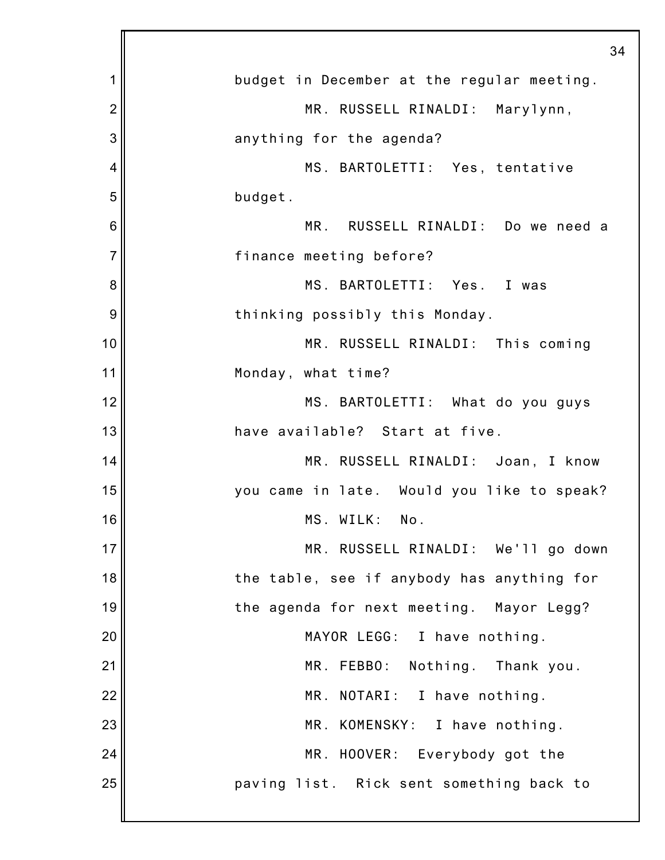|                | 34                                         |
|----------------|--------------------------------------------|
| 1              | budget in December at the regular meeting. |
| $\overline{2}$ | MR. RUSSELL RINALDI: Marylynn,             |
| 3              | anything for the agenda?                   |
| 4              | MS. BARTOLETTI: Yes, tentative             |
| 5              | budget.                                    |
| 6              | MR. RUSSELL RINALDI: Do we need a          |
| 7              | finance meeting before?                    |
| 8              | MS. BARTOLETTI: Yes. I was                 |
| 9              | thinking possibly this Monday.             |
| 10             | MR. RUSSELL RINALDI: This coming           |
| 11             | Monday, what time?                         |
| 12             | MS. BARTOLETTI: What do you guys           |
| 13             | have available? Start at five.             |
| 14             | MR. RUSSELL RINALDI: Joan, I know          |
| 15             | you came in late. Would you like to speak? |
| 16             | MS. WILK:<br>No.                           |
| 17             | MR. RUSSELL RINALDI: We'll go down         |
| 18             | the table, see if anybody has anything for |
| 19             | the agenda for next meeting. Mayor Legg?   |
| 20             | MAYOR LEGG: I have nothing.                |
| 21             | MR. FEBBO:<br>Nothing. Thank you.          |
| 22             | MR. NOTARI: I have nothing.                |
| 23             | MR. KOMENSKY: I have nothing.              |
| 24             | MR. HOOVER: Everybody got the              |
| 25             | paving list. Rick sent something back to   |
|                |                                            |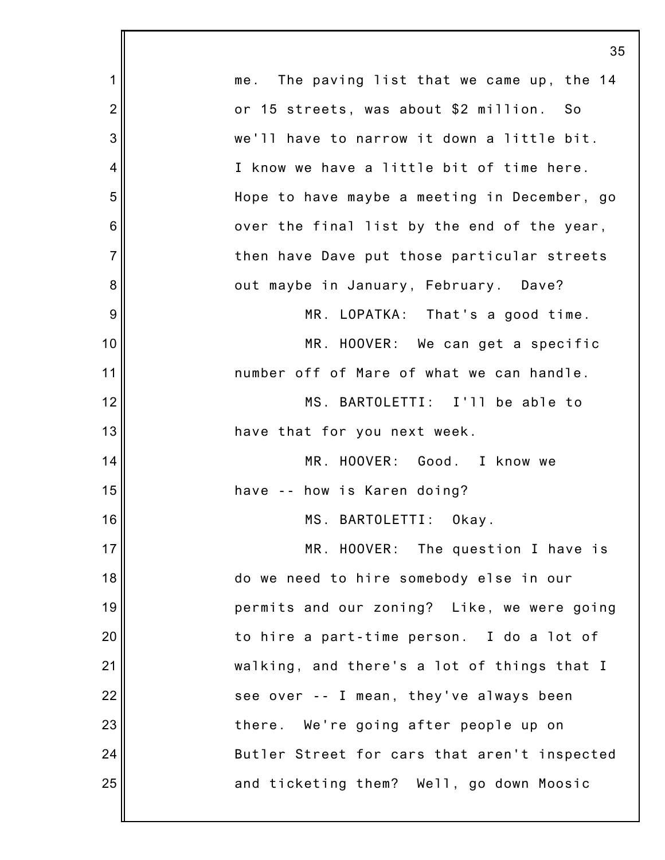|                | 35                                             |
|----------------|------------------------------------------------|
| 1              | The paving list that we came up, the 14<br>me. |
| $\overline{2}$ | or 15 streets, was about \$2 million. So       |
| 3              | we'll have to narrow it down a little bit.     |
| 4              | I know we have a little bit of time here.      |
| 5              | Hope to have maybe a meeting in December, go   |
| 6              | over the final list by the end of the year,    |
| $\overline{7}$ | then have Dave put those particular streets    |
| 8              | out maybe in January, February. Dave?          |
| 9              | MR. LOPATKA: That's a good time.               |
| 10             | MR. HOOVER: We can get a specific              |
| 11             | number off of Mare of what we can handle.      |
| 12             | MS. BARTOLETTI: I'll be able to                |
| 13             | have that for you next week.                   |
| 14             | MR. HOOVER: Good. I know we                    |
| 15             | have -- how is Karen doing?                    |
| 16             | MS. BARTOLETTI: Okay.                          |
| 17             | MR. HOOVER: The question I have is             |
| 18             | do we need to hire somebody else in our        |
| 19             | permits and our zoning? Like, we were going    |
| 20             | to hire a part-time person. I do a lot of      |
| 21             | walking, and there's a lot of things that I    |
| 22             | see over -- I mean, they've always been        |
| 23             | there. We're going after people up on          |
| 24             | Butler Street for cars that aren't inspected   |
| 25             | and ticketing them? Well, go down Moosic       |
|                |                                                |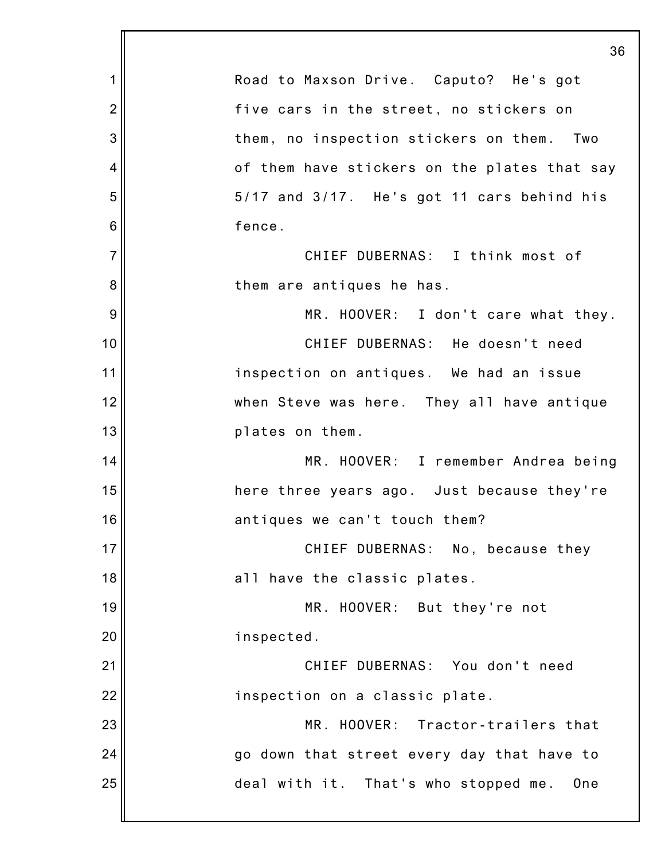|                 | 36                                           |
|-----------------|----------------------------------------------|
| $\mathbf 1$     | Road to Maxson Drive. Caputo? He's got       |
| $\overline{2}$  | five cars in the street, no stickers on      |
| 3               | them, no inspection stickers on them. Two    |
| 4               | of them have stickers on the plates that say |
| 5               | 5/17 and 3/17. He's got 11 cars behind his   |
| $6\phantom{1}6$ | fence.                                       |
| $\overline{7}$  | CHIEF DUBERNAS: I think most of              |
| 8               | them are antiques he has.                    |
| 9               | MR. HOOVER: I don't care what they.          |
| 10              | CHIEF DUBERNAS: He doesn't need              |
| 11              | inspection on antiques. We had an issue      |
| 12              | when Steve was here. They all have antique   |
| 13              | plates on them.                              |
| 14              | MR. HOOVER: I remember Andrea being          |
| 15              | here three years ago. Just because they're   |
| 16              | antiques we can't touch them?                |
| 17              | CHIEF DUBERNAS: No, because they             |
| 18              | all have the classic plates.                 |
| 19              | MR. HOOVER: But they're not                  |
| 20              | inspected.                                   |
| 21              | CHIEF DUBERNAS: You don't need               |
| 22              | inspection on a classic plate.               |
| 23              | MR. HOOVER: Tractor-trailers that            |
| 24              | go down that street every day that have to   |
| 25              | deal with it. That's who stopped me.<br>One  |
|                 |                                              |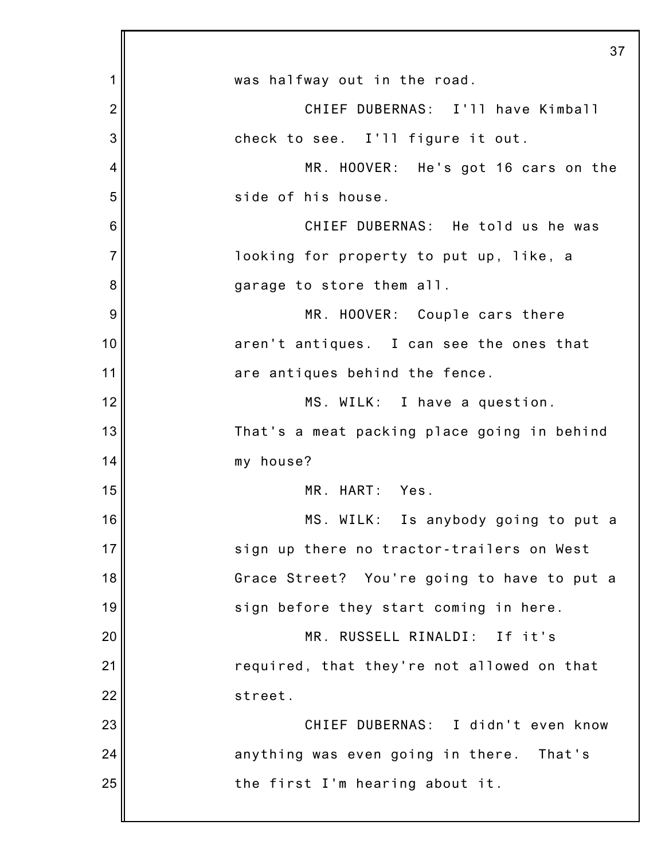|                | 37                                          |
|----------------|---------------------------------------------|
| 1              | was halfway out in the road.                |
| $\overline{2}$ | CHIEF DUBERNAS: I'll have Kimball           |
| 3              | check to see. I'll figure it out.           |
| 4              | MR. HOOVER: He's got 16 cars on the         |
| 5              | side of his house.                          |
| 6              | CHIEF DUBERNAS: He told us he was           |
| $\overline{7}$ | looking for property to put up, like, a     |
| 8              | garage to store them all.                   |
| 9              | MR. HOOVER: Couple cars there               |
| 10             | aren't antiques. I can see the ones that    |
| 11             | are antiques behind the fence.              |
| 12             | MS. WILK: I have a question.                |
| 13             | That's a meat packing place going in behind |
| 14             | my house?                                   |
| 15             | MR. HART: Yes.                              |
| 16             | MS. WILK: Is anybody going to put a         |
| 17             | sign up there no tractor-trailers on West   |
| 18             | Grace Street? You're going to have to put a |
| 19             | sign before they start coming in here.      |
| 20             | MR. RUSSELL RINALDI:<br>If it's             |
| 21             | required, that they're not allowed on that  |
| 22             | street.                                     |
| 23             | CHIEF DUBERNAS: I didn't even know          |
| 24             | anything was even going in there. That's    |
| 25             | the first I'm hearing about it.             |
|                |                                             |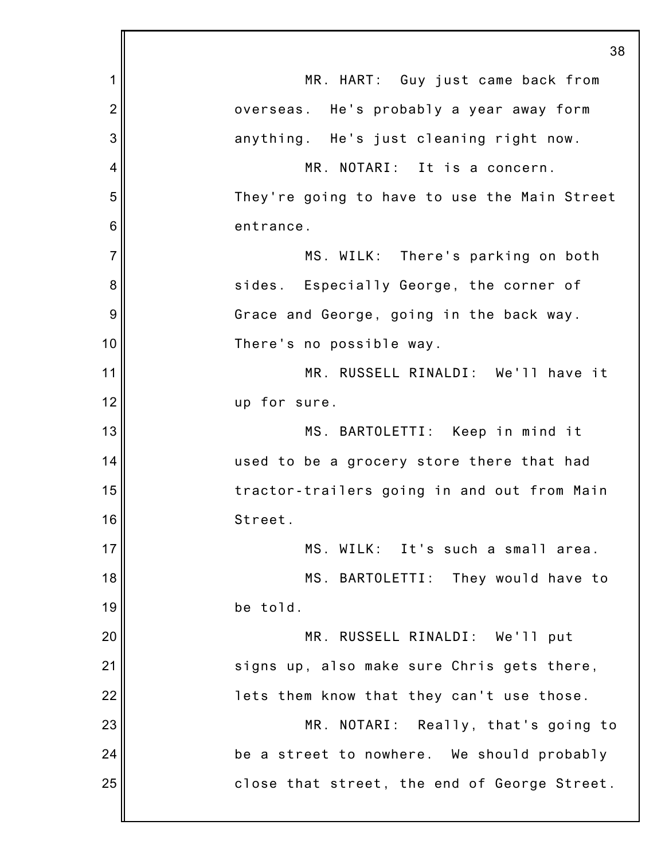|                | 38                                           |
|----------------|----------------------------------------------|
| 1              | MR. HART: Guy just came back from            |
| $\overline{2}$ | overseas. He's probably a year away form     |
| 3              | anything. He's just cleaning right now.      |
| 4              | MR. NOTARI: It is a concern.                 |
| 5              | They're going to have to use the Main Street |
| 6              | entrance.                                    |
| $\overline{7}$ | MS. WILK: There's parking on both            |
| 8              | sides. Especially George, the corner of      |
| 9              | Grace and George, going in the back way.     |
| 10             | There's no possible way.                     |
| 11             | MR. RUSSELL RINALDI: We'll have it           |
| 12             | up for sure.                                 |
| 13             | MS. BARTOLETTI: Keep in mind it              |
| 14             | used to be a grocery store there that had    |
| 15             | tractor-trailers going in and out from Main  |
| 16             | Street.                                      |
| 17             | MS. WILK: It's such a small area.            |
| 18             | MS. BARTOLETTI: They would have to           |
| 19             | be told.                                     |
| 20             | MR. RUSSELL RINALDI: We'll put               |
| 21             | signs up, also make sure Chris gets there,   |
| 22             | lets them know that they can't use those.    |
| 23             | MR. NOTARI: Really, that's going to          |
| 24             | be a street to nowhere. We should probably   |
| 25             | close that street, the end of George Street. |
|                |                                              |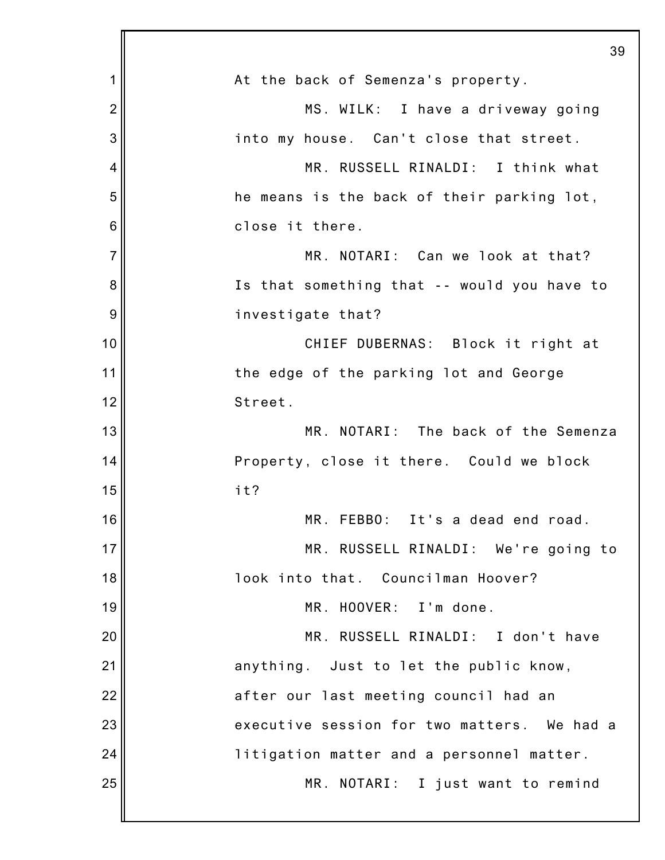|                | 39                                          |
|----------------|---------------------------------------------|
| 1              | At the back of Semenza's property.          |
| $\overline{2}$ | MS. WILK: I have a driveway going           |
| 3              | into my house. Can't close that street.     |
| 4              | MR. RUSSELL RINALDI: I think what           |
| 5              | he means is the back of their parking lot,  |
| 6              | close it there.                             |
| $\overline{7}$ | MR. NOTARI: Can we look at that?            |
| 8              | Is that something that -- would you have to |
| 9              | investigate that?                           |
| 10             | CHIEF DUBERNAS: Block it right at           |
| 11             | the edge of the parking lot and George      |
| 12             | Street.                                     |
| 13             | MR. NOTARI: The back of the Semenza         |
| 14             | Property, close it there. Could we block    |
| 15             | it?                                         |
| 16             | MR. FEBBO: It's a dead end road.            |
| 17             | MR. RUSSELL RINALDI: We're going to         |
| 18             | look into that. Councilman Hoover?          |
| 19             | MR. HOOVER: I'm done.                       |
| 20             | MR. RUSSELL RINALDI: I don't have           |
| 21             | anything. Just to let the public know,      |
| 22             | after our last meeting council had an       |
| 23             | executive session for two matters. We had a |
| 24             | litigation matter and a personnel matter.   |
| 25             | MR. NOTARI: I just want to remind           |
|                |                                             |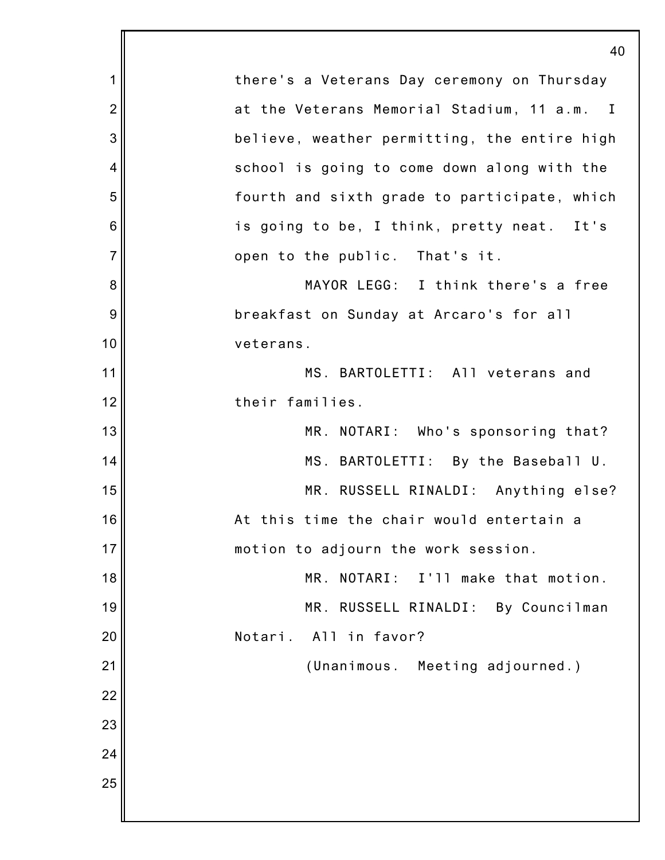1 2 3 4 5 6 7 8 9 10 11 12 13 14 15 16 17 18 19 20 21 22 23 24 25 40 there's a Veterans Day ceremony on Thursday at the Veterans Memorial Stadium, 11 a.m. I believe, weather permitting, the entire high school is going to come down along with the fourth and sixth grade to participate, which is going to be, I think, pretty neat. It's open to the public. That's it. MAYOR LEGG: I think there's a free breakfast on Sunday at Arcaro's for all veterans. MS. BARTOLETTI: All veterans and their families. MR. NOTARI: Who's sponsoring that? MS. BARTOLETTI: By the Baseball U. MR. RUSSELL RINALDI: Anything else? At this time the chair would entertain a motion to adjourn the work session. MR. NOTARI: I'll make that motion. MR. RUSSELL RINALDI: By Councilman Notari. All in favor? (Unanimous. Meeting adjourned.)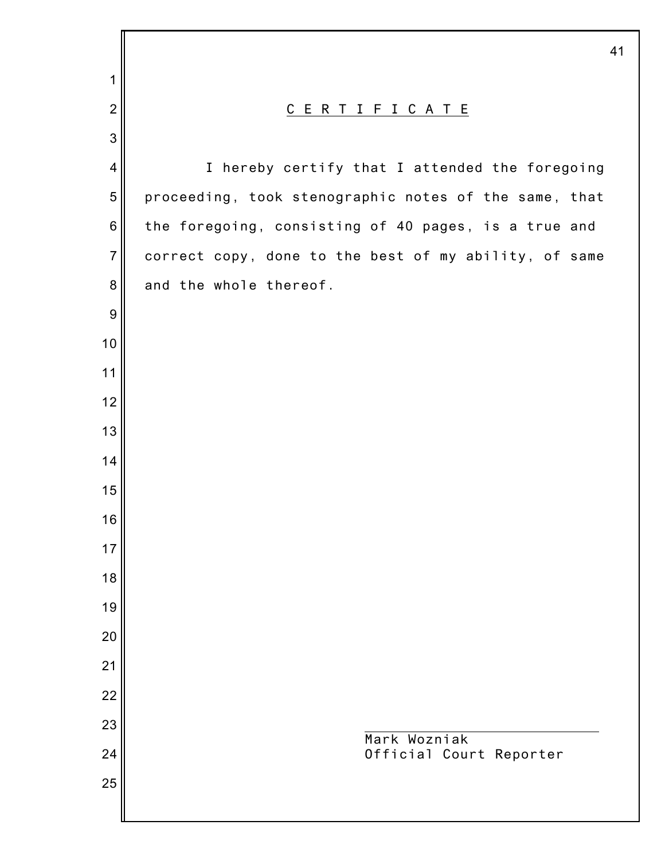|                  | 41                                                    |
|------------------|-------------------------------------------------------|
| 1                |                                                       |
| $\overline{2}$   | C E R T I F I C A T E                                 |
| $\mathbf{3}$     |                                                       |
| $\overline{4}$   | I hereby certify that I attended the foregoing        |
| 5                | proceeding, took stenographic notes of the same, that |
| $\,6$            | the foregoing, consisting of 40 pages, is a true and  |
| $\overline{7}$   | correct copy, done to the best of my ability, of same |
| $\bf 8$          | and the whole thereof.                                |
| $\boldsymbol{9}$ |                                                       |
| 10               |                                                       |
| 11               |                                                       |
| 12               |                                                       |
| 13               |                                                       |
| 14               |                                                       |
| 15               |                                                       |
| 16               |                                                       |
| 17               |                                                       |
| 18               |                                                       |
| 19               |                                                       |
| 20               |                                                       |
| 21               |                                                       |
| 22<br>23         |                                                       |
| 24               | Mark Wozniak<br>Official Court Reporter               |
| 25               |                                                       |
|                  |                                                       |
|                  |                                                       |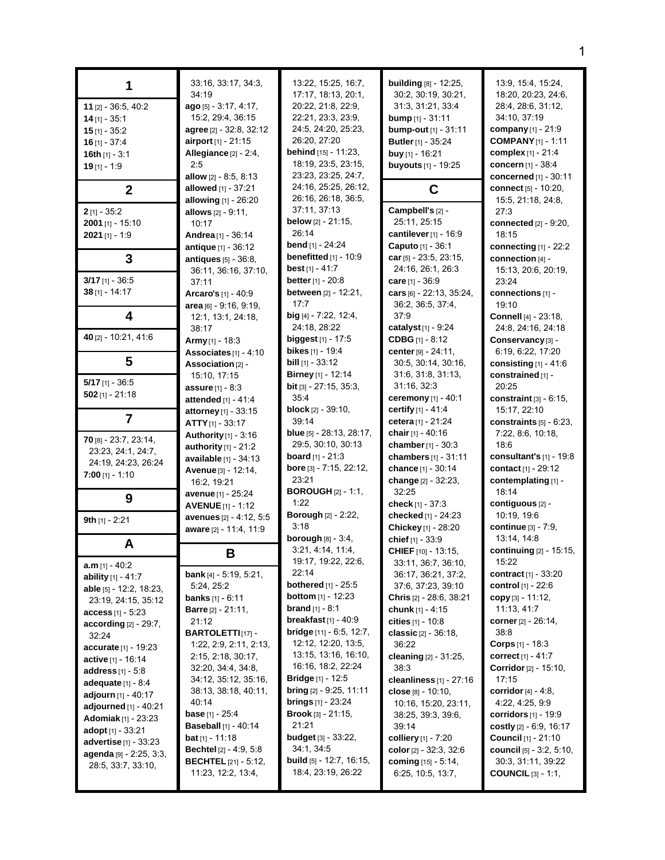|                                                     | 33:16, 33:17, 34:3,<br>34:19                            | 13:22, 15:25, 16:7,<br>17:17, 18:13, 20:1,                  | <b>building</b> [8] - 12:25,<br>30:2, 30:19, 30:21, | 13.9, 15.4, 15.24,<br>18:20, 20:23, 24:6,               |
|-----------------------------------------------------|---------------------------------------------------------|-------------------------------------------------------------|-----------------------------------------------------|---------------------------------------------------------|
| 11 [2] - 36:5, 40:2                                 | ago [5] - 3:17, 4:17,                                   | 20:22, 21:8, 22:9,                                          | 31:3, 31:21, 33:4                                   | 28.4, 28.6, 31.12,                                      |
| $14$ [1] - 35:1                                     | 15:2, 29:4, 36:15                                       | 22:21, 23:3, 23:9,                                          | <b>bump</b> $[1] - 31.11$                           | 34:10, 37:19                                            |
| $15$ [1] - 35:2                                     | <b>agree</b> [2] - 32:8, 32:12                          | 24:5, 24:20, 25:23,                                         | bump-out [1] - 31:11                                | company $[1] - 21:9$                                    |
| $16$ [1] - 37:4                                     | airport [1] - 21:15                                     | 26:20, 27:20                                                | <b>Butler</b> [1] - 35:24                           | <b>COMPANY</b> [1] - 1:11                               |
| 16th $[1] - 3:1$                                    | Allegiance [2] - 2:4,                                   | behind [15] - 11:23,                                        | buy [1] - 16:21                                     | complex [1] - 21:4                                      |
| $19$ [1] - 1:9                                      | 2:5                                                     | 18:19, 23:5, 23:15,                                         | buyouts [1] - 19:25                                 | concern [1] - 38:4                                      |
|                                                     | allow $[2] - 8:5, 8:13$                                 | 23:23, 23:25, 24:7,                                         |                                                     | <b>concerned</b> $[1] - 30:11$                          |
| $\mathbf{2}$                                        | allowed [1] - 37:21                                     | 24:16, 25:25, 26:12,<br>26:16, 26:18, 36:5,                 | C                                                   | <b>connect</b> $[5] - 10:20$ ,                          |
|                                                     | allowing [1] - 26:20                                    | 37:11, 37:13                                                | Campbell's [2] -                                    | 15:5, 21:18, 24:8,                                      |
| $2$ [1] - 35:2<br>2001 [1] - 15:10                  | allows [2] - 9:11,                                      | <b>below</b> $[2] - 21:15$                                  | 25:11, 25:15                                        | 27:3<br>connected $[2] - 9:20$ ,                        |
| $2021$ [1] - 1:9                                    | 10:17<br>Andrea [1] - 36:14                             | 26:14                                                       | <b>cantilever</b> [1] - 16:9                        | 18:15                                                   |
|                                                     | antique $[1] - 36:12$                                   | bend [1] - 24:24                                            | Caputo [1] - 36:1                                   | connecting $[1]$ - 22:2                                 |
| 3                                                   | antiques [5] - 36:8,                                    | benefitted $[1]$ - 10:9                                     | car [5] - 23:5, 23:15,                              | connection [4] -                                        |
|                                                     | 36:11, 36:16, 37:10,                                    | best $[1] - 41:7$                                           | 24:16, 26:1, 26:3                                   | 15:13, 20:6, 20:19,                                     |
| $3/17$ [1] - 36:5                                   | 37:11                                                   | <b>better</b> $[1] - 20.8$                                  | care [1] - 36:9                                     | 23:24                                                   |
| $38$ [1] - 14:17                                    | Arcaro's [1] - 40:9                                     | between [2] - 12:21,                                        | cars [6] - 22:13, 35:24,                            | connections [1] -                                       |
|                                                     | $area$ [6] - 9.16, 9.19,                                | 17:7                                                        | 36.2, 36.5, 37.4,                                   | 19:10                                                   |
| 4                                                   | 12:1, 13:1, 24:18,                                      | big [4] - 7:22, 12:4,                                       | 37:9                                                | Connell [4] - 23:18,                                    |
|                                                     | 38:17                                                   | 24:18, 28:22                                                | catalyst $[1] - 9:24$                               | 24:8, 24:16, 24:18                                      |
| 40 [2] - 10:21, 41:6                                | Army $[1]$ - 18:3                                       | <b>biggest</b> $[1]$ - 17:5                                 | <b>CDBG</b> $[1] - 8:12$                            | Conservancy [3] -                                       |
|                                                     | Associates [1] - 4:10                                   | bikes [1] - 19:4                                            | <b>center</b> $[9] - 24:11,$                        | 6:19, 6:22, 17:20                                       |
| 5                                                   | Association [2] -                                       | <b>bill</b> $[1]$ - 33:12                                   | 30.5, 30.14, 30.16,                                 | consisting $[1]$ - 41:6                                 |
| $5/17$ [1] - 36:5                                   | 15:10, 17:15                                            | <b>Birney</b> [1] - 12:14                                   | 31:6, 31:8, 31:13,                                  | constrained [1] -                                       |
| $502$ [1] - 21:18                                   | <b>assure</b> $[1] - 8:3$                               | <b>bit</b> [3] $- 27:15, 35:3,$                             | 31:16, 32:3                                         | 20:25                                                   |
|                                                     | attended [1] - 41:4                                     | 35:4                                                        | ceremony [1] - 40:1<br><b>certify</b> [1] - 41:4    | constraint $[3] - 6.15$ ,                               |
| $\overline{7}$                                      | attorney [1] - 33:15                                    | <b>block</b> $[2]$ - 39:10,<br>39:14                        | cetera [1] - 21:24                                  | 15:17, 22:10<br>constraints $[5] - 6.23$ ,              |
|                                                     | $ATTY_{[1]} - 33:17$                                    | <b>blue</b> $[5]$ - 28:13, 28:17,                           | chair [1] - 40:16                                   | 7:22, 8:6, 10:18,                                       |
| 70 [8] - 23:7, 23:14,                               | Authority [1] - 3:16<br>authority $[1]$ - 21:2          | 29:5, 30:10, 30:13                                          | chamber [1] - 30:3                                  | 18:6                                                    |
| 23:23, 24:1, 24:7,                                  | available [1] - 34:13                                   | <b>board</b> [1] - 21:3                                     | chambers $[1] - 31:11$                              | consultant's $[1]$ - 19:8                               |
| 24:19, 24:23, 26:24                                 | Avenue [3] - 12:14,                                     | bore [3] - 7:15, 22:12,                                     | chance [1] - 30:14                                  | contact <sub>[1]</sub> - 29:12                          |
| 7:00 [1] - 1:10                                     | 16:2, 19:21                                             | 23:21                                                       | change [2] - 32:23,                                 | contemplating [1] -                                     |
| 9                                                   | <b>avenue</b> [1] - 25:24                               | <b>BOROUGH</b> [2] - 1:1,                                   | 32:25                                               | 18:14                                                   |
|                                                     | <b>AVENUE</b> [1] - 1:12                                | 1:22                                                        | check $[1] - 37:3$                                  | contiguous [2] -                                        |
| 9th $[1]$ - 2:21                                    | avenues [2] - 4:12, 5:5                                 | <b>Borough [2] - 2:22,</b>                                  | checked [1] - 24:23                                 | 10:19, 19:6                                             |
|                                                     | aware [2] - 11:4, 11:9                                  | 3:18                                                        | Chickey [1] - 28:20                                 | <b>continue</b> [3] - 7:9,                              |
| A                                                   |                                                         | borough $[8] - 3.4$ ,                                       | chief [1] - 33:9                                    | 13:14, 14:8                                             |
|                                                     | В                                                       | 3.21, 4.14, 11.4,<br>19:17, 19:22, 22:6,                    | CHIEF [10] - 13:15,                                 | continuing [2] - 15:15,                                 |
| $a.m$ [1] - 40:2                                    | <b>bank</b> [4] - 5:19, 5:21,                           | 22:14                                                       | 33.11, 36:7, 36:10,<br>36:17, 36:21, 37:2,          | 15:22<br><b>contract</b> $[1] - 33:20$                  |
| ability [1] - 41:7                                  | 5:24, 25:2                                              | <b>bothered</b> [1] - 25:5                                  | 37:6, 37:23, 39:10                                  | <b>control</b> $[1] - 22:6$                             |
| able [5] - 12:2, 18:23,                             | <b>banks</b> $[1]$ - $6:11$                             | <b>bottom</b> $[1] - 12:23$                                 | <b>Chris</b> $[2]$ - 28:6, 38:21                    | copy $[3] - 11:12$ ,                                    |
| 23:19, 24:15, 35:12                                 | <b>Barre</b> $[2] - 21:11$ ,                            | <b>brand</b> $[1] - 8:1$                                    | chunk $[1] - 4:15$                                  | 11:13, 41:7                                             |
| <b>access</b> [1] - $5:23$<br>according [2] - 29:7, | 21:12                                                   | breakfast $[1]$ - 40:9                                      | cities $[1] - 10.8$                                 | <b>corner</b> [2] - 26:14,                              |
| 32:24                                               | <b>BARTOLETTI</b> [17] -                                | <b>bridge</b> $[11] - 6.5, 12.7,$                           | classic $[2] - 36:18$ ,                             | 38.8                                                    |
| <b>accurate</b> $[1] - 19:23$                       | 1:22, 2:9, 2:11, 2:13,                                  | 12:12, 12:20, 13:5,                                         | 36:22                                               | <b>Corps</b> $[1] - 18.3$                               |
| active [1] - 16:14                                  | 2:15, 2:18, 30:17,                                      | 13:15, 13:16, 16:10,                                        | cleaning [2] - 31:25,                               | correct $[1] - 41.7$                                    |
| <b>address</b> $[1] - 5:8$                          | 32:20, 34:4, 34:8,                                      | 16:16, 18:2, 22:24                                          | 38:3                                                | <b>Corridor</b> [2] - 15:10,                            |
| <b>adequate</b> $[1] - 8.4$                         | 34:12, 35:12, 35:16,                                    | <b>Bridge</b> $[1]$ - 12:5                                  | cleanliness $[1]$ - 27:16                           | 17:15                                                   |
| adjourn [1] - 40:17                                 | 38:13, 38:18, 40:11,                                    | <b>bring</b> $[2] - 9:25, 11:11$                            | <b>close</b> [8] - 10:10,                           | corridor $[4] - 4:8$ ,                                  |
| adjourned $[1] - 40:21$                             | 40:14                                                   | <b>brings</b> $[1]$ - 23:24<br><b>Brook</b> $[3] - 21:15$ , | 10:16, 15:20, 23:11,                                | 4:22, 4:25, 9:9                                         |
| <b>Adomiak</b> $[1]$ - 23:23                        | <b>base</b> $[1] - 25:4$<br><b>Baseball</b> [1] - 40:14 | 21:21                                                       | 38:25, 39:3, 39:6,                                  | <b>corridors</b> $[1]$ - 19:9                           |
| <b>adopt</b> [1] - 33:21                            | <b>bat</b> [1] - 11:18                                  | <b>budget</b> $[3] - 33:22$ ,                               | 39:14<br><b>colliery</b> [1] - 7:20                 | costly $[2] - 6.9, 16.17$<br><b>Council</b> [1] - 21:10 |
| <b>advertise</b> $[1] - 33:23$                      | <b>Bechtel</b> [2] - 4:9, 5:8                           | 34:1, 34:5                                                  | color $[2] - 32:3, 32:6$                            | <b>council</b> $[5] - 3:2, 5:10,$                       |
| <b>agenda</b> [9] - 2:25, 3:3,                      | <b>BECHTEL</b> $[21] - 5:12$ ,                          | <b>build</b> [5] - 12:7, 16:15,                             | <b>coming</b> $[15] - 5.14$ ,                       | 30.3, 31:11, 39:22                                      |
| 28.5, 33.7, 33.10,                                  | 11:23, 12:2, 13:4,                                      | 18:4, 23:19, 26:22                                          | 6.25, 10.5, 13.7,                                   | <b>COUNCIL</b> $[3] - 1:1,$                             |
|                                                     |                                                         |                                                             |                                                     |                                                         |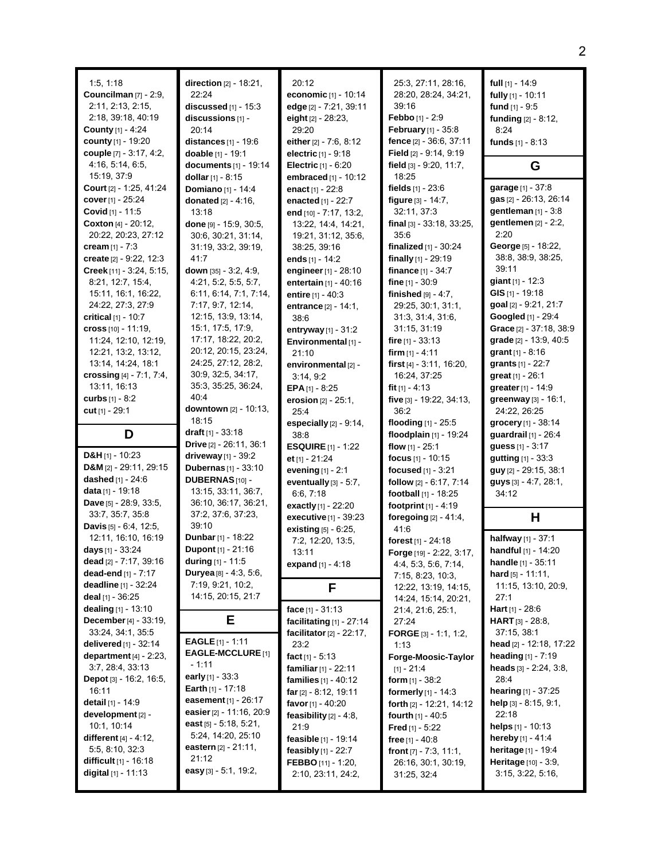| 1.5, 1.18<br><b>Councilman</b> [7] - 2:9,<br>2:11, 2:13, 2:15,<br>2:18, 39:18, 40:19<br><b>County</b> [1] - 4:24<br>county [1] - 19:20<br>couple [7] - 3:17, 4:2, | direction [2] - 18:21,<br>22:24<br>discussed $[1]$ - 15:3<br>discussions [1] -<br>20:14<br>distances $[1]$ - 19:6<br>doable [1] - 19:1 | 20:12<br>economic [1] - 10:14<br>edge [2] - 7:21, 39:11<br>eight [2] - 28:23,<br>29:20<br>either $[2] - 7.6, 8.12$<br>electric [1] - 9:18 | 25:3, 27:11, 28:16,<br>28:20, 28:24, 34:21,<br>39:16<br>Febbo [1] - 2:9<br>February [1] - 35:8<br>fence $[2] - 36.6, 37.11$<br><b>Field</b> $[2] - 9.14, 9.19$ | full $[1]$ - 14:9<br>fully [1] - 10:11<br>fund $[1]$ - 9:5<br>funding [2] - 8:12,<br>8:24<br>funds $[1] - 8:13$ |
|-------------------------------------------------------------------------------------------------------------------------------------------------------------------|----------------------------------------------------------------------------------------------------------------------------------------|-------------------------------------------------------------------------------------------------------------------------------------------|----------------------------------------------------------------------------------------------------------------------------------------------------------------|-----------------------------------------------------------------------------------------------------------------|
| 4:16, 5:14, 6:5,<br>15:19, 37.9                                                                                                                                   | documents [1] - 19:14<br>dollar $[1] - 8:15$                                                                                           | <b>Electric</b> $[1] - 6:20$<br>embraced [1] - 10:12                                                                                      | field [3] - 9:20, 11:7,<br>18:25                                                                                                                               | G                                                                                                               |
| Court [2] - 1:25, 41:24                                                                                                                                           | Domiano [1] - 14:4                                                                                                                     | enact [1] - 22:8                                                                                                                          | fields $[1] - 23.6$                                                                                                                                            | garage [1] - 37:8                                                                                               |
| cover $[1]$ - 25:24                                                                                                                                               | <b>donated</b> $[2] - 4:16$ ,                                                                                                          | enacted [1] - 22:7                                                                                                                        | figure [3] - 14:7,                                                                                                                                             | gas [2] - 26.13, 26.14                                                                                          |
| Covid [1] - 11:5                                                                                                                                                  | 13:18                                                                                                                                  | end [10] - 7:17, 13:2,                                                                                                                    | 32:11, 37:3                                                                                                                                                    | gentleman [1] - 3:8                                                                                             |
| Coxton [4] - 20:12,<br>20:22, 20:23, 27:12                                                                                                                        | done [9] - 15:9, 30:5,<br>30.6, 30.21, 31:14,                                                                                          | 13:22, 14:4, 14:21,<br>19:21, 31:12, 35:6,                                                                                                | final $[3] - 33:18$ , $33:25$ ,<br>35:6                                                                                                                        | gentlemen [2] - 2:2,<br>2:20                                                                                    |
| cream $[1] - 7:3$                                                                                                                                                 | 31:19, 33:2, 39:19,                                                                                                                    | 38.25, 39:16                                                                                                                              | finalized $[1] - 30:24$                                                                                                                                        | George [5] - 18:22,                                                                                             |
| create [2] - 9:22, 12:3                                                                                                                                           | 41:7                                                                                                                                   | ends $[1]$ - 14:2                                                                                                                         | finally [1] - 29:19                                                                                                                                            | 38.8, 38.9, 38.25,                                                                                              |
| Creek [11] - 3:24, 5:15,                                                                                                                                          | down [35] - 3:2, 4:9,                                                                                                                  | engineer [1] - 28:10                                                                                                                      | finance $[1] - 34:7$                                                                                                                                           | 39:11                                                                                                           |
| 8:21, 12:7, 15:4,                                                                                                                                                 | 4:21, 5:2, 5:5, 5:7,                                                                                                                   | entertain [1] - 40:16                                                                                                                     | fine $[1] - 30.9$                                                                                                                                              | giant $[1] - 12:3$                                                                                              |
| 15:11, 16:1, 16:22,<br>24.22, 27:3, 27:9                                                                                                                          | 6:11, 6:14, 7:1, 7:14,<br>7:17, 9:7, 12:14,                                                                                            | entire $[1] - 40.3$                                                                                                                       | finished $[9] - 4.7$ ,<br>29:25, 30:1, 31:1,                                                                                                                   | GIS [1] - 19:18<br>goal [2] - 9:21, 21:7                                                                        |
| critical [1] - 10:7                                                                                                                                               | 12:15, 13:9, 13:14,                                                                                                                    | entrance [2] - 14:1,<br>38:6                                                                                                              | 31.3, 31.4, 31.6,                                                                                                                                              | Googled [1] - 29:4                                                                                              |
| cross $[10] - 11:19$ ,                                                                                                                                            | 15.1, 17.5, 17.9,                                                                                                                      | entryway $[1] - 31:2$                                                                                                                     | 31:15, 31:19                                                                                                                                                   | Grace [2] - 37:18, 38:9                                                                                         |
| 11:24, 12:10, 12:19,                                                                                                                                              | 17:17, 18:22, 20:2,                                                                                                                    | Environmental [1] -                                                                                                                       | fire $[1]$ - 33:13                                                                                                                                             | grade [2] - 13.9, 40:5                                                                                          |
| 12:21, 13:2, 13:12,                                                                                                                                               | 20:12, 20:15, 23:24,                                                                                                                   | 21:10                                                                                                                                     | firm $[1] - 4.11$                                                                                                                                              | <b>grant</b> $[1] - 8.16$                                                                                       |
| 13:14, 14:24, 18:1<br>crossing $[4] - 7:1, 7:4,$                                                                                                                  | 24:25, 27:12, 28:2,<br>30.9, 32.5, 34.17,                                                                                              | environmental [2] -<br>3:14, 9:2                                                                                                          | first $[4] - 3.11$ , 16:20,<br>16:24, 37:25                                                                                                                    | grants $[1] - 22:7$<br><b>great</b> $[1]$ - 26:1                                                                |
| 13:11, 16:13                                                                                                                                                      | 35:3, 35:25, 36:24,                                                                                                                    | EPA $[1]$ - 8:25                                                                                                                          | fit $[1] - 4.13$                                                                                                                                               | greater [1] - 14:9                                                                                              |
| curbs $[1] - 8:2$                                                                                                                                                 | 40:4                                                                                                                                   | erosion $[2] - 25:1$ ,                                                                                                                    | five [3] - 19:22, 34:13,                                                                                                                                       | greenway [3] - 16:1,                                                                                            |
| cut $[1]$ - 29:1                                                                                                                                                  | downtown [2] - 10:13,                                                                                                                  | 25:4                                                                                                                                      | 36:2                                                                                                                                                           | 24:22, 26:25                                                                                                    |
|                                                                                                                                                                   | 18:15                                                                                                                                  | especially $[2]$ - $9:14$ ,                                                                                                               | flooding $[1] - 25.5$                                                                                                                                          | grocery [1] - 38:14                                                                                             |
| D                                                                                                                                                                 | <b>draft</b> [1] - $33:18$<br><b>Drive</b> $[2] - 26:11, 36:1$                                                                         | 38:8                                                                                                                                      | floodplain [1] - 19:24                                                                                                                                         | <b>guardrail</b> [1] - 26:4                                                                                     |
| D&H $[1]$ - 10:23                                                                                                                                                 | driveway $[1]$ - 39:2                                                                                                                  | <b>ESQUIRE</b> $[1]$ - 1:22<br>et $[1] - 21:24$                                                                                           | flow $[1] - 25:1$<br>focus [1] - 10:15                                                                                                                         | <b>guess</b> [1] - 3:17<br>gutting [1] - 33:3                                                                   |
| D&M [2] - 29:11, 29:15                                                                                                                                            | <b>Dubernas</b> [1] - 33:10                                                                                                            | evening [1] - 2:1                                                                                                                         | focused [1] - 3:21                                                                                                                                             | guy [2] - 29:15, 38:1                                                                                           |
| dashed [1] - 24:6                                                                                                                                                 | DUBERNAS [10] -                                                                                                                        | eventually [3] - 5:7,                                                                                                                     | follow [2] - 6:17, 7:14                                                                                                                                        | guys [3] - 4:7, 28:1,                                                                                           |
| data [1] - 19:18                                                                                                                                                  | 13:15, 33:11, 36:7,                                                                                                                    | 6.6, 7.18                                                                                                                                 | <b>football</b> $[1]$ - 18:25                                                                                                                                  | 34:12                                                                                                           |
| Dave [5] - 28:9, 33:5,                                                                                                                                            | 36:10, 36:17, 36:21,                                                                                                                   | exactly [1] - 22:20                                                                                                                       | footprint [1] - 4:19                                                                                                                                           |                                                                                                                 |
| 33:7, 35:7, 35:8<br><b>Davis</b> $[5] - 6.4$ , 12.5,                                                                                                              | 37:2, 37:6, 37:23,<br>39:10                                                                                                            | executive [1] - 39:23                                                                                                                     | foregoing $[2] - 41.4$ ,                                                                                                                                       | Н                                                                                                               |
| 12:11, 16:10, 16:19                                                                                                                                               | Dunbar [1] - 18:22                                                                                                                     | existing [5] - 6:25,<br>7:2, 12:20, 13:5,                                                                                                 | 41:6<br>forest $[1] - 24:18$                                                                                                                                   | halfway [1] - 37:1                                                                                              |
| days $[1] - 33.24$                                                                                                                                                | Dupont [1] - 21:16                                                                                                                     | 13:11                                                                                                                                     | Forge [19] - 2:22, 3:17,                                                                                                                                       | handful [1] - 14:20                                                                                             |
| dead [2] - 7:17, 39:16                                                                                                                                            | during [1] - 11:5                                                                                                                      | expand [1] - 4:18                                                                                                                         | 4.4, 5.3, 5.6, 7.14,                                                                                                                                           | handle [1] - 35:11                                                                                              |
| dead-end [1] - 7:17                                                                                                                                               | Duryea [8] - 4:3, 5:6,                                                                                                                 |                                                                                                                                           |                                                                                                                                                                |                                                                                                                 |
| <b>deadline</b> $[1]$ - 32:24                                                                                                                                     |                                                                                                                                        |                                                                                                                                           | 7:15, 8:23, 10:3,                                                                                                                                              | hard [5] - 11:11,                                                                                               |
|                                                                                                                                                                   | 7:19, 9:21, 10:2,                                                                                                                      | F                                                                                                                                         | 12:22, 13:19, 14:15,                                                                                                                                           | 11:15, 13:10, 20:9,                                                                                             |
| deal $[1]$ - 36:25                                                                                                                                                | 14:15, 20:15, 21:7                                                                                                                     |                                                                                                                                           | 14:24, 15:14, 20:21,                                                                                                                                           | 27:1                                                                                                            |
| dealing [1] - 13:10<br>December [4] - 33:19,                                                                                                                      | Е                                                                                                                                      | face $[1] - 31:13$                                                                                                                        | 21:4, 21:6, 25:1,                                                                                                                                              | <b>Hart</b> $[1]$ - 28:6<br><b>HART</b> $[3] - 28:8$                                                            |
| 33:24, 34:1, 35:5                                                                                                                                                 |                                                                                                                                        | facilitating $[1]$ - 27:14<br><b>facilitator</b> $[2] - 22:17$ ,                                                                          | 27:24<br>FORGE $[3] - 1.1, 1.2,$                                                                                                                               | 37:15, 38:1                                                                                                     |
| <b>delivered</b> $[1]$ - 32:14                                                                                                                                    | <b>EAGLE</b> $[1] - 1:11$                                                                                                              | 23:2                                                                                                                                      | 1:13                                                                                                                                                           | head [2] - 12:18, 17:22                                                                                         |
| department $[4]$ - 2:23,                                                                                                                                          | <b>EAGLE-MCCLURE</b> [1]                                                                                                               | fact $[1] - 5:13$                                                                                                                         | Forge-Moosic-Taylor                                                                                                                                            | heading $[1] - 7:19$                                                                                            |
| 3:7, 28:4, 33:13                                                                                                                                                  | - 1:11                                                                                                                                 | familiar [1] - 22:11                                                                                                                      | $[1] - 21.4$                                                                                                                                                   | heads $[3] - 2.24$ , $3.8$ ,                                                                                    |
| Depot [3] - 16:2, 16:5,<br>16:11                                                                                                                                  | early [1] - 33:3<br><b>Earth</b> $[1]$ - 17:18                                                                                         | families [1] - 40:12                                                                                                                      | form $_{[1]}$ - 38:2                                                                                                                                           | 28:4                                                                                                            |
| <b>detail</b> [1] - 14:9                                                                                                                                          | easement $[1] - 26.17$                                                                                                                 | far $[2] - 8.12, 19.11$<br>favor [1] - 40:20                                                                                              | <b>formerly</b> $[1] - 14.3$<br>forth $[2] - 12:21, 14:12$                                                                                                     | hearing [1] - 37:25<br>help $[3]$ - 8:15, 9:1,                                                                  |
| development [2] -                                                                                                                                                 | easier [2] - 11:16, 20:9                                                                                                               | feasibility [2] - 4:8,                                                                                                                    | <b>fourth</b> $[1] - 40.5$                                                                                                                                     | 22:18                                                                                                           |
| 10:1, 10:14                                                                                                                                                       | east $[5] - 5.18, 5.21,$                                                                                                               | 21:9                                                                                                                                      | <b>Fred</b> [1] - 5:22                                                                                                                                         | helps [1] - 10:13                                                                                               |
| different $[4] - 4.12$ ,                                                                                                                                          | 5:24, 14:20, 25:10                                                                                                                     | feasible [1] - 19:14                                                                                                                      | free $[1] - 40.8$                                                                                                                                              | <b>hereby</b> $[1] - 41.4$                                                                                      |
| 5:5, 8:10, 32:3                                                                                                                                                   | eastern $[2] - 21:11$ ,<br>21:12                                                                                                       | feasibly $[1]$ - 22:7                                                                                                                     | front $[7] - 7:3, 11:1,$                                                                                                                                       | heritage [1] - 19:4                                                                                             |
| <b>difficult</b> $[1] - 16:18$<br>digital [1] - 11:13                                                                                                             | easy $[3]$ - 5:1, 19:2,                                                                                                                | FEBBO [11] - 1:20,<br>2:10, 23:11, 24:2,                                                                                                  | 26:16, 30:1, 30:19,<br>31:25, 32:4                                                                                                                             | Heritage [10] - 3:9,<br>3:15, 3:22, 5:16,                                                                       |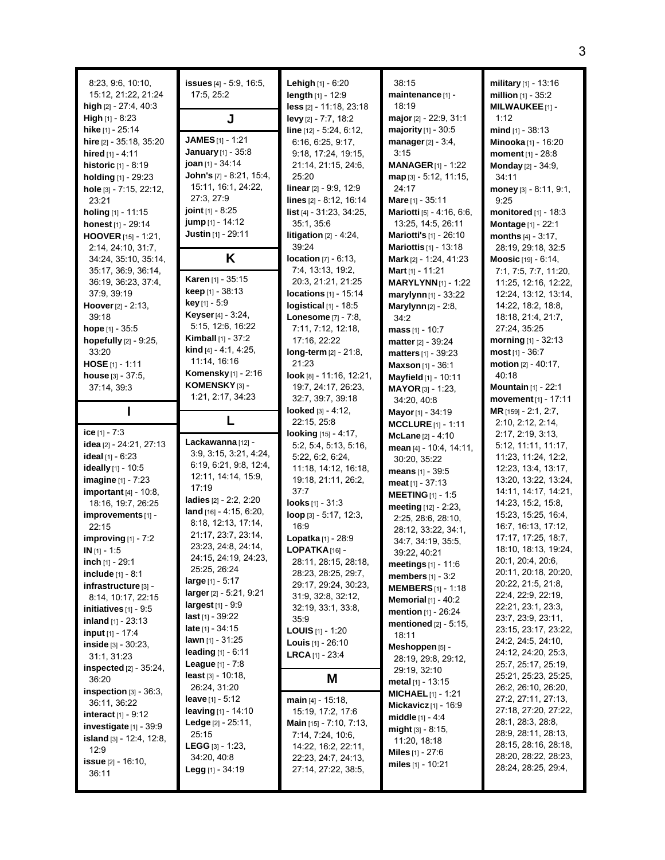| 8:23, 9:6, 10:10,<br>15:12, 21:22, 21:24<br>high [2] - 27:4, 40:3<br><b>High</b> $[1]$ - 8:23<br>hike [1] - 25:14<br>hire [2] - 35:18, 35:20<br>hired $[1] - 4:11$<br>historic [1] - 8:19<br>holding [1] - 29:23<br>hole [3] - 7:15, 22:12,<br>23:21<br><b>holing</b> $[1]$ - 11:15<br>honest [1] - 29:14<br><b>HOOVER</b> $[15] - 1:21$ ,<br>2:14, 24:10, 31:7,<br>34:24, 35:10, 35:14,<br>35:17, 36:9, 36:14,<br>36:19, 36:23, 37:4,<br>37:9, 39:19<br><b>Hoover</b> $[2] - 2:13$ ,<br>39:18<br><b>hope</b> $[1]$ - 35:5                                                                                                                                                                                                | <b>issues</b> $[4] - 5.9, 16.5,$<br>17:5, 25:2<br>J<br><b>JAMES</b> $[1]$ - 1:21<br><b>January</b> [1] - 35:8<br>joan [1] - 34:14<br>John's [7] - 8:21, 15:4,<br>15:11, 16:1, 24:22,<br>27:3, 27:9<br><b>joint</b> $[1]$ - 8:25<br>jump [1] - 14:12<br>Justin [1] - 29:11<br>K<br>Karen [1] - 35:15<br><b>keep</b> $[1]$ - 38:13<br><b>key</b> [1] - 5:9<br>Keyser [4] - 3:24,<br>5:15, 12:6, 16:22<br><b>Kimball</b> $[1]$ - 37:2                                                                                                                                                                                                                                                                                        | <b>Lehigh</b> $[1] - 6:20$<br>length $[1] - 12:9$<br>less [2] - 11:18, 23:18<br>levy [2] - 7:7, 18:2<br>$line [12] - 5.24, 6.12,$<br>6:16, 6:25, 9:17,<br>9:18, 17:24, 19:15,<br>21:14, 21:15, 24:6,<br>25:20<br>linear [2] - 9:9, 12:9<br>lines [2] - 8:12, 16:14<br>list [4] - 31:23, 34:25,<br>35:1, 35:6<br>litigation $[2] - 4:24$ ,<br>39:24<br><b>location</b> $[7] - 6:13$ ,<br>7:4, 13:13, 19:2,<br>20:3, 21:21, 21:25<br>locations [1] - 15:14<br>logistical $[1]$ - 18:5<br><b>Lonesome</b> [7] - 7:8,<br>7:11, 7:12, 12:18,                                                                                      | 38:15<br>maintenance [1] -<br>18:19<br>major [2] - 22:9, 31:1<br><b>majority</b> $[1]$ - 30:5<br>manager $[2] - 3.4$ ,<br>3:15<br><b>MANAGER</b> [1] - 1:22<br>map [3] - 5:12, 11:15,<br>24:17<br>Mare [1] - 35:11<br>Mariotti [5] - 4:16, 6:6,<br>13:25, 14:5, 26:11<br>Mariotti's [1] - 26:10<br><b>Mariottis</b> [1] - 13:18<br>Mark [2] - 1:24, 41:23<br>Mart $[1]$ - 11:21<br><b>MARYLYNN</b> [1] - 1:22<br>marylynn $[1]$ - 33:22<br>Marylynn $[2]$ - 2:8,<br>34:2<br>mass $[1] - 10:7$                                                                                                                                                                                                                                      | military [1] - 13:16<br>million $[1]$ - 35:2<br><b>MILWAUKEE</b> [1]-<br>1:12<br>$mid_{[1]}$ - 38:13<br>Minooka [1] - 16:20<br>moment [1] - 28:8<br>Monday [2] - 34:9,<br>34:11<br>money $[3] - 8:11, 9:1,$<br>9:25<br><b>monitored</b> $[1]$ - 18:3<br>Montage [1] - 22:1<br>months $[4] - 3:17$ ,<br>28:19, 29:18, 32:5<br>Moosic [19] - 6:14,<br>7:1, 7:5, 7:7, 11:20,<br>11:25, 12:16, 12:22,<br>12:24, 13:12, 13:14,<br>14:22, 18:2, 18:8,<br>18:18, 21:4, 21:7,<br>27:24, 35:25                                                                                                                                                                                                                                            |
|---------------------------------------------------------------------------------------------------------------------------------------------------------------------------------------------------------------------------------------------------------------------------------------------------------------------------------------------------------------------------------------------------------------------------------------------------------------------------------------------------------------------------------------------------------------------------------------------------------------------------------------------------------------------------------------------------------------------------|---------------------------------------------------------------------------------------------------------------------------------------------------------------------------------------------------------------------------------------------------------------------------------------------------------------------------------------------------------------------------------------------------------------------------------------------------------------------------------------------------------------------------------------------------------------------------------------------------------------------------------------------------------------------------------------------------------------------------|------------------------------------------------------------------------------------------------------------------------------------------------------------------------------------------------------------------------------------------------------------------------------------------------------------------------------------------------------------------------------------------------------------------------------------------------------------------------------------------------------------------------------------------------------------------------------------------------------------------------------|------------------------------------------------------------------------------------------------------------------------------------------------------------------------------------------------------------------------------------------------------------------------------------------------------------------------------------------------------------------------------------------------------------------------------------------------------------------------------------------------------------------------------------------------------------------------------------------------------------------------------------------------------------------------------------------------------------------------------------|----------------------------------------------------------------------------------------------------------------------------------------------------------------------------------------------------------------------------------------------------------------------------------------------------------------------------------------------------------------------------------------------------------------------------------------------------------------------------------------------------------------------------------------------------------------------------------------------------------------------------------------------------------------------------------------------------------------------------------|
| hopefully [2] - 9:25,<br>33:20<br>$HOSE [1] - 1:11$<br>house $[3] - 37:5$ ,<br>37:14, 39:3                                                                                                                                                                                                                                                                                                                                                                                                                                                                                                                                                                                                                                | <b>kind</b> [4] $- 4:1, 4:25,$<br>11:14, 16:16<br><b>Komensky</b> [1] - 2:16<br>KOMENSKY [3] -<br>1:21, 2:17, 34:23                                                                                                                                                                                                                                                                                                                                                                                                                                                                                                                                                                                                       | 17:16, 22:22<br>long-term [2] - 21:8,<br>21:23<br>$look$ [8] - 11:16, 12:21,<br>19:7, 24:17, 26:23,<br>32:7, 39:7, 39:18<br><b>looked</b> $[3] - 4.12$ ,                                                                                                                                                                                                                                                                                                                                                                                                                                                                     | matter [2] - 39:24<br>matters [1] - 39:23<br>Maxson [1] - 36:1<br>Mayfield [1] - 10:11<br>MAYOR [3] - 1:23,<br>34:20, 40:8<br>Mayor [1] - 34:19                                                                                                                                                                                                                                                                                                                                                                                                                                                                                                                                                                                    | <b>morning</b> $[1]$ - 32:13<br>most $[1] - 36:7$<br>motion $[2] - 40:17$ ,<br>40:18<br><b>Mountain</b> [1] - 22:1<br>movement $[1] - 17:11$<br>MR [159] - 2:1, 2:7,                                                                                                                                                                                                                                                                                                                                                                                                                                                                                                                                                             |
| ice $[1] - 7.3$<br>idea [2] - 24:21, 27:13<br>ideal $[1] - 6:23$<br>ideally [1] - 10:5<br><b>imagine</b> $[1] - 7:23$<br><b>important</b> [4] - 10:8,<br>18:16, 19:7, 26:25<br>improvements [1] -<br>22:15<br>improving $[1]$ - 7:2<br>$IN$ [1] - 1:5<br>inch [1] - 29:1<br><b>include</b> $[1] - 8:1$<br>infrastructure [3] -<br>8:14, 10:17, 22:15<br><b>initiatives</b> $[1]$ - 9:5<br><b>inland</b> $[1]$ - 23:13<br><b>input</b> [1] - 17:4<br>inside $[3] - 30:23$ ,<br>31:1, 31:23<br><b>inspected</b> $[2] - 35:24$ ,<br>36:20<br>inspection $[3]$ - 36:3,<br>36.11, 36.22<br><b>interact</b> $[1] - 9:12$<br>investigate [1] - 39:9<br>island [3] - 12:4, 12:8,<br>12:9<br><b>issue</b> $[2] - 16.10$ ,<br>36:11 | L<br>Lackawanna [12] -<br>3.9, 3.15, 3.21, 4.24,<br>6.19, 6.21, 9.8, 12.4,<br>12:11, 14:14, 15:9,<br>17:19<br>ladies $[2] - 2:2, 2:20$<br>$land$ [16] - 4:15, 6:20,<br>8:18, 12:13, 17:14,<br>21:17, 23:7, 23:14,<br>23:23, 24:8, 24:14,<br>24:15, 24:19, 24:23,<br>25:25, 26:24<br>large $[1] - 5:17$<br>larger [2] - 5:21, 9:21<br><b>largest</b> $[1] - 9.9$<br><b>last</b> $[1] - 39.22$<br><b>late</b> [1] - $34:15$<br><b>lawn</b> $[1]$ - 31:25<br>leading $[1] - 6:11$<br><b>League</b> $[1] - 7:8$<br>$least [3] - 10:18,$<br>26:24, 31:20<br><b>leave</b> $[1] - 5:12$<br><b>leaving</b> $[1] - 14:10$<br>Ledge [2] - 25:11,<br>25:15<br><b>LEGG</b> $[3] - 1:23$ ,<br>34:20, 40:8<br><b>Legg</b> [1] - $34:19$ | 22:15, 25:8<br>looking [15] - 4:17,<br>5:2, 5:4, 5:13, 5:16,<br>5.22, 6.2, 6.24,<br>11:18, 14:12, 16:18,<br>19:18, 21:11, 26:2,<br>37:7<br>looks [1] - 31:3<br>loop [3] - 5:17, 12:3,<br>16:9<br>Lopatka [1] - 28:9<br>$LOPATHA[16] -$<br>28:11, 28:15, 28:18,<br>28:23, 28:25, 29:7,<br>29:17, 29:24, 30:23,<br>31.9, 32.8, 32.12,<br>32:19, 33:1, 33:8,<br>35.9<br><b>LOUIS</b> $[1]$ - 1:20<br><b>Louis</b> $[1]$ - 26:10<br><b>LRCA</b> $[1]$ - 23:4<br>M<br>main [4] - 15:18,<br>15:19, 17:2, 17:6<br>Main [15] - 7:10, 7:13,<br>7:14, 7:24, 10:6,<br>14:22, 16:2, 22:11,<br>22:23, 24:7, 24:13,<br>27:14, 27:22, 38:5, | <b>MCCLURE</b> $[1] - 1:11$<br>McLane $[2] - 4:10$<br>mean [4] - 10:4, 14:11,<br>30:20, 35:22<br>means $[1] - 39:5$<br>meat $[1] - 37:13$<br><b>MEETING</b> [1] - 1:5<br>meeting [12] - 2:23,<br>2:25, 28:6, 28:10,<br>28.12, 33.22, 34.1,<br>34:7, 34:19, 35:5,<br>39:22, 40:21<br>meetings $[1] - 11:6$<br>members $[1] - 3.2$<br><b>MEMBERS</b> $[1]$ - 1:18<br><b>Memorial</b> $[1] - 40:2$<br>mention [1] - 26:24<br>mentioned $[2] - 5:15$ ,<br>18:11<br>Meshoppen [5] -<br>28:19, 29:8, 29:12,<br>29:19, 32:10<br>metal $[1]$ - 13:15<br><b>MICHAEL</b> $[1]$ - 1:21<br><b>Mickavicz</b> $[1]$ - 16:9<br><b>middle</b> $[1] - 4:4$<br>$mid_{[3]}$ - 8:15,<br>11:20, 18:18<br><b>Miles</b> $[1] - 27:6$<br>miles [1] - 10:21 | 2:10, 2:12, 2:14,<br>2:17, 2:19, 3:13,<br>5:12, 11:11, 11:17,<br>11:23, 11:24, 12:2,<br>12:23, 13:4, 13:17,<br>13:20, 13:22, 13:24,<br>14:11, 14:17, 14:21,<br>14:23, 15:2, 15:8,<br>15:23, 15:25, 16:4,<br>16:7, 16:13, 17:12,<br>17:17, 17:25, 18:7,<br>18:10, 18:13, 19:24,<br>20:1, 20:4, 20:6,<br>20:11, 20:18, 20:20,<br>20.22, 21:5, 21:8,<br>22:4, 22:9, 22:19,<br>22:21, 23:1, 23:3,<br>23:7, 23:9, 23:11,<br>23:15, 23:17, 23:22,<br>24:2, 24:5, 24:10,<br>24:12, 24:20, 25:3,<br>25:7, 25:17, 25:19,<br>25:21, 25:23, 25:25,<br>26.2, 26.10, 26:20,<br>27:2, 27:11, 27:13,<br>27:18, 27:20, 27:22,<br>28:1, 28:3, 28:8,<br>28.9, 28.11, 28.13,<br>28:15, 28:16, 28:18,<br>28:20, 28:22, 28:23,<br>28:24, 28:25, 29:4, |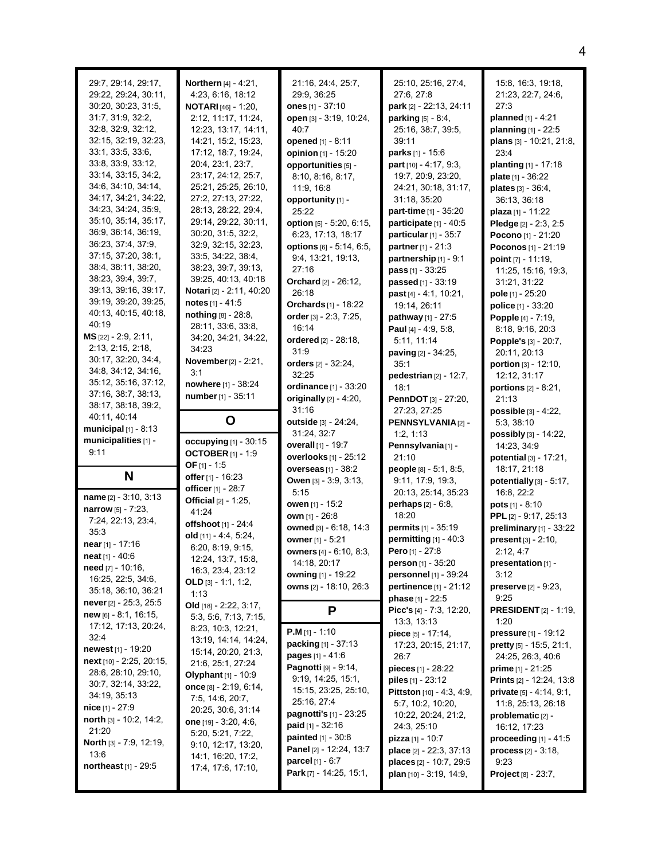| 29:7, 29:14, 29:17,<br>29:22, 29:24, 30:11,<br>30:20, 30:23, 31:5,<br>31:7, 31:9, 32:2,<br>32:8, 32:9, 32:12,<br>32:15, 32:19, 32:23,<br>33:1, 33:5, 33:6,<br>33.8, 33.9, 33.12,<br>33:14, 33:15, 34:2,<br>34.6, 34.10, 34.14,<br>34:17, 34:21, 34:22,<br>34:23, 34:24, 35:9,<br>35:10, 35:14, 35:17,<br>36.9, 36.14, 36.19,<br>36:23, 37:4, 37:9,<br>37:15, 37:20, 38:1,<br>38:4, 38:11, 38:20,<br>38:23, 39:4, 39:7,<br>39:13, 39:16, 39:17,<br>39:19, 39:20, 39:25,<br>40:13, 40:15, 40:18,<br>40:19<br>MS [22] - 2:9, 2:11,<br>2:13, 2:15, 2:18,<br>30:17, 32:20, 34:4,<br>34.8, 34.12, 34.16,<br>35:12, 35:16, 37:12,<br>37:16, 38:7, 38:13,<br>38:17, 38:18, 39:2, | Northern [4] - 4:21,<br>4:23, 6:16, 18:12<br><b>NOTARI</b> $[46] - 1:20$ ,<br>2:12, 11:17, 11:24,<br>12:23, 13:17, 14:11,<br>14:21, 15:2, 15:23,<br>17:12, 18:7, 19:24,<br>20:4, 23:1, 23:7,<br>23:17, 24:12, 25:7,<br>25:21, 25:25, 26:10,<br>27:2, 27:13, 27:22,<br>28:13, 28:22, 29:4,<br>29:14, 29:22, 30:11,<br>30:20, 31:5, 32:2,<br>32.9, 32.15, 32.23,<br>33.5, 34.22, 38.4,<br>38:23, 39:7, 39:13,<br>39:25, 40:13, 40:18<br>Notari [2] - 2:11, 40:20<br>notes $[1] - 41.5$<br>nothing $[8] - 28:8$ ,<br>28:11, 33:6, 33:8,<br>34:20, 34:21, 34:22,<br>34:23<br>November [2] - 2:21,<br>3:1<br>nowhere [1] - 38:24<br>number [1] - 35:11 | 21:16, 24:4, 25:7,<br>29:9, 36:25<br>ones $[1] - 37:10$<br>open [3] - 3:19, 10:24,<br>40:7<br>opened [1] - 8:11<br>opinion [1] - 15:20<br>opportunities [5] -<br>8:10, 8:16, 8:17,<br>11:9, 16:8<br>opportunity [1] -<br>25:22<br>option [5] - 5:20, 6:15,<br>6:23, 17:13, 18:17<br>options [6] - 5:14, 6:5,<br>9:4, 13:21, 19:13,<br>27:16<br>Orchard [2] - 26:12,<br>26:18<br>Orchards [1] - 18:22<br>order [3] - 2:3, 7:25,<br>16:14<br>ordered [2] - 28:18,<br>31.9<br>orders [2] - 32:24,<br>32:25<br>ordinance [1] - 33:20<br>originally [2] - 4:20,<br>31:16 | 25:10, 25:16, 27:4,<br>27:6, 27:8<br>park [2] - 22:13, 24:11<br>parking [5] - 8:4,<br>25:16, 38:7, 39:5,<br>39:11<br>parks [1] - 15:6<br>part [10] - 4:17, 9:3,<br>19:7, 20:9, 23:20,<br>24:21, 30:18, 31:17,<br>31:18, 35:20<br><b>part-time</b> [1] - 35:20<br>participate [1] - 40:5<br>particular $[1]$ - 35:7<br>partner [1] - 21:3<br>partnership [1] - 9:1<br>pass [1] - 33:25<br>passed [1] - 33:19<br>past [4] - 4:1, 10:21,<br>19:14, 26:11<br>pathway [1] - 27:5<br>Paul $[4] - 4.9, 5.8$<br>5:11, 11:14<br>paving [2] - 34:25,<br>35:1<br>pedestrian $[2] - 12:7$ ,<br>18:1<br>PennDOT [3] - 27:20,<br>27:23, 27:25 | 15:8, 16:3, 19:18,<br>21:23, 22:7, 24:6,<br>27:3<br>planned [1] - 4:21<br>planning [1] - 22:5<br>plans [3] - 10:21, 21:8,<br>23:4<br><b>planting</b> $[1]$ - 17:18<br><b>plate</b> $[1] - 36:22$<br>plates [3] - 36:4,<br>36:13, 36:18<br>plaza [1] - 11:22<br>Pledge [2] - 2:3, 2:5<br>Pocono <sup>[1]</sup> - 21:20<br>Poconos [1] - 21:19<br>point $[7] - 11:19$ ,<br>11:25, 15:16, 19:3,<br>31:21, 31:22<br>pole [1] - 25:20<br>police [1] - 33:20<br>Popple [4] - 7:19,<br>8:18, 9:16, 20:3<br>Popple's [3] - 20:7,<br>20:11, 20:13<br>portion [3] - 12:10,<br>12:12, 31:17<br><b>portions</b> $[2] - 8:21$ ,<br>21:13<br>possible [3] - 4:22, |
|--------------------------------------------------------------------------------------------------------------------------------------------------------------------------------------------------------------------------------------------------------------------------------------------------------------------------------------------------------------------------------------------------------------------------------------------------------------------------------------------------------------------------------------------------------------------------------------------------------------------------------------------------------------------------|---------------------------------------------------------------------------------------------------------------------------------------------------------------------------------------------------------------------------------------------------------------------------------------------------------------------------------------------------------------------------------------------------------------------------------------------------------------------------------------------------------------------------------------------------------------------------------------------------------------------------------------------------|---------------------------------------------------------------------------------------------------------------------------------------------------------------------------------------------------------------------------------------------------------------------------------------------------------------------------------------------------------------------------------------------------------------------------------------------------------------------------------------------------------------------------------------------------------------------|---------------------------------------------------------------------------------------------------------------------------------------------------------------------------------------------------------------------------------------------------------------------------------------------------------------------------------------------------------------------------------------------------------------------------------------------------------------------------------------------------------------------------------------------------------------------------------------------------------------------------------|-----------------------------------------------------------------------------------------------------------------------------------------------------------------------------------------------------------------------------------------------------------------------------------------------------------------------------------------------------------------------------------------------------------------------------------------------------------------------------------------------------------------------------------------------------------------------------------------------------------------------------------------------------|
| 40.11, 40.14<br>municipal $[1]$ - 8:13                                                                                                                                                                                                                                                                                                                                                                                                                                                                                                                                                                                                                                   | O                                                                                                                                                                                                                                                                                                                                                                                                                                                                                                                                                                                                                                                 | outside [3] - 24:24,                                                                                                                                                                                                                                                                                                                                                                                                                                                                                                                                                | PENNSYLVANIA[2] -                                                                                                                                                                                                                                                                                                                                                                                                                                                                                                                                                                                                               | 5:3, 38:10                                                                                                                                                                                                                                                                                                                                                                                                                                                                                                                                                                                                                                          |
| municipalities [1] -                                                                                                                                                                                                                                                                                                                                                                                                                                                                                                                                                                                                                                                     | occupying [1] - 30:15                                                                                                                                                                                                                                                                                                                                                                                                                                                                                                                                                                                                                             | 31:24, 32:7<br>overall [1] - 19:7                                                                                                                                                                                                                                                                                                                                                                                                                                                                                                                                   | 1:2, 1:13<br>Pennsylvania[1] -                                                                                                                                                                                                                                                                                                                                                                                                                                                                                                                                                                                                  | possibly [3] - 14:22,<br>14:23, 34:9                                                                                                                                                                                                                                                                                                                                                                                                                                                                                                                                                                                                                |
| 9:11                                                                                                                                                                                                                                                                                                                                                                                                                                                                                                                                                                                                                                                                     | <b>OCTOBER</b> $[1] - 1:9$                                                                                                                                                                                                                                                                                                                                                                                                                                                                                                                                                                                                                        | overlooks [1] - 25:12                                                                                                                                                                                                                                                                                                                                                                                                                                                                                                                                               | 21:10                                                                                                                                                                                                                                                                                                                                                                                                                                                                                                                                                                                                                           | <b>potential</b> $[3] - 17:21$ ,                                                                                                                                                                                                                                                                                                                                                                                                                                                                                                                                                                                                                    |
|                                                                                                                                                                                                                                                                                                                                                                                                                                                                                                                                                                                                                                                                          | OF $[1] - 1.5$                                                                                                                                                                                                                                                                                                                                                                                                                                                                                                                                                                                                                                    | overseas $[1]$ - $38:2$                                                                                                                                                                                                                                                                                                                                                                                                                                                                                                                                             | people [8] - 5:1, 8:5,                                                                                                                                                                                                                                                                                                                                                                                                                                                                                                                                                                                                          | 18:17, 21:18                                                                                                                                                                                                                                                                                                                                                                                                                                                                                                                                                                                                                                        |
| N                                                                                                                                                                                                                                                                                                                                                                                                                                                                                                                                                                                                                                                                        | offer [1] - 16:23<br>officer [1] - 28:7                                                                                                                                                                                                                                                                                                                                                                                                                                                                                                                                                                                                           | Owen [3] - 3:9, 3:13,                                                                                                                                                                                                                                                                                                                                                                                                                                                                                                                                               | 9:11, 17:9, 19:3,                                                                                                                                                                                                                                                                                                                                                                                                                                                                                                                                                                                                               |                                                                                                                                                                                                                                                                                                                                                                                                                                                                                                                                                                                                                                                     |
|                                                                                                                                                                                                                                                                                                                                                                                                                                                                                                                                                                                                                                                                          |                                                                                                                                                                                                                                                                                                                                                                                                                                                                                                                                                                                                                                                   |                                                                                                                                                                                                                                                                                                                                                                                                                                                                                                                                                                     |                                                                                                                                                                                                                                                                                                                                                                                                                                                                                                                                                                                                                                 | potentially [3] - 5:17,                                                                                                                                                                                                                                                                                                                                                                                                                                                                                                                                                                                                                             |
| name [2] - 3:10, 3:13                                                                                                                                                                                                                                                                                                                                                                                                                                                                                                                                                                                                                                                    |                                                                                                                                                                                                                                                                                                                                                                                                                                                                                                                                                                                                                                                   | 5:15                                                                                                                                                                                                                                                                                                                                                                                                                                                                                                                                                                | 20:13, 25:14, 35:23                                                                                                                                                                                                                                                                                                                                                                                                                                                                                                                                                                                                             | 16:8, 22:2                                                                                                                                                                                                                                                                                                                                                                                                                                                                                                                                                                                                                                          |
| narrow [5] - 7:23,                                                                                                                                                                                                                                                                                                                                                                                                                                                                                                                                                                                                                                                       | <b>Official</b> [2] - 1:25,<br>41:24                                                                                                                                                                                                                                                                                                                                                                                                                                                                                                                                                                                                              | owen [1] - 15:2                                                                                                                                                                                                                                                                                                                                                                                                                                                                                                                                                     | perhaps [2] - 6:8,                                                                                                                                                                                                                                                                                                                                                                                                                                                                                                                                                                                                              | pots $[1] - 8:10$                                                                                                                                                                                                                                                                                                                                                                                                                                                                                                                                                                                                                                   |
| 7:24, 22:13, 23:4,                                                                                                                                                                                                                                                                                                                                                                                                                                                                                                                                                                                                                                                       | offshoot [1] - 24:4                                                                                                                                                                                                                                                                                                                                                                                                                                                                                                                                                                                                                               | own [1] - 26:8                                                                                                                                                                                                                                                                                                                                                                                                                                                                                                                                                      | 18:20                                                                                                                                                                                                                                                                                                                                                                                                                                                                                                                                                                                                                           | PPL [2] - 9:17, 25:13                                                                                                                                                                                                                                                                                                                                                                                                                                                                                                                                                                                                                               |
| 35:3                                                                                                                                                                                                                                                                                                                                                                                                                                                                                                                                                                                                                                                                     | old $[11] - 4.4, 5.24,$                                                                                                                                                                                                                                                                                                                                                                                                                                                                                                                                                                                                                           | owned [3] - 6:18, 14:3                                                                                                                                                                                                                                                                                                                                                                                                                                                                                                                                              | permits [1] - 35:19                                                                                                                                                                                                                                                                                                                                                                                                                                                                                                                                                                                                             | preliminary [1] - 33:22                                                                                                                                                                                                                                                                                                                                                                                                                                                                                                                                                                                                                             |
| near $[1]$ - 17:16                                                                                                                                                                                                                                                                                                                                                                                                                                                                                                                                                                                                                                                       | 6:20, 8:19, 9:15,                                                                                                                                                                                                                                                                                                                                                                                                                                                                                                                                                                                                                                 | owner [1] - 5:21                                                                                                                                                                                                                                                                                                                                                                                                                                                                                                                                                    | permitting $[1] - 40:3$                                                                                                                                                                                                                                                                                                                                                                                                                                                                                                                                                                                                         | present [3] - 2:10,                                                                                                                                                                                                                                                                                                                                                                                                                                                                                                                                                                                                                                 |
| <b>neat</b> $[1] - 40:6$                                                                                                                                                                                                                                                                                                                                                                                                                                                                                                                                                                                                                                                 | 12:24, 13:7, 15:8,                                                                                                                                                                                                                                                                                                                                                                                                                                                                                                                                                                                                                                | owners [4] - 6:10, 8:3,<br>14:18, 20:17                                                                                                                                                                                                                                                                                                                                                                                                                                                                                                                             | Pero [1] - 27:8<br><b>person</b> [1] - 35:20                                                                                                                                                                                                                                                                                                                                                                                                                                                                                                                                                                                    | 2:12, 4:7<br>presentation [1] -                                                                                                                                                                                                                                                                                                                                                                                                                                                                                                                                                                                                                     |
| need [7] - 10:16,                                                                                                                                                                                                                                                                                                                                                                                                                                                                                                                                                                                                                                                        | 16:3, 23:4, 23:12                                                                                                                                                                                                                                                                                                                                                                                                                                                                                                                                                                                                                                 | owning [1] - 19:22                                                                                                                                                                                                                                                                                                                                                                                                                                                                                                                                                  | personnel [1] - 39:24                                                                                                                                                                                                                                                                                                                                                                                                                                                                                                                                                                                                           | 3:12                                                                                                                                                                                                                                                                                                                                                                                                                                                                                                                                                                                                                                                |
| 16:25, 22:5, 34:6,                                                                                                                                                                                                                                                                                                                                                                                                                                                                                                                                                                                                                                                       | OLD $[3] - 1:1, 1:2,$                                                                                                                                                                                                                                                                                                                                                                                                                                                                                                                                                                                                                             | owns [2] - 18:10, 26:3                                                                                                                                                                                                                                                                                                                                                                                                                                                                                                                                              | <b>pertinence</b> $[1] - 21:12$                                                                                                                                                                                                                                                                                                                                                                                                                                                                                                                                                                                                 | <b>preserve</b> $[2] - 9:23$ ,                                                                                                                                                                                                                                                                                                                                                                                                                                                                                                                                                                                                                      |
| 35:18, 36:10, 36:21<br><b>never</b> [2] $- 25.3$ , 25.5                                                                                                                                                                                                                                                                                                                                                                                                                                                                                                                                                                                                                  | 1:13                                                                                                                                                                                                                                                                                                                                                                                                                                                                                                                                                                                                                                              |                                                                                                                                                                                                                                                                                                                                                                                                                                                                                                                                                                     | <b>phase</b> $[1] - 22.5$                                                                                                                                                                                                                                                                                                                                                                                                                                                                                                                                                                                                       | 9:25                                                                                                                                                                                                                                                                                                                                                                                                                                                                                                                                                                                                                                                |
| $new$ [6] - 8:1, 16:15,                                                                                                                                                                                                                                                                                                                                                                                                                                                                                                                                                                                                                                                  | Old [18] - 2:22, 3:17,                                                                                                                                                                                                                                                                                                                                                                                                                                                                                                                                                                                                                            | P                                                                                                                                                                                                                                                                                                                                                                                                                                                                                                                                                                   | Picc's $[4] - 7:3, 12:20,$                                                                                                                                                                                                                                                                                                                                                                                                                                                                                                                                                                                                      | <b>PRESIDENT</b> $[2] - 1:19$                                                                                                                                                                                                                                                                                                                                                                                                                                                                                                                                                                                                                       |
| 17:12, 17:13, 20:24,                                                                                                                                                                                                                                                                                                                                                                                                                                                                                                                                                                                                                                                     | 5:3, 5:6, 7:13, 7:15,<br>8:23, 10:3, 12:21,                                                                                                                                                                                                                                                                                                                                                                                                                                                                                                                                                                                                       |                                                                                                                                                                                                                                                                                                                                                                                                                                                                                                                                                                     | 13.3, 13.13                                                                                                                                                                                                                                                                                                                                                                                                                                                                                                                                                                                                                     | 1:20                                                                                                                                                                                                                                                                                                                                                                                                                                                                                                                                                                                                                                                |
| 32:4                                                                                                                                                                                                                                                                                                                                                                                                                                                                                                                                                                                                                                                                     | 13:19, 14:14, 14:24,                                                                                                                                                                                                                                                                                                                                                                                                                                                                                                                                                                                                                              | $P.M$ [1] - 1:10                                                                                                                                                                                                                                                                                                                                                                                                                                                                                                                                                    | piece [5] - 17:14,                                                                                                                                                                                                                                                                                                                                                                                                                                                                                                                                                                                                              | pressure [1] - 19:12                                                                                                                                                                                                                                                                                                                                                                                                                                                                                                                                                                                                                                |
| newest [1] - 19:20                                                                                                                                                                                                                                                                                                                                                                                                                                                                                                                                                                                                                                                       | 15:14, 20:20, 21:3,                                                                                                                                                                                                                                                                                                                                                                                                                                                                                                                                                                                                                               | packing [1] - 37:13<br><b>pages</b> $[1] - 41.6$                                                                                                                                                                                                                                                                                                                                                                                                                                                                                                                    | 17:23, 20:15, 21:17,<br>26:7                                                                                                                                                                                                                                                                                                                                                                                                                                                                                                                                                                                                    | pretty [5] - 15:5, 21:1,                                                                                                                                                                                                                                                                                                                                                                                                                                                                                                                                                                                                                            |
| next [10] - 2:25, 20:15,                                                                                                                                                                                                                                                                                                                                                                                                                                                                                                                                                                                                                                                 | 21:6, 25:1, 27:24                                                                                                                                                                                                                                                                                                                                                                                                                                                                                                                                                                                                                                 | Pagnotti [9] - 9:14,                                                                                                                                                                                                                                                                                                                                                                                                                                                                                                                                                | <b>pieces</b> [1] - 28:22                                                                                                                                                                                                                                                                                                                                                                                                                                                                                                                                                                                                       | 24:25, 26:3, 40:6<br><b>prime</b> $[1] - 21:25$                                                                                                                                                                                                                                                                                                                                                                                                                                                                                                                                                                                                     |
| 28:6, 28:10, 29:10,                                                                                                                                                                                                                                                                                                                                                                                                                                                                                                                                                                                                                                                      | Olyphant $[1] - 10.9$                                                                                                                                                                                                                                                                                                                                                                                                                                                                                                                                                                                                                             | 9:19, 14:25, 15:1,                                                                                                                                                                                                                                                                                                                                                                                                                                                                                                                                                  | <b>piles</b> $[1]$ - 23:12                                                                                                                                                                                                                                                                                                                                                                                                                                                                                                                                                                                                      | <b>Prints</b> $[2] - 12:24, 13:8$                                                                                                                                                                                                                                                                                                                                                                                                                                                                                                                                                                                                                   |
| 30:7, 32:14, 33:22,<br>34:19, 35:13                                                                                                                                                                                                                                                                                                                                                                                                                                                                                                                                                                                                                                      | once $[8] - 2.19, 6.14,$                                                                                                                                                                                                                                                                                                                                                                                                                                                                                                                                                                                                                          | 15:15, 23:25, 25:10,                                                                                                                                                                                                                                                                                                                                                                                                                                                                                                                                                | <b>Pittston</b> $[10] - 4.3, 4.9,$                                                                                                                                                                                                                                                                                                                                                                                                                                                                                                                                                                                              | <b>private</b> $[5] - 4.14, 9.1,$                                                                                                                                                                                                                                                                                                                                                                                                                                                                                                                                                                                                                   |
| <b>nice</b> $[1] - 27:9$                                                                                                                                                                                                                                                                                                                                                                                                                                                                                                                                                                                                                                                 | 7:5, 14:6, 20:7,                                                                                                                                                                                                                                                                                                                                                                                                                                                                                                                                                                                                                                  | 25:16, 27:4                                                                                                                                                                                                                                                                                                                                                                                                                                                                                                                                                         | 5:7, 10:2, 10:20,                                                                                                                                                                                                                                                                                                                                                                                                                                                                                                                                                                                                               | 11:8, 25:13, 26:18                                                                                                                                                                                                                                                                                                                                                                                                                                                                                                                                                                                                                                  |
| north $[3]$ - 10:2, 14:2,                                                                                                                                                                                                                                                                                                                                                                                                                                                                                                                                                                                                                                                | 20:25, 30:6, 31:14<br>one [19] - 3:20, 4:6,                                                                                                                                                                                                                                                                                                                                                                                                                                                                                                                                                                                                       | <b>pagnotti's</b> [1] - 23:25                                                                                                                                                                                                                                                                                                                                                                                                                                                                                                                                       | 10:22, 20:24, 21:2,                                                                                                                                                                                                                                                                                                                                                                                                                                                                                                                                                                                                             | problematic [2] -                                                                                                                                                                                                                                                                                                                                                                                                                                                                                                                                                                                                                                   |
| 21:20                                                                                                                                                                                                                                                                                                                                                                                                                                                                                                                                                                                                                                                                    | 5:20, 5:21, 7:22,                                                                                                                                                                                                                                                                                                                                                                                                                                                                                                                                                                                                                                 | <b>paid</b> $[1]$ - 32:16                                                                                                                                                                                                                                                                                                                                                                                                                                                                                                                                           | 24:3, 25:10                                                                                                                                                                                                                                                                                                                                                                                                                                                                                                                                                                                                                     | 16:12, 17:23                                                                                                                                                                                                                                                                                                                                                                                                                                                                                                                                                                                                                                        |
| <b>North</b> [3] - 7:9, 12:19,                                                                                                                                                                                                                                                                                                                                                                                                                                                                                                                                                                                                                                           | 9:10, 12:17, 13:20,                                                                                                                                                                                                                                                                                                                                                                                                                                                                                                                                                                                                                               | <b>painted</b> $[1] - 30.8$                                                                                                                                                                                                                                                                                                                                                                                                                                                                                                                                         | pizza [1] - 10:7                                                                                                                                                                                                                                                                                                                                                                                                                                                                                                                                                                                                                | proceeding $[1] - 41.5$                                                                                                                                                                                                                                                                                                                                                                                                                                                                                                                                                                                                                             |
| 13:6                                                                                                                                                                                                                                                                                                                                                                                                                                                                                                                                                                                                                                                                     | 14:1, 16:20, 17:2,                                                                                                                                                                                                                                                                                                                                                                                                                                                                                                                                                                                                                                | Panel [2] - 12:24, 13:7                                                                                                                                                                                                                                                                                                                                                                                                                                                                                                                                             | <b>place</b> [2] - 22:3, 37:13                                                                                                                                                                                                                                                                                                                                                                                                                                                                                                                                                                                                  | <b>process</b> $[2] - 3:18$ ,                                                                                                                                                                                                                                                                                                                                                                                                                                                                                                                                                                                                                       |
| northeast $[1]$ - 29:5                                                                                                                                                                                                                                                                                                                                                                                                                                                                                                                                                                                                                                                   | 17:4, 17:6, 17:10,                                                                                                                                                                                                                                                                                                                                                                                                                                                                                                                                                                                                                                | parcel [1] - 6:7<br><b>Park</b> [7] - 14:25, 15:1,                                                                                                                                                                                                                                                                                                                                                                                                                                                                                                                  | places [2] - 10:7, 29:5<br>plan [10] - 3:19, 14:9,                                                                                                                                                                                                                                                                                                                                                                                                                                                                                                                                                                              | 9:23<br><b>Project</b> [8] - 23:7,                                                                                                                                                                                                                                                                                                                                                                                                                                                                                                                                                                                                                  |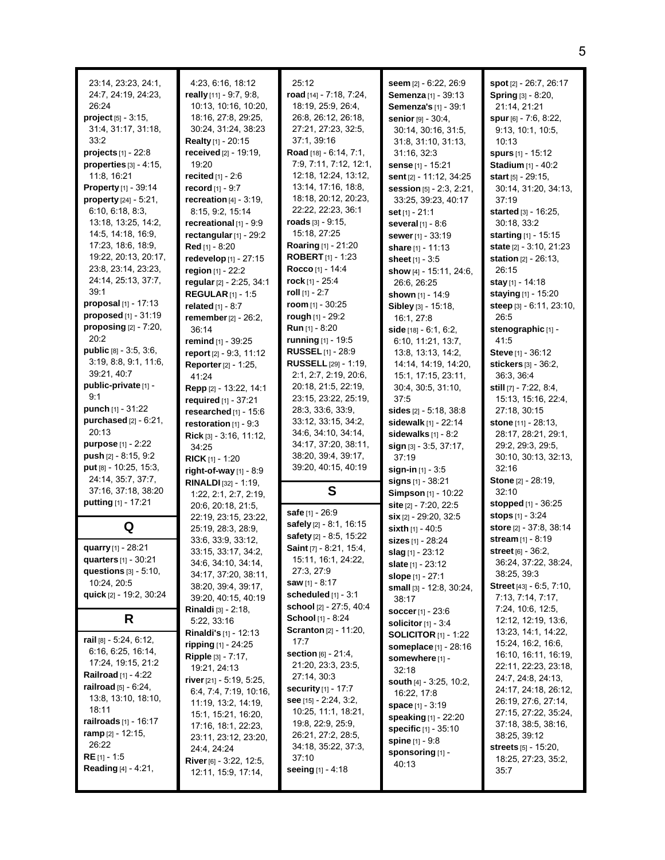| 23:14, 23:23, 24:1,<br>24:7, 24:19, 24:23,<br>26:24<br>$project_{[5]} - 3:15,$<br>31:4, 31:17, 31:18,<br>33.2<br>projects [1] - 22:8<br>properties $[3] - 4:15$ ,<br>11:8, 16:21<br>Property [1] - 39:14<br>property [24] - 5:21,<br>6:10, 6:18, 8:3,<br>13:18, 13:25, 14:2,<br>14.5, 14.18, 16.9,<br>17:23, 18:6, 18:9,<br>19:22, 20:13, 20:17,<br>23.8, 23.14, 23.23,<br>24:14, 25:13, 37:7,<br>39:1<br><b>proposal</b> $[1]$ - 17:13<br>proposed [1] - 31:19<br>proposing $[2] - 7:20$ ,<br>20:2<br>public [8] - 3:5, 3:6,<br>3.19, 8.8, 9.1, 11.6,<br>39:21, 40:7<br>public-private [1] -<br>9:1<br>punch $[1] - 31:22$<br>purchased [2] - 6:21, | 4:23, 6:16, 18:12<br>really $[11] - 9.7, 9.8$ ,<br>10:13, 10:16, 10:20,<br>18:16, 27:8, 29:25,<br>30:24, 31:24, 38:23<br>Realty [1] - 20:15<br>received $[2] - 19.19$ ,<br>19:20<br>recited [1] - 2:6<br>record [1] - 9:7<br>recreation $[4] - 3.19$ ,<br>8:15, 9:2, 15:14<br>recreational [1] - 9:9<br>rectangular $[1]$ - 29:2<br>Red [1] - 8:20<br>redevelop [1] - 27:15<br>region [1] - 22:2<br>regular [2] - 2:25, 34:1<br><b>REGULAR</b> $[1]$ - 1:5<br>related $[1] - 8:7$<br>remember [2] - 26:2,<br>36:14<br>remind [1] - 39:25<br>report [2] - 9:3, 11:12<br>Reporter [2] - 1:25,<br>41:24<br>Repp [2] - 13:22, 14:1<br>required [1] - 37:21<br>researched $[1]$ - 15:6<br>restoration $[1] - 9:3$ | 25:12<br>road [14] - 7:18, 7:24,<br>18:19, 25:9, 26:4,<br>26.8, 26.12, 26:18,<br>27:21, 27:23, 32:5,<br>37:1, 39:16<br>Road [18] - 6:14, 7:1,<br>7:9, 7:11, 7:12, 12:1,<br>12:18, 12:24, 13:12,<br>13:14, 17:16, 18:8,<br>18:18, 20:12, 20:23,<br>22:22, 22:23, 36:1<br>roads $[3] - 9:15$ ,<br>15:18, 27:25<br>Roaring [1] - 21:20<br><b>ROBERT</b> $[1]$ - 1:23<br>Rocco [1] - 14:4<br>rock [1] - $25:4$<br>roll $[1]$ - 2:7<br>room $[1]$ - 30:25<br>rough [1] - 29:2<br><b>Run</b> [1] - 8:20<br><b>running</b> [1] - 19:5<br><b>RUSSEL</b> [1] - 28:9<br><b>RUSSELL</b> [29] - 1:19,<br>2:1, 2:7, 2:19, 20:6,<br>20:18, 21:5, 22:19,<br>23:15, 23:22, 25:19,<br>28:3, 33:6, 33:9,<br>33:12, 33:15, 34:2, | seem [2] - 6:22, 26:9<br>Semenza [1] - 39:13<br>Semenza's [1] - 39:1<br>senior [9] - 30:4,<br>30:14, 30:16, 31:5,<br>31:8, 31:10, 31:13,<br>31:16, 32:3<br>sense [1] - 15:21<br>sent [2] - 11:12, 34:25<br>session [5] - 2:3, 2:21,<br>33:25, 39:23, 40:17<br><b>set</b> [1] - 21:1<br>several $[1] - 8.6$<br>sewer [1] - 33:19<br>share [1] - 11:13<br>sheet $[1] - 3.5$<br>show [4] - 15:11, 24:6,<br>26.6, 26.25<br>shown [1] - 14:9<br>Sibley [3] - 15:18,<br>16:1, 27:8<br>side $[18] - 6:1, 6:2$<br>6:10, 11:21, 13:7,<br>13.8, 13.13, 14.2,<br>14:14, 14:19, 14:20,<br>15:1, 17:15, 23:11,<br>30:4, 30:5, 31:10,<br>37:5<br>sides [2] - 5:18, 38:8<br>sidewalk [1] - 22:14 | spot [2] - 26:7, 26:17<br>Spring [3] - 8:20,<br>21:14, 21:21<br>spur $[6] - 7.6, 8.22,$<br>9:13, 10:1, 10:5,<br>10:13<br>spurs $[1]$ - 15:12<br>Stadium [1] - 40:2<br><b>start</b> $[5] - 29:15$<br>30:14, 31:20, 34:13,<br>37:19<br>started [3] - 16:25,<br>30:18, 33:2<br>starting [1] - 15:15<br>state [2] - 3:10, 21:23<br>station [2] - 26:13,<br>26:15<br>stay [1] - 14:18<br>staying [1] - 15:20<br>steep [3] - 6:11, 23:10,<br>26:5<br>stenographic [1] -<br>41.5<br>Steve [1] - 36:12<br>stickers [3] - 36:2,<br>36:3, 36:4<br>still [7] - 7:22, 8:4,<br>15:13, 15:16, 22:4,<br>27:18, 30:15<br><b>stone</b> [11] - 28:13, |
|------------------------------------------------------------------------------------------------------------------------------------------------------------------------------------------------------------------------------------------------------------------------------------------------------------------------------------------------------------------------------------------------------------------------------------------------------------------------------------------------------------------------------------------------------------------------------------------------------------------------------------------------------|--------------------------------------------------------------------------------------------------------------------------------------------------------------------------------------------------------------------------------------------------------------------------------------------------------------------------------------------------------------------------------------------------------------------------------------------------------------------------------------------------------------------------------------------------------------------------------------------------------------------------------------------------------------------------------------------------------------|---------------------------------------------------------------------------------------------------------------------------------------------------------------------------------------------------------------------------------------------------------------------------------------------------------------------------------------------------------------------------------------------------------------------------------------------------------------------------------------------------------------------------------------------------------------------------------------------------------------------------------------------------------------------------------------------------------------|-----------------------------------------------------------------------------------------------------------------------------------------------------------------------------------------------------------------------------------------------------------------------------------------------------------------------------------------------------------------------------------------------------------------------------------------------------------------------------------------------------------------------------------------------------------------------------------------------------------------------------------------------------------------------------------|-------------------------------------------------------------------------------------------------------------------------------------------------------------------------------------------------------------------------------------------------------------------------------------------------------------------------------------------------------------------------------------------------------------------------------------------------------------------------------------------------------------------------------------------------------------------------------------------------------------------------------------|
| 20:13<br><b>purpose</b> $[1] - 2:22$<br><b>push</b> $[2] - 8:15, 9:2$                                                                                                                                                                                                                                                                                                                                                                                                                                                                                                                                                                                | Rick [3] - 3:16, 11:12,<br>34:25                                                                                                                                                                                                                                                                                                                                                                                                                                                                                                                                                                                                                                                                             | 34.6, 34.10, 34.14,<br>34:17, 37:20, 38:11,<br>38:20, 39:4, 39:17,                                                                                                                                                                                                                                                                                                                                                                                                                                                                                                                                                                                                                                            | sidewalks $[1] - 8.2$<br>sign [3] - 3.5, 37:17,<br>37:19                                                                                                                                                                                                                                                                                                                                                                                                                                                                                                                                                                                                                          | 28:17, 28:21, 29:1,<br>29.2, 29.3, 29.5,<br>30:10, 30:13, 32:13,                                                                                                                                                                                                                                                                                                                                                                                                                                                                                                                                                                    |
| put [8] - 10:25, 15:3,<br>24:14, 35:7, 37:7,<br>37:16, 37:18, 38:20                                                                                                                                                                                                                                                                                                                                                                                                                                                                                                                                                                                  | <b>RICK</b> $[1]$ - 1:20<br>right-of-way [1] - 8:9<br>RINALDI [32] - 1:19,                                                                                                                                                                                                                                                                                                                                                                                                                                                                                                                                                                                                                                   | 39:20, 40:15, 40:19<br>S                                                                                                                                                                                                                                                                                                                                                                                                                                                                                                                                                                                                                                                                                      | sign-in [1] - 3:5<br>signs [1] - 38:21                                                                                                                                                                                                                                                                                                                                                                                                                                                                                                                                                                                                                                            | 32:16<br><b>Stone</b> [2] - 28:19,<br>32:10                                                                                                                                                                                                                                                                                                                                                                                                                                                                                                                                                                                         |
| putting [1] - 17:21                                                                                                                                                                                                                                                                                                                                                                                                                                                                                                                                                                                                                                  | 1:22, 2:1, 2:7, 2:19,<br>20:6, 20:18, 21:5,<br>22:19, 23:15, 23:22,                                                                                                                                                                                                                                                                                                                                                                                                                                                                                                                                                                                                                                          | safe [1] - 26:9                                                                                                                                                                                                                                                                                                                                                                                                                                                                                                                                                                                                                                                                                               | Simpson [1] - 10:22<br>site [2] - 7:20, 22:5<br>$\sin$ [2] - 29:20, 32:5                                                                                                                                                                                                                                                                                                                                                                                                                                                                                                                                                                                                          | stopped [1] - 36:25<br>stops $[1] - 3:24$                                                                                                                                                                                                                                                                                                                                                                                                                                                                                                                                                                                           |
| Q                                                                                                                                                                                                                                                                                                                                                                                                                                                                                                                                                                                                                                                    | 25:19, 28:3, 28:9,                                                                                                                                                                                                                                                                                                                                                                                                                                                                                                                                                                                                                                                                                           | safely [2] - 8:1, 16:15<br>safety [2] - 8:5, 15:22                                                                                                                                                                                                                                                                                                                                                                                                                                                                                                                                                                                                                                                            | sixth $[1] - 40.5$                                                                                                                                                                                                                                                                                                                                                                                                                                                                                                                                                                                                                                                                | store [2] - 37:8, 38:14                                                                                                                                                                                                                                                                                                                                                                                                                                                                                                                                                                                                             |
| quarry [1] - 28:21<br><b>quarters</b> $[1]$ - 30:21<br>questions $[3] - 5:10$ ,<br>10:24, 20:5<br>quick [2] - 19:2, 30:24                                                                                                                                                                                                                                                                                                                                                                                                                                                                                                                            | 33.6, 33.9, 33.12,<br>33:15, 33:17, 34:2,<br>34 6, 34 10, 34 14,<br>34:17, 37:20, 38:11,<br>38:20, 39:4, 39:17,<br>39:20, 40:15, 40:19                                                                                                                                                                                                                                                                                                                                                                                                                                                                                                                                                                       | Saint [7] - 8:21, 15:4,<br>15:11, 16:1, 24:22,<br>27:3, 27:9<br>saw $[1] - 8:17$<br>scheduled $[1]$ - 3:1                                                                                                                                                                                                                                                                                                                                                                                                                                                                                                                                                                                                     | sizes [1] - 28:24<br>slag [1] - 23:12<br><b>slate</b> [1] - 23:12<br>slope [1] - 27:1<br>small [3] - 12:8, 30:24,<br>38:17                                                                                                                                                                                                                                                                                                                                                                                                                                                                                                                                                        | stream [1] - 8:19<br>street [6] - 36:2,<br>36:24, 37:22, 38:24,<br>38:25, 39:3<br>Street [43] - 6.5, 7:10,<br>7:13, 7:14, 7:17,                                                                                                                                                                                                                                                                                                                                                                                                                                                                                                     |
| R                                                                                                                                                                                                                                                                                                                                                                                                                                                                                                                                                                                                                                                    | <b>Rinaldi</b> [3] - 2:18,<br>5:22, 33:16                                                                                                                                                                                                                                                                                                                                                                                                                                                                                                                                                                                                                                                                    | school [2] - 27:5, 40:4<br>School [1] - 8:24                                                                                                                                                                                                                                                                                                                                                                                                                                                                                                                                                                                                                                                                  | <b>soccer</b> $[1] - 23.6$<br>solicitor $[1] - 3.4$                                                                                                                                                                                                                                                                                                                                                                                                                                                                                                                                                                                                                               | 7:24, 10:6, 12:5,<br>12:12, 12:19, 13:6,                                                                                                                                                                                                                                                                                                                                                                                                                                                                                                                                                                                            |
| rail $[8] - 5.24, 6.12,$<br>6:16, 6:25, 16:14,<br>17:24, 19:15, 21:2<br><b>Railroad</b> [1] - 4:22<br><b>railroad</b> $[5] - 6:24$ ,<br>13:8, 13:10, 18:10,<br>18:11<br><b>railroads</b> $[1]$ - 16:17<br>ramp [2] - 12:15,<br>26:22<br>$RE[1] - 1.5$<br><b>Reading</b> $[4] - 4.21$ ,                                                                                                                                                                                                                                                                                                                                                               | <b>Rinaldi's</b> $[1]$ - 12:13<br>ripping $[1] - 24:25$<br>Ripple [3] - 7:17,<br>19:21, 24:13<br>river $[21] - 5.19, 5.25,$<br>6.4, 7.4, 7.19, 10.16,<br>11:19, 13:2, 14:19,<br>15:1, 15:21, 16:20,<br>17:16, 18:1, 22:23,<br>23:11, 23:12, 23:20,<br>24:4, 24:24<br>River [6] - 3:22, 12:5,<br>12:11, 15:9, 17:14,                                                                                                                                                                                                                                                                                                                                                                                          | <b>Scranton</b> [2] - 11:20,<br>17:7<br>section [6] - 21:4,<br>21:20, 23:3, 23:5,<br>27:14, 30:3<br>security [1] - 17:7<br>see $[15] - 2:24, 3:2,$<br>10:25, 11:1, 18:21,<br>19:8, 22:9, 25:9,<br>26:21, 27:2, 28:5,<br>34:18, 35:22, 37:3,<br>37:10<br>seeing $[1] - 4:18$                                                                                                                                                                                                                                                                                                                                                                                                                                   | <b>SOLICITOR</b> $[1]$ - 1:22<br><b>someplace</b> [1] - 28:16<br>somewhere [1] -<br>32:18<br><b>south</b> $[4] - 3.25, 10.2,$<br>16:22, 17:8<br>space $[1] - 3.19$<br>speaking $[1]$ - 22:20<br><b>specific</b> $[1]$ - 35:10<br><b>spine</b> $[1] - 9.8$<br>sponsoring [1] -<br>40:13                                                                                                                                                                                                                                                                                                                                                                                            | 13:23, 14:1, 14:22,<br>15:24, 16:2, 16:6,<br>16:10, 16:11, 16:19,<br>22:11, 22:23, 23:18,<br>24.7, 24.8, 24.13,<br>24:17, 24:18, 26:12,<br>26:19, 27:6, 27:14,<br>27:15, 27:22, 35:24,<br>37:18, 38:5, 38:16,<br>38:25, 39:12<br><b>streets</b> [5] - 15:20,<br>18:25, 27:23, 35:2,<br>35:7                                                                                                                                                                                                                                                                                                                                         |